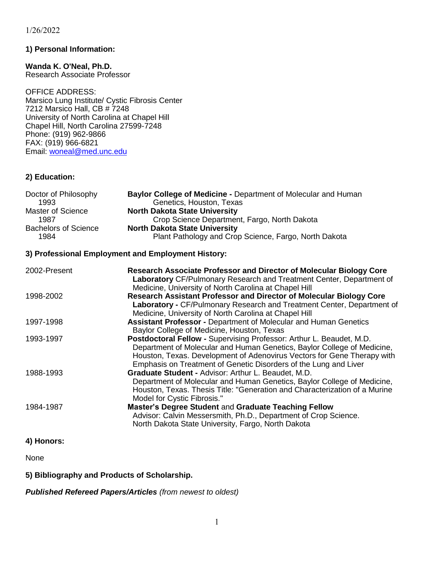#### **1) Personal Information:**

**Wanda K. O'Neal, Ph.D.** Research Associate Professor

OFFICE ADDRESS: Marsico Lung Institute/ Cystic Fibrosis Center 7212 Marsico Hall, CB # 7248 University of North Carolina at Chapel Hill Chapel Hill, North Carolina 27599-7248 Phone: (919) 962-9866 FAX: (919) 966-6821 Email: [woneal@med.unc.edu](mailto:woneal@med.unc.edu)

#### **2) Education:**

| Doctor of Philosophy        | Baylor College of Medicine - Department of Molecular and Human |
|-----------------------------|----------------------------------------------------------------|
| 1993                        | Genetics, Houston, Texas                                       |
| Master of Science           | <b>North Dakota State University</b>                           |
| 1987                        | Crop Science Department, Fargo, North Dakota                   |
| <b>Bachelors of Science</b> | <b>North Dakota State University</b>                           |
| 1984                        | Plant Pathology and Crop Science, Fargo, North Dakota          |

#### **3) Professional Employment and Employment History:**

| 2002-Present | <b>Research Associate Professor and Director of Molecular Biology Core</b><br>Laboratory CF/Pulmonary Research and Treatment Center, Department of<br>Medicine, University of North Carolina at Chapel Hill                                                                                    |
|--------------|------------------------------------------------------------------------------------------------------------------------------------------------------------------------------------------------------------------------------------------------------------------------------------------------|
| 1998-2002    | Research Assistant Professor and Director of Molecular Biology Core<br>Laboratory - CF/Pulmonary Research and Treatment Center, Department of<br>Medicine, University of North Carolina at Chapel Hill                                                                                         |
| 1997-1998    | <b>Assistant Professor - Department of Molecular and Human Genetics</b><br>Baylor College of Medicine, Houston, Texas                                                                                                                                                                          |
| 1993-1997    | Postdoctoral Fellow - Supervising Professor: Arthur L. Beaudet, M.D.<br>Department of Molecular and Human Genetics, Baylor College of Medicine,<br>Houston, Texas. Development of Adenovirus Vectors for Gene Therapy with<br>Emphasis on Treatment of Genetic Disorders of the Lung and Liver |
| 1988-1993    | Graduate Student - Advisor: Arthur L. Beaudet, M.D.<br>Department of Molecular and Human Genetics, Baylor College of Medicine,<br>Houston, Texas. Thesis Title: "Generation and Characterization of a Murine<br>Model for Cystic Fibrosis."                                                    |
| 1984-1987    | Master's Degree Student and Graduate Teaching Fellow<br>Advisor: Calvin Messersmith, Ph.D., Department of Crop Science.<br>North Dakota State University, Fargo, North Dakota                                                                                                                  |

### **4) Honors:**

None

**5) Bibliography and Products of Scholarship.**

*Published Refereed Papers/Articles (from newest to oldest)*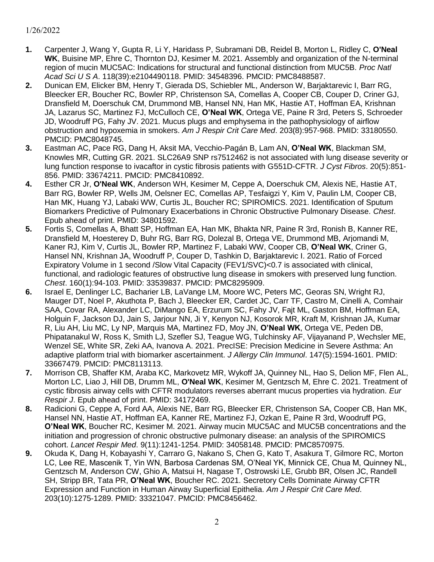- **1.** Carpenter J, Wang Y, Gupta R, Li Y, Haridass P, Subramani DB, Reidel B, Morton L, Ridley C, **O'Neal WK**, Buisine MP, Ehre C, Thornton DJ, Kesimer M. 2021. Assembly and organization of the N-terminal region of mucin MUC5AC: Indications for structural and functional distinction from MUC5B. *Proc Natl Acad Sci U S A*. 118(39):e2104490118. PMID: 34548396. PMCID: PMC8488587.
- **2.** Dunican EM, Elicker BM, Henry T, Gierada DS, Schiebler ML, Anderson W, Barjaktarevic I, Barr RG, Bleecker ER, Boucher RC, Bowler RP, Christenson SA, Comellas A, Cooper CB, Couper D, Criner GJ, Dransfield M, Doerschuk CM, Drummond MB, Hansel NN, Han MK, Hastie AT, Hoffman EA, Krishnan JA, Lazarus SC, Martinez FJ, McCulloch CE, **O'Neal WK**, Ortega VE, Paine R 3rd, Peters S, Schroeder JD, Woodruff PG, Fahy JV. 2021. Mucus plugs and emphysema in the pathophysiology of airflow obstruction and hypoxemia in smokers. *Am J Respir Crit Care Med*. 203(8):957-968. PMID: 33180550. PMCID: PMC8048745.
- **3.** Eastman AC, Pace RG, Dang H, Aksit MA, Vecchio-Pagán B, Lam AN, **O'Neal WK**, Blackman SM, Knowles MR, Cutting GR. 2021. SLC26A9 SNP rs7512462 is not associated with lung disease severity or lung function response to ivacaftor in cystic fibrosis patients with G551D-CFTR. *J Cyst Fibros*. 20(5):851- 856. PMID: 33674211. PMCID: PMC8410892.
- **4.** Esther CR Jr, **O'Neal WK**, Anderson WH, Kesimer M, Ceppe A, Doerschuk CM, Alexis NE, Hastie AT, Barr RG, Bowler RP, Wells JM, Oelsner EC, Comellas AP, Tesfaigzi Y, Kim V, Paulin LM, Cooper CB, Han MK, Huang YJ, Labaki WW, Curtis JL, Boucher RC; SPIROMICS. 2021. Identification of Sputum Biomarkers Predictive of Pulmonary Exacerbations in Chronic Obstructive Pulmonary Disease. *Chest*. Epub ahead of print. PMID: 34801592.
- **5.** Fortis S, Comellas A, Bhatt SP, Hoffman EA, Han MK, Bhakta NR, Paine R 3rd, Ronish B, Kanner RE, Dransfield M, Hoesterey D, Buhr RG, Barr RG, Dolezal B, Ortega VE, Drummond MB, Arjomandi M, Kaner RJ, Kim V, Curtis JL, Bowler RP, Martinez F, Labaki WW, Cooper CB, **O'Neal WK**, Criner G, Hansel NN, Krishnan JA, Woodruff P, Couper D, Tashkin D, Barjaktarevic I. 2021. Ratio of Forced Expiratory Volume in 1 second /Slow Vital Capacity (FEV1/SVC)<0.7 is associated with clinical, functional, and radiologic features of obstructive lung disease in smokers with preserved lung function. *Chest*. 160(1):94-103. PMID: 33539837. PMCID: PMC8295909.
- **6.** Israel E, Denlinger LC, Bacharier LB, LaVange LM, Moore WC, Peters MC, Georas SN, Wright RJ, Mauger DT, Noel P, Akuthota P, Bach J, Bleecker ER, Cardet JC, Carr TF, Castro M, Cinelli A, Comhair SAA, Covar RA, Alexander LC, DiMango EA, Erzurum SC, Fahy JV, Fajt ML, Gaston BM, Hoffman EA, Holguin F, Jackson DJ, Jain S, Jarjour NN, Ji Y, Kenyon NJ, Kosorok MR, Kraft M, Krishnan JA, Kumar R, Liu AH, Liu MC, Ly NP, Marquis MA, Martinez FD, Moy JN, **O'Neal WK**, Ortega VE, Peden DB, Phipatanakul W, Ross K, Smith LJ, Szefler SJ, Teague WG, Tulchinsky AF, Vijayanand P, Wechsler ME, Wenzel SE, White SR, Zeki AA, Ivanova A. 2021. PrecISE: Precision Medicine in Severe Asthma: An adaptive platform trial with biomarker ascertainment. *J Allergy Clin Immunol*. 147(5):1594-1601. PMID: 33667479. PMCID: PMC8113113.
- **7.** Morrison CB, Shaffer KM, Araba KC, Markovetz MR, Wykoff JA, Quinney NL, Hao S, Delion MF, Flen AL, Morton LC, Liao J, Hill DB, Drumm ML, **O'Neal WK**, Kesimer M, Gentzsch M, Ehre C. 2021. Treatment of cystic fibrosis airway cells with CFTR modulators reverses aberrant mucus properties via hydration. *Eur Respir J*. Epub ahead of print. PMID: 34172469.
- **8.** Radicioni G, Ceppe A, Ford AA, Alexis NE, Barr RG, Bleecker ER, Christenson SA, Cooper CB, Han MK, Hansel NN, Hastie AT, Hoffman EA, Kanner RE, Martinez FJ, Ozkan E, Paine R 3rd, Woodruff PG, **O'Neal WK**, Boucher RC, Kesimer M. 2021. Airway mucin MUC5AC and MUC5B concentrations and the initiation and progression of chronic obstructive pulmonary disease: an analysis of the SPIROMICS cohort. *Lancet Respir Med*. 9(11):1241-1254. PMID: 34058148. PMCID: PMC8570975.
- **9.** Okuda K, Dang H, Kobayashi Y, Carraro G, Nakano S, Chen G, Kato T, Asakura T, Gilmore RC, Morton LC, Lee RE, Mascenik T, Yin WN, Barbosa Cardenas SM, O'Neal YK, Minnick CE, Chua M, Quinney NL, Gentzsch M, Anderson CW, Ghio A, Matsui H, Nagase T, Ostrowski LE, Grubb BR, Olsen JC, Randell SH, Stripp BR, Tata PR, **O'Neal WK**, Boucher RC. 2021. Secretory Cells Dominate Airway CFTR Expression and Function in Human Airway Superficial Epithelia. *Am J Respir Crit Care Med*. 203(10):1275-1289. PMID: 33321047. PMCID: PMC8456462.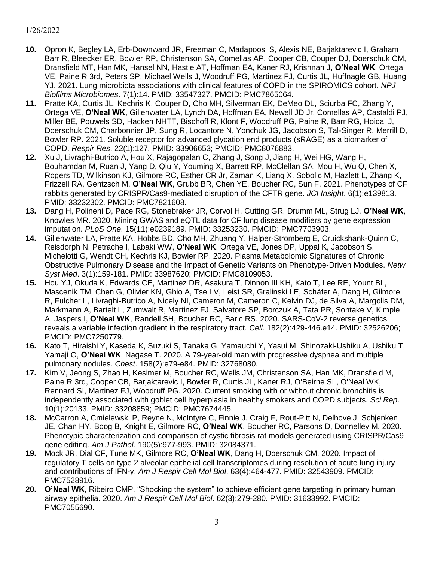- **10.** Opron K, Begley LA, Erb-Downward JR, Freeman C, Madapoosi S, Alexis NE, Barjaktarevic I, Graham Barr R, Bleecker ER, Bowler RP, Christenson SA, Comellas AP, Cooper CB, Couper DJ, Doerschuk CM, Dransfield MT, Han MK, Hansel NN, Hastie AT, Hoffman EA, Kaner RJ, Krishnan J, **O'Neal WK**, Ortega VE, Paine R 3rd, Peters SP, Michael Wells J, Woodruff PG, Martinez FJ, Curtis JL, Huffnagle GB, Huang YJ. 2021. Lung microbiota associations with clinical features of COPD in the SPIROMICS cohort. *NPJ Biofilms Microbiomes*. 7(1):14. PMID: 33547327. PMCID: PMC7865064.
- **11.** Pratte KA, Curtis JL, Kechris K, Couper D, Cho MH, Silverman EK, DeMeo DL, Sciurba FC, Zhang Y, Ortega VE, **O'Neal WK**, Gillenwater LA, Lynch DA, Hoffman EA, Newell JD Jr, Comellas AP, Castaldi PJ, Miller BE, Pouwels SD, Hacken NHTT, Bischoff R, Klont F, Woodruff PG, Paine R, Barr RG, Hoidal J, Doerschuk CM, Charbonnier JP, Sung R, Locantore N, Yonchuk JG, Jacobson S, Tal-Singer R, Merrill D, Bowler RP. 2021. Soluble receptor for advanced glycation end products (sRAGE) as a biomarker of COPD. *Respir Res*. 22(1):127. PMID: 33906653; PMCID: PMC8076883.
- **12.** Xu J, Livraghi-Butrico A, Hou X, Rajagopalan C, Zhang J, Song J, Jiang H, Wei HG, Wang H, Bouhamdan M, Ruan J, Yang D, Qiu Y, Youming X, Barrett RP, McClellan SA, Mou H, Wu Q, Chen X, Rogers TD, Wilkinson KJ, Gilmore RC, Esther CR Jr, Zaman K, Liang X, Sobolic M, Hazlett L, Zhang K, Frizzell RA, Gentzsch M, **O'Neal WK**, Grubb BR, Chen YE, Boucher RC, Sun F. 2021. Phenotypes of CF rabbits generated by CRISPR/Cas9-mediated disruption of the CFTR gene. *JCI Insight*. 6(1):e139813. PMID: 33232302. PMCID: PMC7821608.
- **13.** Dang H, Polineni D, Pace RG, Stonebraker JR, Corvol H, Cutting GR, Drumm ML, Strug LJ, **O'Neal WK**, Knowles MR. 2020. Mining GWAS and eQTL data for CF lung disease modifiers by gene expression imputation. *PLoS One*. 15(11):e0239189. PMID: 33253230. PMCID: PMC7703903.
- **14.** Gillenwater LA, Pratte KA, Hobbs BD, Cho MH, Zhuang Y, Halper-Stromberg E, Cruickshank-Quinn C, Reisdorph N, Petrache I, Labaki WW, **O'Neal WK**, Ortega VE, Jones DP, Uppal K, Jacobson S, Michelotti G, Wendt CH, Kechris KJ, Bowler RP. 2020. Plasma Metabolomic Signatures of Chronic Obstructive Pulmonary Disease and the Impact of Genetic Variants on Phenotype-Driven Modules. *Netw Syst Med*. 3(1):159-181. PMID: 33987620; PMCID: PMC8109053.
- **15.** Hou YJ, Okuda K, Edwards CE, Martinez DR, Asakura T, Dinnon III KH, Kato T, Lee RE, Yount BL, Mascenik TM, Chen G, Olivier KN, Ghio A, Tse LV, Leist SR, Gralinski LE, Schäfer A, Dang H, Gilmore R, Fulcher L, Livraghi-Butrico A, Nicely NI, Cameron M, Cameron C, Kelvin DJ, de Silva A, Margolis DM, Markmann A, Bartelt L, Zumwalt R, Martinez FJ, Salvatore SP, Borczuk A, Tata PR, Sontake V, Kimple A, Jaspers I, **O'Neal WK**, Randell SH, Boucher RC, Baric RS. 2020. SARS-CoV-2 reverse genetics reveals a variable infection gradient in the respiratory tract. *Cell*. 182(2):429-446.e14. PMID: 32526206; PMCID: PMC7250779.
- **16.** Kato T, Hiraishi Y, Kaseda K, Suzuki S, Tanaka G, Yamauchi Y, Yasui M, Shinozaki-Ushiku A, Ushiku T, Yamaji O, **O'Neal WK**, Nagase T. 2020. A 79-year-old man with progressive dyspnea and multiple pulmonary nodules. *Chest*. 158(2):e79-e84. PMID: 32768080.
- **17.** Kim V, Jeong S, Zhao H, Kesimer M, Boucher RC, Wells JM, Christenson SA, Han MK, Dransfield M, Paine R 3rd, Cooper CB, Barjaktarevic I, Bowler R, Curtis JL, Kaner RJ, O'Beirne SL, O'Neal WK, Rennard SI, Martinez FJ, Woodruff PG. 2020. Current smoking with or without chronic bronchitis is independently associated with goblet cell hyperplasia in healthy smokers and COPD subjects. *Sci Rep*. 10(1):20133. PMID: 33208859; PMCID: PMC7674445.
- **18.** McCarron A, Cmielewski P, Reyne N, McIntyre C, Finnie J, Craig F, Rout-Pitt N, Delhove J, Schjenken JE, Chan HY, Boog B, Knight E, Gilmore RC, **O'Neal WK**, Boucher RC, Parsons D, Donnelley M. 2020. Phenotypic characterization and comparison of cystic fibrosis rat models generated using CRISPR/Cas9 gene editing. *Am J Pathol*. 190(5):977-993. PMID: 32084371.
- **19.** Mock JR, Dial CF, Tune MK, Gilmore RC, **O'Neal WK**, Dang H, Doerschuk CM. 2020. Impact of regulatory T cells on type 2 alveolar epithelial cell transcriptomes during resolution of acute lung injury and contributions of IFN-γ. *Am J Respir Cell Mol Biol*. 63(4):464-477. PMID: 32543909. PMCID: PMC7528916.
- **20. O'Neal WK**, Ribeiro CMP. "Shocking the system" to achieve efficient gene targeting in primary human airway epithelia. 2020. *Am J Respir Cell Mol Biol*. 62(3):279-280. PMID: 31633992. PMCID: PMC7055690.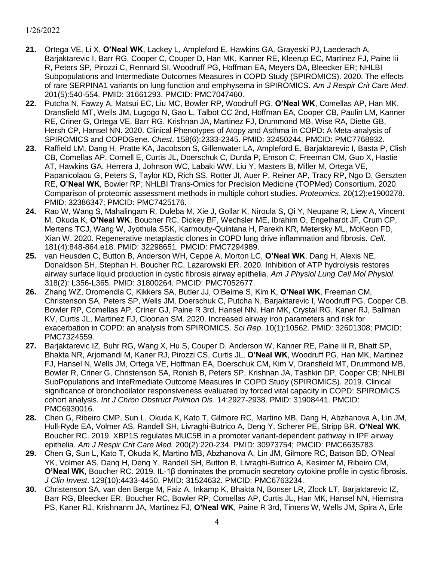- **21.** Ortega VE, Li X, **O'Neal WK**, Lackey L, Ampleford E, Hawkins GA, Grayeski PJ, Laederach A, Barjaktarevic I, Barr RG, Cooper C, Couper D, Han MK, Kanner RE, Kleerup EC, Martinez FJ, Paine Iii R, Peters SP, Pirozzi C, Rennard SI, Woodruff PG, Hoffman EA, Meyers DA, Bleecker ER; NHLBI Subpopulations and Intermediate Outcomes Measures in COPD Study (SPIROMICS). 2020. The effects of rare SERPINA1 variants on lung function and emphysema in SPIROMICS. *Am J Respir Crit Care Med*. 201(5):540-554. PMID: 31661293. PMCID: PMC7047460.
- **22.** Putcha N, Fawzy A, Matsui EC, Liu MC, Bowler RP, Woodruff PG, **O'Neal WK**, Comellas AP, Han MK, Dransfield MT, Wells JM, Lugogo N, Gao L, Talbot CC 2nd, Hoffman EA, Cooper CB, Paulin LM, Kanner RE, Criner G, Ortega VE, Barr RG, Krishnan JA, Martinez FJ, Drummond MB, Wise RA, Diette GB, Hersh CP, Hansel NN. 2020. Clinical Phenotypes of Atopy and Asthma in COPD: A Meta-analysis of SPIROMICS and COPDGene. *Chest*. 158(6):2333-2345. PMID: 32450244. PMCID: PMC7768932.
- **23.** Raffield LM, Dang H, Pratte KA, Jacobson S, Gillenwater LA, Ampleford E, Barjaktarevic I, Basta P, Clish CB, Comellas AP, Cornell E, Curtis JL, Doerschuk C, Durda P, Emson C, Freeman CM, Guo X, Hastie AT, Hawkins GA, Herrera J, Johnson WC, Labaki WW, Liu Y, Masters B, Miller M, Ortega VE, Papanicolaou G, Peters S, Taylor KD, Rich SS, Rotter JI, Auer P, Reiner AP, Tracy RP, Ngo D, Gerszten RE, **O'Neal WK**, Bowler RP; NHLBI Trans-Omics for Precision Medicine (TOPMed) Consortium. 2020. Comparison of proteomic assessment methods in multiple cohort studies. *Proteomics*. 20(12):e1900278. PMID: 32386347; PMCID: PMC7425176.
- **24.** Rao W, Wang S, Mahalingam R, Duleba M, Xie J, Gollar K, Niroula S, Qi Y, Neupane R, Liew A, Vincent M, Okuda K, **O'Neal WK**, Boucher RC, Dickey BF, Wechsler ME, Ibrahim O, Engelhardt JF, Crum CP, Mertens TCJ, Wang W, Jyothula SSK, Karmouty-Quintana H, Parekh KR, Metersky ML, McKeon FD, Xian W. 2020. Regenerative metaplastic clones in COPD lung drive inflammation and fibrosis. *Cell*. 181(4):848-864.e18. PMID: 32298651. PMCID: PMC7294989.
- **25.** van Heusden C, Button B, Anderson WH, Ceppe A, Morton LC, **O'Neal WK**, Dang H, Alexis NE, Donaldson SH, Stephan H, Boucher RC, Lazarowski ER. 2020. Inhibition of ATP hydrolysis restores airway surface liquid production in cystic fibrosis airway epithelia. *Am J Physiol Lung Cell Mol Physiol*. 318(2): L356-L365. PMID: 31800264. PMCID: PMC7052677.
- **26.** Zhang WZ, Oromendia C, Kikkers SA, Butler JJ, O'Beirne S, Kim K, **O'Neal WK**, Freeman CM, Christenson SA, Peters SP, Wells JM, Doerschuk C, Putcha N, Barjaktarevic I, Woodruff PG, Cooper CB, Bowler RP, Comellas AP, Criner GJ, Paine R 3rd, Hansel NN, Han MK, Crystal RG, Kaner RJ, Ballman KV, Curtis JL, Martinez FJ, Cloonan SM. 2020. Increased airway iron parameters and risk for exacerbation in COPD: an analysis from SPIROMICS. *Sci Rep*. 10(1):10562. PMID: 32601308; PMCID: PMC7324559.
- **27.** Barjaktarevic IZ, Buhr RG, Wang X, Hu S, Couper D, Anderson W, Kanner RE, Paine Iii R, Bhatt SP, Bhakta NR, Arjomandi M, Kaner RJ, Pirozzi CS, Curtis JL, **O'Neal WK**, Woodruff PG, Han MK, Martinez FJ, Hansel N, Wells JM, Ortega VE, Hoffman EA, Doerschuk CM, Kim V, Dransfield MT, Drummond MB, Bowler R, Criner G, Christenson SA, Ronish B, Peters SP, Krishnan JA, Tashkin DP, Cooper CB; NHLBI SubPopulations and InteRmediate Outcome Measures In COPD Study (SPIROMICS). 2019. Clinical significance of bronchodilator responsiveness evaluated by forced vital capacity in COPD: SPIROMICS cohort analysis. *Int J Chron Obstruct Pulmon Dis*. 14:2927-2938. PMID: 31908441. PMCID: PMC6930016.
- **28.** Chen G, Ribeiro CMP, Sun L, Okuda K, Kato T, Gilmore RC, Martino MB, Dang H, Abzhanova A, Lin JM, Hull-Ryde EA, Volmer AS, Randell SH, Livraghi-Butrico A, Deng Y, Scherer PE, Stripp BR, **O'Neal WK**, Boucher RC. 2019. XBP1S regulates MUC5B in a promoter variant-dependent pathway in IPF airway epithelia. *Am J Respir Crit Care Med.* 200(2):220-234. PMID: 30973754; PMCID: PMC6635783.
- **29.** Chen G, Sun L, Kato T, Okuda K, Martino MB, Abzhanova A, Lin JM, Gilmore RC, Batson BD, O'Neal YK, Volmer AS, Dang H, Deng Y, Randell SH, Button B, Livraghi-Butrico A, Kesimer M, Ribeiro CM, **O'Neal WK**, Boucher RC. 2019. IL-1β dominates the promucin secretory cytokine profile in cystic fibrosis. *J Clin Invest*. 129(10):4433-4450. PMID: 31524632. PMCID: PMC6763234.
- **30.** Christenson SA, van den Berge M, Faiz A, Inkamp K, Bhakta N, Bonser LR, Zlock LT, Barjaktarevic IZ, Barr RG, Bleecker ER, Boucher RC, Bowler RP, Comellas AP, Curtis JL, Han MK, Hansel NN, Hiemstra PS, Kaner RJ, Krishnanm JA, Martinez FJ, **O'Neal WK**, Paine R 3rd, Timens W, Wells JM, Spira A, Erle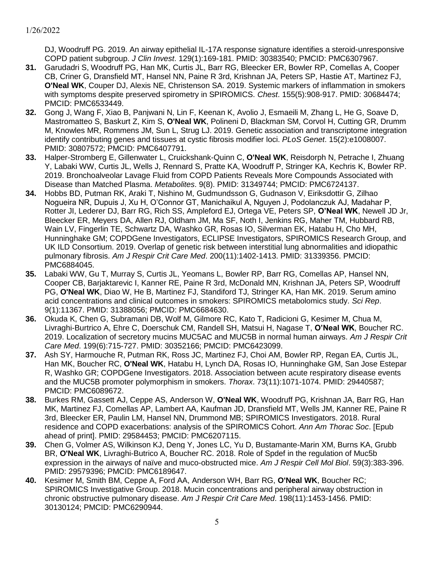DJ, Woodruff PG. 2019. An airway epithelial IL-17A response signature identifies a steroid-unresponsive COPD patient subgroup. *J Clin Invest*. 129(1):169-181. PMID: 30383540; PMCID: PMC6307967.

- **31.** Garudadri S, Woodruff PG, Han MK, Curtis JL, Barr RG, Bleecker ER, Bowler RP, Comellas A, Cooper CB, Criner G, Dransfield MT, Hansel NN, Paine R 3rd, Krishnan JA, Peters SP, Hastie AT, Martinez FJ, **O'Neal WK**, Couper DJ, Alexis NE, Christenson SA. 2019. Systemic markers of inflammation in smokers with symptoms despite preserved spirometry in SPIROMICS. *Chest*. 155(5):908-917. PMID: 30684474; PMCID: PMC6533449.
- **32.** Gong J, Wang F, Xiao B, Panjwani N, Lin F, Keenan K, Avolio J, Esmaeili M, Zhang L, He G, Soave D, Mastromatteo S, Baskurt Z, Kim S, **O'Neal WK**, Polineni D, Blackman SM, Corvol H, Cutting GR, Drumm M, Knowles MR, Rommens JM, Sun L, Strug LJ. 2019. Genetic association and transcriptome integration identify contributing genes and tissues at cystic fibrosis modifier loci. *PLoS Genet*. 15(2):e1008007. PMID: 30807572; PMCID: PMC6407791.
- **33.** Halper-Stromberg E, Gillenwater L, Cruickshank-Quinn C, **O'Neal WK**, Reisdorph N, Petrache I, Zhuang Y, Labaki WW, Curtis JL, Wells J, Rennard S, Pratte KA, Woodruff P, Stringer KA, Kechris K, Bowler RP. 2019. Bronchoalveolar Lavage Fluid from COPD Patients Reveals More Compounds Associated with Disease than Matched Plasma. *Metabolites*. 9(8). PMID: 31349744; PMCID: PMC6724137.
- **34.** Hobbs BD, Putman RK, Araki T, Nishino M, Gudmundsson G, Gudnason V, Eiriksdottir G, Zilhao Nogueira NR, Dupuis J, Xu H, O'Connor GT, Manichaikul A, Nguyen J, Podolanczuk AJ, Madahar P, Rotter JI, Lederer DJ, Barr RG, Rich SS, Ampleford EJ, Ortega VE, Peters SP, **O'Neal WK**, Newell JD Jr, Bleecker ER, Meyers DA, Allen RJ, Oldham JM, Ma SF, Noth I, Jenkins RG, Maher TM, Hubbard RB, Wain LV, Fingerlin TE, Schwartz DA, Washko GR, Rosas IO, Silverman EK, Hatabu H, Cho MH, Hunninghake GM; COPDGene Investigators, ECLIPSE Investigators, SPIROMICS Research Group, and UK ILD Consortium. 2019. Overlap of genetic risk between interstitial lung abnormalities and idiopathic pulmonary fibrosis. *Am J Respir Crit Care Med*. 200(11):1402-1413. PMID: 31339356. PMCID: PMC6884045.
- **35.** Labaki WW, Gu T, Murray S, Curtis JL, Yeomans L, Bowler RP, Barr RG, Comellas AP, Hansel NN, Cooper CB, Barjaktarevic I, Kanner RE, Paine R 3rd, McDonald MN, Krishnan JA, Peters SP, Woodruff PG, **O'Neal WK**, Diao W, He B, Martinez FJ, Standiford TJ, Stringer KA, Han MK. 2019. Serum amino acid concentrations and clinical outcomes in smokers: SPIROMICS metabolomics study. *Sci Rep*. 9(1):11367. PMID: 31388056; PMCID: PMC6684630.
- **36.** Okuda K, Chen G, Subramani DB, Wolf M, Gilmore RC, Kato T, Radicioni G, Kesimer M, Chua M, Livraghi-Burtrico A, Ehre C, Doerschuk CM, Randell SH, Matsui H, Nagase T, **O'Neal WK**, Boucher RC. 2019. Localization of secretory mucins MUC5AC and MUC5B in normal human airways. *Am J Respir Crit Care Med*. 199(6):715-727. PMID: 30352166; PMCID: PMC6423099.
- **37.** Ash SY, Harmouche R, Putman RK, Ross JC, Martinez FJ, Choi AM, Bowler RP, Regan EA, Curtis JL, Han MK, Boucher RC, **O'Neal WK**, Hatabu H, Lynch DA, Rosas IO, Hunninghake GM, San Jose Estepar R, Washko GR; COPDGene Investigators. 2018. Association between acute respiratory disease events and the MUC5B promoter polymorphism in smokers. *Thorax*. 73(11):1071-1074. PMID: 29440587; PMCID: PMC6089672.
- **38.** Burkes RM, Gassett AJ, Ceppe AS, Anderson W, **O'Neal WK**, Woodruff PG, Krishnan JA, Barr RG, Han MK, Martinez FJ, Comellas AP, Lambert AA, Kaufman JD, Dransfield MT, Wells JM, Kanner RE, Paine R 3rd, Bleecker ER, Paulin LM, Hansel NN, Drummond MB; SPIROMICS Investigators. 2018. Rural residence and COPD exacerbations: analysis of the SPIROMICS Cohort. *Ann Am Thorac Soc*. [Epub ahead of print]. PMID: 29584453; PMCID: PMC6207115.
- **39.** Chen G, Volmer AS, Wilkinson KJ, Deng Y, Jones LC, Yu D, Bustamante-Marin XM, Burns KA, Grubb BR, **O'Neal WK**, Livraghi-Butrico A, Boucher RC. 2018. Role of Spdef in the regulation of Muc5b expression in the airways of naïve and muco-obstructed mice. *Am J Respir Cell Mol Biol*. 59(3):383-396. PMID: 29579396; PMCID: PMC6189647.
- **40.** Kesimer M, Smith BM, Ceppe A, Ford AA, Anderson WH, Barr RG, **O'Neal WK**, Boucher RC; SPIROMICS Investigative Group. 2018. Mucin concentrations and peripheral airway obstruction in chronic obstructive pulmonary disease. *Am J Respir Crit Care Med*. 198(11):1453-1456. PMID: 30130124; PMCID: PMC6290944.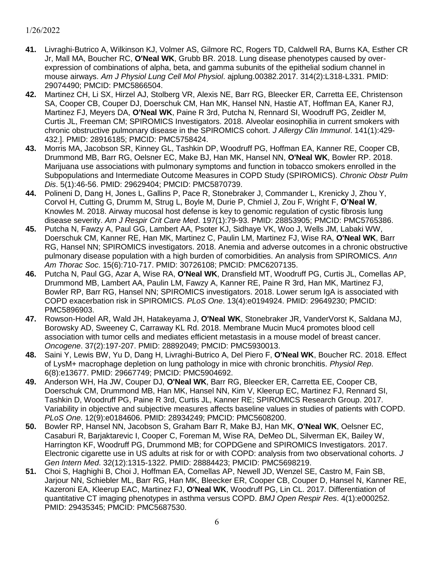- **41.** Livraghi-Butrico A, Wilkinson KJ, Volmer AS, Gilmore RC, Rogers TD, Caldwell RA, Burns KA, Esther CR Jr, Mall MA, Boucher RC, **O'Neal WK**, Grubb BR. 2018. Lung disease phenotypes caused by overexpression of combinations of alpha, beta, and gamma subunits of the epithelial sodium channel in mouse airways. *Am J Physiol Lung Cell Mol Physiol*. ajplung.00382.2017. 314(2):L318-L331. PMID: 29074490; PMCID: PMC5866504.
- **42.** Martinez CH, Li SX, Hirzel AJ, Stolberg VR, Alexis NE, Barr RG, Bleecker ER, Carretta EE, Christenson SA, Cooper CB, Couper DJ, Doerschuk CM, Han MK, Hansel NN, Hastie AT, Hoffman EA, Kaner RJ, Martinez FJ, Meyers DA, **O'Neal WK**, Paine R 3rd, Putcha N, Rennard SI, Woodruff PG, Zeidler M, Curtis JL, Freeman CM; SPIROMICS Investigators. 2018. Alveolar eosinophilia in current smokers with chronic obstructive pulmonary disease in the SPIROMICS cohort. *J Allergy Clin Immunol*. 141(1):429- 432.]. PMID: 28916185; PMCID: PMC5758424.
- **43.** Morris MA, Jacobson SR, Kinney GL, Tashkin DP, Woodruff PG, Hoffman EA, Kanner RE, Cooper CB, Drummond MB, Barr RG, Oelsner EC, Make BJ, Han MK, Hansel NN, **O'Neal WK**, Bowler RP. 2018. Marijuana use associations with pulmonary symptoms and function in tobacco smokers enrolled in the Subpopulations and Intermediate Outcome Measures in COPD Study (SPIROMICS). *Chronic Obstr Pulm Dis*. 5(1):46-56. PMID: 29629404; PMCID: PMC5870739.
- **44.** Polineni D, Dang H, Jones L, Gallins P, Pace R, Stonebraker J, Commander L, Krenicky J, Zhou Y, Corvol H, Cutting G, Drumm M, Strug L, Boyle M, Durie P, Chmiel J, Zou F, Wright F, **O'Neal W**, Knowles M. 2018. Airway mucosal host defense is key to genomic regulation of cystic fibrosis lung disease severity. *Am J Respir Crit Care Med*. 197(1):79-93. PMID: 28853905; PMCID: PMC5765386.
- **45.** Putcha N, Fawzy A, Paul GG, Lambert AA, Psoter KJ, Sidhaye VK, Woo J, Wells JM, Labaki WW, Doerschuk CM, Kanner RE, Han MK, Martinez C, Paulin LM, Martinez FJ, Wise RA, **O'Neal WK**, Barr RG, Hansel NN; SPIROMICS investigators. 2018. Anemia and adverse outcomes in a chronic obstructive pulmonary disease population with a high burden of comorbidities. An analysis from SPIROMICS. *Ann Am Thorac Soc*. 15(6):710-717. PMID: 30726108; PMCID: PMC6207135.
- **46.** Putcha N, Paul GG, Azar A, Wise RA, **O'Neal WK**, Dransfield MT, Woodruff PG, Curtis JL, Comellas AP, Drummond MB, Lambert AA, Paulin LM, Fawzy A, Kanner RE, Paine R 3rd, Han MK, Martinez FJ, Bowler RP, Barr RG, Hansel NN; SPIROMICS investigators. 2018. Lower serum IgA is associated with COPD exacerbation risk in SPIROMICS. *PLoS One*. 13(4):e0194924. PMID: 29649230; PMCID: PMC5896903.
- **47.** Rowson-Hodel AR, Wald JH, Hatakeyama J, **O'Neal WK**, Stonebraker JR, VanderVorst K, Saldana MJ, Borowsky AD, Sweeney C, Carraway KL Rd. 2018. Membrane Mucin Muc4 promotes blood cell association with tumor cells and mediates efficient metastasis in a mouse model of breast cancer. *Oncogene*. 37(2):197-207. PMID: 28892049; PMCID: PMC5930013.
- **48.** Saini Y, Lewis BW, Yu D, Dang H, Livraghi-Butrico A, Del Piero F, **O'Neal WK**, Boucher RC. 2018. Effect of LysM+ macrophage depletion on lung pathology in mice with chronic bronchitis. *Physiol Rep*. 6(8):e13677. PMID: 29667749; PMCID: PMC5904692.
- **49.** Anderson WH, Ha JW, Couper DJ, **O'Neal WK**, Barr RG, Bleecker ER, Carretta EE, Cooper CB, Doerschuk CM, Drummond MB, Han MK, Hansel NN, Kim V, Kleerup EC, Martinez FJ, Rennard SI, Tashkin D, Woodruff PG, Paine R 3rd, Curtis JL, Kanner RE; SPIROMICS Research Group. 2017. Variability in objective and subjective measures affects baseline values in studies of patients with COPD. *PLoS One*. 12(9):e0184606. PMID: 28934249; PMCID: PMC5608200.
- **50.** Bowler RP, Hansel NN, Jacobson S, Graham Barr R, Make BJ, Han MK, **O'Neal WK**, Oelsner EC, Casaburi R, Barjaktarevic I, Cooper C, Foreman M, Wise RA, DeMeo DL, Silverman EK, Bailey W, Harrington KF, Woodruff PG, Drummond MB; for COPDGene and SPIROMICS Investigators. 2017. Electronic cigarette use in US adults at risk for or with COPD: analysis from two observational cohorts. *J Gen Intern Med*. 32(12):1315-1322. PMID: 28884423; PMCID: PMC5698219.
- **51.** Choi S, Haghighi B, Choi J, Hoffman EA, Comellas AP, Newell JD, Wenzel SE, Castro M, Fain SB, Jarjour NN, Schiebler ML, Barr RG, Han MK, Bleecker ER, Cooper CB, Couper D, Hansel N, Kanner RE, Kazeroni EA, Kleerup EAC, Martinez FJ, **O'Neal WK**, Woodruff PG, Lin CL. 2017. Differentiation of quantitative CT imaging phenotypes in asthma versus COPD. *BMJ Open Respir Res*. 4(1):e000252. PMID: 29435345; PMCID: PMC5687530.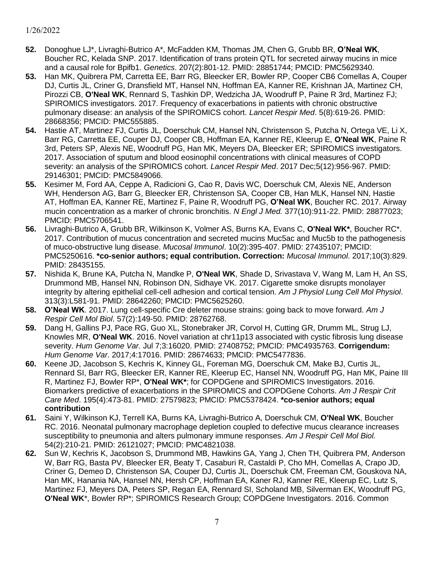- **52.** Donoghue LJ\*, Livraghi-Butrico A\*, McFadden KM, Thomas JM, Chen G, Grubb BR, **O'Neal WK**, Boucher RC, Kelada SNP. 2017. Identification of trans protein QTL for secreted airway mucins in mice and a causal role for Bpifb1. *Genetics*. 207(2):801-12. PMID: 28851744; PMCID: PMC5629340.
- **53.** Han MK, Quibrera PM, Carretta EE, Barr RG, Bleecker ER, Bowler RP, Cooper CB6 Comellas A, Couper DJ, Curtis JL, Criner G, Dransfield MT, Hansel NN, Hoffman EA, Kanner RE, Krishnan JA, Martinez CH, Pirozzi CB, **O'Neal WK**, Rennard S, Tashkin DP, Wedzicha JA, Woodruff P, Paine R 3rd, Martinez FJ; SPIROMICS investigators. 2017. Frequency of exacerbations in patients with chronic obstructive pulmonary disease: an analysis of the SPIROMICS cohort. *Lancet Respir Med*. 5(8):619-26. PMID: 28668356; PMCID: PMC555885.
- **54.** Hastie AT, Martinez FJ, Curtis JL, Doerschuk CM, Hansel NN, Christenson S, Putcha N, Ortega VE, Li X, Barr RG, Carretta EE, Couper DJ, Cooper CB, Hoffman EA, Kanner RE, Kleerup E, **O'Neal WK**, Paine R 3rd, Peters SP, Alexis NE, Woodruff PG, Han MK, Meyers DA, Bleecker ER; SPIROMICS investigators. 2017. Association of sputum and blood eosinophil concentrations with clinical measures of COPD severity: an analysis of the SPIROMICS cohort. *Lancet Respir Med*. 2017 Dec;5(12):956-967. PMID: 29146301; PMCID: PMC5849066.
- **55.** Kesimer M, Ford AA, Ceppe A, Radicioni G, Cao R, Davis WC, Doerschuk CM, Alexis NE, Anderson WH, Henderson AG, Barr G, Bleecker ER, Christenson SA, Cooper CB, Han MLK, Hansel NN, Hastie AT, Hoffman EA, Kanner RE, Martinez F, Paine R, Woodruff PG, **O'Neal WK**, Boucher RC. 2017. Airway mucin concentration as a marker of chronic bronchitis. *N Engl J Med.* 377(10):911-22. PMID: 28877023; PMCID: PMC5706541.
- **56.** Livraghi-Butrico A, Grubb BR, Wilkinson K, Volmer AS, Burns KA, Evans C, **O'Neal WK\***, Boucher RC\*. 2017. Contribution of mucus concentration and secreted mucins Muc5ac and Muc5b to the pathogenesis of muco-obstructive lung disease. *Mucosal Immunol*. 10(2):395-407. PMID: 27435107; PMCID: PMC5250616. **\*co-senior authors; equal contribution. Correction:** *Mucosal Immunol*. 2017;10(3):829. PMID: 28435155.
- **57.** Nishida K, Brune KA, Putcha N, Mandke P, **O'Neal WK**, Shade D, Srivastava V, Wang M, Lam H, An SS, Drummond MB, Hansel NN, Robinson DN, Sidhaye VK. 2017. Cigarette smoke disrupts monolayer integrity by altering epithelial cell-cell adhesion and cortical tension. *Am J Physiol Lung Cell Mol Physiol*. 313(3):L581-91. PMID: 28642260; PMCID: PMC5625260.
- **58. O'Neal WK**. 2017. Lung cell-specific Cre deleter mouse strains: going back to move forward. *Am J Respir Cell Mol Biol*. 57(2):149-50. PMID: 28762768.
- **59.** Dang H, Gallins PJ, Pace RG, Guo XL, Stonebraker JR, Corvol H, Cutting GR, Drumm ML, Strug LJ, Knowles MR, **O'Neal WK**. 2016. Novel variation at chr11p13 associated with cystic fibrosis lung disease severity. *Hum Genome Var.* Jul 7;3:16020. PMID: 27408752; PMCID: PMC4935763. **Corrigendum:** *Hum Genome Var*. 2017;4:17016. PMID: 28674633; PMCID: PMC5477836.
- **60.** Keene JD, Jacobson S, Kechris K, Kinney GL, Foreman MG, Doerschuk CM, Make BJ, Curtis JL, Rennard SI, Barr RG, Bleecker ER, Kanner RE, Kleerup EC, Hansel NN, Woodruff PG, Han MK, Paine III R, Martinez FJ, Bowler RP\*, **O'Neal WK\***; for COPDGene and SPIROMICS Investigators. 2016. Biomarkers predictive of exacerbations in the SPIROMICS and COPDGene Cohorts. *Am J Respir Crit Care Med*. 195(4):473-81. PMID: 27579823; PMCID: PMC5378424. **\*co-senior authors; equal contribution**
- **61.** Saini Y, Wilkinson KJ, Terrell KA, Burns KA, Livraghi-Butrico A, Doerschuk CM, **O'Neal WK**, Boucher RC. 2016. Neonatal pulmonary macrophage depletion coupled to defective mucus clearance increases susceptibility to pneumonia and alters pulmonary immune responses. *Am J Respir Cell Mol Biol.* 54(2):210-21. PMID: 26121027; PMCID: PMC4821038.
- **62.** Sun W, Kechris K, Jacobson S, Drummond MB, Hawkins GA, Yang J, Chen TH, Quibrera PM, Anderson W, Barr RG, Basta PV, Bleecker ER, Beaty T, Casaburi R, Castaldi P, Cho MH, Comellas A, Crapo JD, Criner G, Demeo D, Christenson SA, Couper DJ, Curtis JL, Doerschuk CM, Freeman CM, Gouskova NA, Han MK, Hanania NA, Hansel NN, Hersh CP, Hoffman EA, Kaner RJ, Kanner RE, Kleerup EC, Lutz S, Martinez FJ, Meyers DA, Peters SP, Regan EA, Rennard SI, Scholand MB, Silverman EK, Woodruff PG, **O'Neal WK**\*, Bowler RP\*; SPIROMICS Research Group; COPDGene Investigators. 2016. Common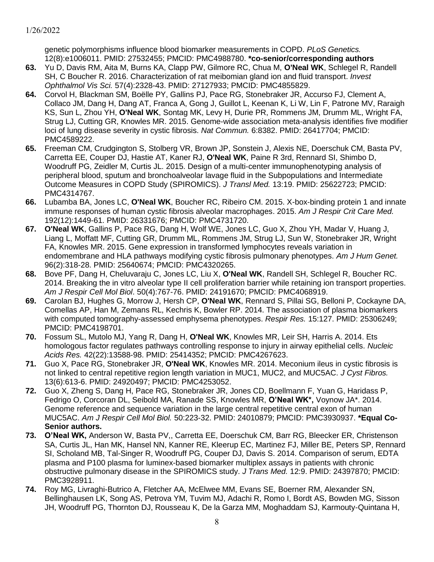genetic polymorphisms influence blood biomarker measurements in COPD. *PLoS Genetics.* 12(8):e1006011. PMID: 27532455; PMCID: PMC4988780. **\*co-senior/corresponding authors**

- **63.** Yu D, Davis RM, Aita M, Burns KA, Clapp PW, Gilmore RC, Chua M, **O'Neal WK**, Schlegel R, Randell SH, C Boucher R. 2016. Characterization of rat meibomian gland ion and fluid transport. *Invest Ophthalmol Vis Sci.* 57(4):2328-43. PMID: 27127933; PMCID: PMC4855829.
- **64.** Corvol H, Blackman SM, Boëlle PY, Gallins PJ, Pace RG, Stonebraker JR, Accurso FJ, Clement A, Collaco JM, Dang H, Dang AT, Franca A, Gong J, Guillot L, Keenan K, Li W, Lin F, Patrone MV, Raraigh KS, Sun L, Zhou YH, **O'Neal WK**, Sontag MK, Levy H, Durie PR, Rommens JM, Drumm ML, Wright FA, Strug LJ, Cutting GR, Knowles MR. 2015. Genome-wide association meta-analysis identifies five modifier loci of lung disease severity in cystic fibrosis. *Nat Commun.* 6:8382. PMID: 26417704; PMCID: PMC4589222.
- **65.** Freeman CM, Crudgington S, Stolberg VR, Brown JP, Sonstein J, Alexis NE, Doerschuk CM, Basta PV, Carretta EE, Couper DJ, Hastie AT, Kaner RJ, **O'Neal WK**, Paine R 3rd, Rennard SI, Shimbo D, Woodruff PG, Zeidler M, Curtis JL. 2015. Design of a multi-center immunophenotyping analysis of peripheral blood, sputum and bronchoalveolar lavage fluid in the Subpopulations and Intermediate Outcome Measures in COPD Study (SPIROMICS). *J Transl Med.* 13:19. PMID: 25622723; PMCID: PMC4314767.
- **66.** Lubamba BA, Jones LC, **O'Neal WK**, Boucher RC, Ribeiro CM. 2015. X-box-binding protein 1 and innate immune responses of human cystic fibrosis alveolar macrophages. 2015. *Am J Respir Crit Care Med.* 192(12):1449-61. PMID: 26331676; PMCID: PMC4731720.
- **67. O'Neal WK**, Gallins P, Pace RG, Dang H, Wolf WE, Jones LC, Guo X, Zhou YH, Madar V, Huang J, Liang L, Moffatt MF, Cutting GR, Drumm ML, Rommens JM, Strug LJ, Sun W, Stonebraker JR, Wright FA, Knowles MR. 2015. Gene expression in transformed lymphocytes reveals variation in endomembrane and HLA pathways modifying cystic fibrosis pulmonary phenotypes. *Am J Hum Genet.* 96(2):318-28. PMID: 25640674; PMCID: PMC4320265.
- **68.** Bove PF, Dang H, Cheluvaraju C, Jones LC, Liu X, **O'Neal WK**, Randell SH, Schlegel R, Boucher RC. 2014. Breaking the in vitro alveolar type II cell proliferation barrier while retaining ion transport properties. *Am J Respir Cell Mol Biol*. 50(4):767-76. PMID: 24191670; PMCID: PMC4068919.
- **69.** Carolan BJ, Hughes G, Morrow J, Hersh CP, **O'Neal WK**, Rennard S, Pillai SG, Belloni P, Cockayne DA, Comellas AP, Han M, Zemans RL, Kechris K, Bowler RP. 2014. The association of plasma biomarkers with computed tomography-assessed emphysema phenotypes. *Respir Res.* 15:127. PMID: 25306249; PMCID: PMC4198701.
- **70.** Fossum SL, Mutolo MJ, Yang R, Dang H, **O'Neal WK**, Knowles MR, Leir SH, Harris A. 2014. Ets homologous factor regulates pathways controlling response to injury in airway epithelial cells. *Nucleic Acids Res.* 42(22):13588-98. PMID: 25414352; PMCID: PMC4267623.
- **71.** Guo X, Pace RG, Stonebraker JR, **O'Neal WK**, Knowles MR. 2014. Meconium ileus in cystic fibrosis is not linked to central repetitive region length variation in MUC1, MUC2, and MUC5AC. *J Cyst Fibros.* 13(6):613-6. PMID: 24920497; PMCID: PMC4253052.
- **72.** Guo X, Zheng S, Dang H, Pace RG, Stonebraker JR, Jones CD, Boellmann F, Yuan G, Haridass P, Fedrigo O, Corcoran DL, Seibold MA, Ranade SS, Knowles MR, **O'Neal WK\*,** Voynow JA\*. 2014. Genome reference and sequence variation in the large central repetitive central exon of human MUC5AC. *Am J Respir Cell Mol Biol.* 50:223-32. PMID: 24010879; PMCID: PMC3930937. **\*Equal Co-Senior authors.**
- **73. O'Neal WK,** Anderson W, Basta PV,, Carretta EE, Doerschuk CM, Barr RG, Bleecker ER, Christenson SA, Curtis JL, Han MK, Hansel NN, Kanner RE, Kleerup EC, Martinez FJ, Miller BE, Peters SP, Rennard SI, Scholand MB, Tal-Singer R, Woodruff PG, Couper DJ, Davis S. 2014. Comparison of serum, EDTA plasma and P100 plasma for luminex-based biomarker multiplex assays in patients with chronic obstructive pulmonary disease in the SPIROMICS study. *J Trans Med.* 12:9. PMID: 24397870; PMCID: PMC3928911.
- **74.** Roy MG, Livraghi-Butrico A, Fletcher AA, McElwee MM, Evans SE, Boerner RM, Alexander SN, Bellinghausen LK, Song AS, Petrova YM, Tuvim MJ, Adachi R, Romo I, Bordt AS, Bowden MG, Sisson JH, Woodruff PG, Thornton DJ, Rousseau K, De la Garza MM, Moghaddam SJ, Karmouty-Quintana H,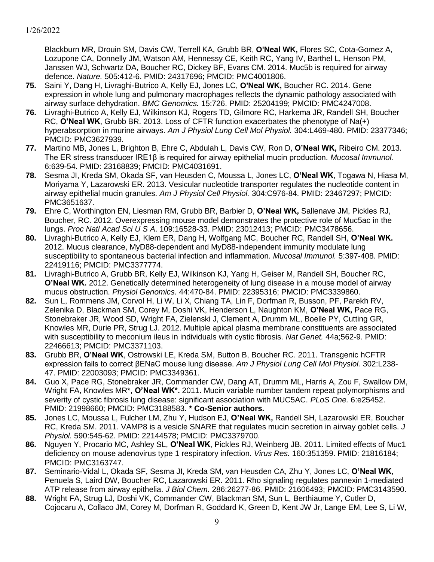Blackburn MR, Drouin SM, Davis CW, Terrell KA, Grubb BR, **O'Neal WK,** Flores SC, Cota-Gomez A, Lozupone CA, Donnelly JM, Watson AM, Hennessy CE, Keith RC, Yang IV, Barthel L, Henson PM, Janssen WJ, Schwartz DA, Boucher RC, Dickey BF, Evans CM. 2014. Muc5b is required for airway defence. *Nature.* 505:412-6. PMID: 24317696; PMCID: PMC4001806.

- **75.** Saini Y, Dang H, Livraghi-Butrico A, Kelly EJ, Jones LC, **O'Neal WK,** Boucher RC. 2014. Gene expression in whole lung and pulmonary macrophages reflects the dynamic pathology associated with airway surface dehydration. *BMC Genomics.* 15:726. PMID: 25204199; PMCID: PMC4247008.
- **76.** Livraghi-Butrico A, Kelly EJ, Wilkinson KJ, Rogers TD, Gilmore RC, Harkema JR, Randell SH, Boucher RC, **O'Neal WK**, Grubb BR. 2013. Loss of CFTR function exacerbates the phenotype of Na(+) hyperabsorption in murine airways. *Am J Physiol Lung Cell Mol Physiol.* 304:L469-480. PMID: 23377346; PMCID: PMC3627939.
- **77.** Martino MB, Jones L, Brighton B, Ehre C, Abdulah L, Davis CW, Ron D, **O'Neal WK,** Ribeiro CM. 2013. The ER stress transducer IRE1β is required for airway epithelial mucin production. *Mucosal Immunol.* 6:639-54. PMID: 23168839; PMCID: PMC4031691.
- **78.** Sesma JI, Kreda SM, Okada SF, van Heusden C, Moussa L, Jones LC, **O'Neal WK**, Togawa N, Hiasa M, Moriyama Y, Lazarowski ER. 2013. Vesicular nucleotide transporter regulates the nucleotide content in airway epithelial mucin granules. *Am J Physiol Cell Physiol.* 304:C976-84. PMID: 23467297; PMCID: PMC3651637.
- **79.** Ehre C, Worthington EN, Liesman RM, Grubb BR, Barbier D, **O'Neal WK,** Sallenave JM, Pickles RJ, Boucher, RC. 2012. Overexpressing mouse model demonstrates the protective role of Muc5ac in the lungs. *Proc Natl Acad Sci U S A*. 109:16528-33. PMID: 23012413; PMCID: PMC3478656.
- **80.** Livraghi-Butrico A, Kelly EJ, Klem ER, Dang H, Wolfgang MC, Boucher RC, Randell SH, **O'Neal WK.** 2012. Mucus clearance, MyD88-dependent and MyD88-independent immunity modulate lung susceptibility to spontaneous bacterial infection and inflammation. *Mucosal Immunol.* 5:397-408. PMID: 22419116; PMCID: PMC3377774.
- **81.** Livraghi-Butrico A, Grubb BR, Kelly EJ, Wilkinson KJ, Yang H, Geiser M, Randell SH, Boucher RC, **O'Neal WK.** 2012. Genetically determined heterogeneity of lung disease in a mouse model of airway mucus obstruction. *Physiol Genomics.* 44:470-84. PMID: 22395316; PMCID: PMC3339860.
- **82.** Sun L, Rommens JM, Corvol H, Li W, Li X, Chiang TA, Lin F, Dorfman R, Busson, PF, Parekh RV, Zelenika D, Blackman SM, Corey M, Doshi VK, Henderson L, Naughton KM, **O'Neal WK,** Pace RG, Stonebraker JR, Wood SD, Wright FA, Zielenski J, Clement A, Drumm ML, Boelle PY, Cutting GR, Knowles MR, Durie PR, Strug LJ. 2012. Multiple apical plasma membrane constituents are associated with susceptibility to meconium ileus in individuals with cystic fibrosis. *Nat Genet.* 44a;562-9. PMID: 22466613; PMCID: PMC3371103.
- **83.** Grubb BR, **O'Neal WK**, Ostrowski LE, Kreda SM, Button B, Boucher RC. 2011. Transgenic hCFTR expression fails to correct βENaC mouse lung disease. *Am J Physiol Lung Cell Mol Physiol.* 302:L238- 47. PMID: 22003093; PMCID: PMC3349361.
- **84.** Guo X, Pace RG, Stonebraker JR, Commander CW, Dang AT, Drumm ML, Harris A, Zou F, Swallow DM, Wright FA, Knowles MR\*, **O'Neal WK\*.** 2011. Mucin variable number tandem repeat polymorphisms and severity of cystic fibrosis lung disease: significant association with MUC5AC. *PLoS One.* 6:e25452. PMID: 21998660; PMCID: PMC3188583. **\* Co-Senior authors.**
- **85.** Jones LC, Moussa L, Fulcher LM, Zhu Y, Hudson EJ, **O'Neal WK,** Randell SH, Lazarowski ER, Boucher RC, Kreda SM. 2011. VAMP8 is a vesicle SNARE that regulates mucin secretion in airway goblet cells. *J Physiol.* 590:545-62. PMID: 22144578; PMCID: PMC3379700.
- **86.** Nguyen Y, Procario MC, Ashley SL, **O'Neal WK**, Pickles RJ, Weinberg JB. 2011. Limited effects of Muc1 deficiency on mouse adenovirus type 1 respiratory infection. *Virus Res.* 160:351359. PMID: 21816184; PMCID: PMC3163747.
- **87.** Seminario-Vidal L, Okada SF, Sesma JI, Kreda SM, van Heusden CA, Zhu Y, Jones LC, **O'Neal WK**, Penuela S, Laird DW, Boucher RC, Lazarowski ER. 2011. Rho signaling regulates pannexin 1-mediated ATP release from airway epithelia. *J Biol Chem.* 286:26277-86. PMID: 21606493; PMCID: PMC3143590.
- **88.** Wright FA, Strug LJ, Doshi VK, Commander CW, Blackman SM, Sun L, Berthiaume Y, Cutler D, Cojocaru A, Collaco JM, Corey M, Dorfman R, Goddard K, Green D, Kent JW Jr, Lange EM, Lee S, Li W,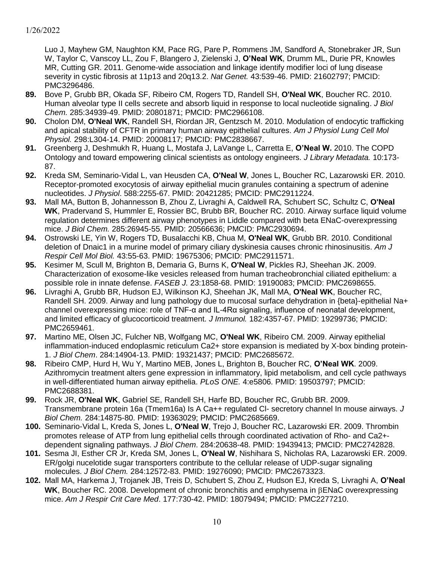Luo J, Mayhew GM, Naughton KM, Pace RG, Pare P, Rommens JM, Sandford A, Stonebraker JR, Sun W, Taylor C, Vanscoy LL, Zou F, Blangero J, Zielenski J, **O'Neal WK**, Drumm ML, Durie PR, Knowles MR, Cutting GR. 2011. Genome-wide association and linkage identify modifier loci of lung disease severity in cystic fibrosis at 11p13 and 20q13.2. *Nat Genet.* 43:539-46. PMID: 21602797; PMCID: PMC3296486.

- **89.** Bove P, Grubb BR, Okada SF, Ribeiro CM, Rogers TD, Randell SH, **O'Neal WK**, Boucher RC. 2010. Human alveolar type II cells secrete and absorb liquid in response to local nucleotide signaling. *J Biol Chem.* 285:34939-49. PMID: 20801871; PMCID: PMC2966108.
- **90.** Cholon DM, **O'Neal WK**, Randell SH, Riordan JR, Gentzsch M. 2010. Modulation of endocytic trafficking and apical stability of CFTR in primary human airway epithelial cultures. *Am J Physiol Lung Cell Mol Physiol.* 298:L304-14. PMID: 20008117; PMCID: PMC2838667.
- **91.** Greenberg J, Deshmukh R, Huang L, Mostafa J, LaVange L, Carretta E, **O'Neal W.** 2010. The COPD Ontology and toward empowering clinical scientists as ontology engineers. *J Library Metadata.* 10:173- 87.
- **92.** Kreda SM, Seminario-Vidal L, van Heusden CA, **O'Neal W**, Jones L, Boucher RC, Lazarowski ER. 2010. Receptor-promoted exocytosis of airway epithelial mucin granules containing a spectrum of adenine nucleotides. *J Physiol*. 588:2255-67. PMID: 20421285; PMCID: PMC2911224.
- **93.** Mall MA, Button B, Johannesson B, Zhou Z, Livraghi A, Caldwell RA, Schubert SC, Schultz C, **O'Neal WK**, Pradervand S, Hummler E, Rossier BC, Brubb BR, Boucher RC. 2010. Airway surface liquid volume regulation determines different airway phenotypes in Liddle compared with beta ENaC-overexpressing mice. *J Biol Chem.* 285:26945-55. PMID: 20566636; PMCID: PMC2930694.
- **94.** Ostrowski LE, Yin W, Rogers TD, Busalacchi KB, Chua M, **O'Neal WK**, Grubb BR. 2010. Conditional deletion of Dnaic1 in a murine model of primary ciliary dyskinesia causes chronic rhinosinusitis. *Am J Respir Cell Mol Biol.* 43:55-63. PMID: 19675306; PMCID: PMC2911571.
- **95.** Kesimer M, Scull M, Brighton B, Demaria G, Burns K, **O'Neal W**, Pickles RJ, Sheehan JK. 2009. Characterization of exosome-like vesicles released from human tracheobronchial ciliated epithelium: a possible role in innate defense. *FASEB J.* 23:1858-68. PMID: 19190083; PMCID: PMC2698655.
- **96.** Livraghi A, Grubb BR, Hudson EJ, Wilkinson KJ, Sheehan JK, Mall MA, **O'Neal WK**, Boucher RC, Randell SH. 2009. Airway and lung pathology due to mucosal surface dehydration in {beta}-epithelial Na+ channel overexpressing mice: role of TNF-α and IL-4Rα signaling, influence of neonatal development, and limited efficacy of glucocorticoid treatment. *J Immunol.* 182:4357-67. PMID: 19299736; PMCID: PMC2659461.
- **97.** Martino ME, Olsen JC, Fulcher NB, Wolfgang MC, **O'Neal WK**, Ribeiro CM. 2009. Airway epithelial inflammation-induced endoplasmic reticulum Ca2+ store expansion is mediated by X-box binding protein-1. *J Biol Chem*. 284:14904-13. PMID: 19321437; PMCID: PMC2685672.
- **98.** Ribeiro CMP, Hurd H, Wu Y, Martino MEB, Jones L, Brighton B, Boucher RC, **O'Neal WK**. 2009. Azithromycin treatment alters gene expression in inflammatory, lipid metabolism, and cell cycle pathways in well-differentiated human airway epithelia. *PLoS ONE.* 4:e5806. PMID: 19503797; PMCID: PMC2688381.
- **99.** Rock JR, **O'Neal WK**, Gabriel SE, Randell SH, Harfe BD, Boucher RC, Grubb BR. 2009. Transmembrane protein 16a (Tmem16a) Is A Ca++ regulated Cl- secretory channel In mouse airways. *J Biol Chem.* 284:14875-80. PMID: 19363029; PMCID: PMC2685669.
- **100.** Seminario-Vidal L, Kreda S, Jones L, **O'Neal W**, Trejo J, Boucher RC, Lazarowski ER. 2009. Thrombin promotes release of ATP from lung epithelial cells through coordinated activation of Rho- and Ca2+ dependent signaling pathways. *J Biol Chem*. 284:20638-48. PMID: 19439413; PMCID: PMC2742828.
- **101.** Sesma JI, Esther CR Jr, Kreda SM, Jones L, **O'Neal W**, Nishihara S, Nicholas RA, Lazarowski ER. 2009. ER/golgi nucelotide sugar transporters contribute to the cellular release of UDP-sugar signaling molecules. *J Biol Chem.* 284:12572-83. PMID: 19276090; PMCID: PMC2673323.
- **102.** Mall MA, Harkema J, Trojanek JB, Treis D, Schubert S, Zhou Z, Hudson EJ, Kreda S, Livraghi A, **O'Neal WK**, Boucher RC. 2008. Development of chronic bronchitis and emphysema in BENaC overexpressing mice. *Am J Respir Crit Care Med*. 177:730-42. PMID: 18079494; PMCID: PMC2277210.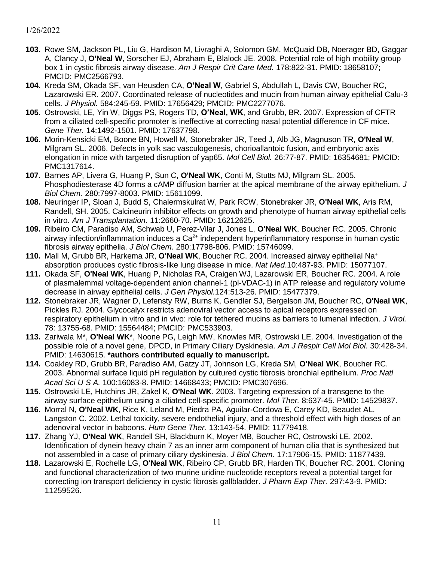- **103.** Rowe SM, Jackson PL, Liu G, Hardison M, Livraghi A, Solomon GM, McQuaid DB, Noerager BD, Gaggar A, Clancy J, **O'Neal W**, Sorscher EJ, Abraham E, Blalock JE. 2008. Potential role of high mobility group box 1 in cystic fibrosis airway disease. *Am J Respir Crit Care Med.* 178:822-31. PMID: 18658107; PMCID: PMC2566793.
- **104.** Kreda SM, Okada SF, van Heusden CA, **O'Neal W**, Gabriel S, Abdullah L, Davis CW, Boucher RC, Lazarowski ER. 2007. Coordinated release of nucleotides and mucin from human airway epithelial Calu-3 cells. *J Physiol.* 584:245-59. PMID: 17656429; PMCID: PMC2277076.
- **105.** Ostrowski, LE, Yin W, Diggs PS, Rogers TD, **O'Neal, WK**, and Grubb, BR. 2007. Expression of CFTR from a ciliated cell-specific promoter is ineffective at correcting nasal potential difference in CF mice. *Gene Ther.* 14:1492-1501. PMID: 17637798.
- **106.** Morin-Kensicki EM, Boone BN, Howell M, Stonebraker JR, Teed J, Alb JG, Magnuson TR, **O'Neal W**, Milgram SL. 2006. Defects in yolk sac vasculogenesis, chorioallantoic fusion, and embryonic axis elongation in mice with targeted disruption of yap65. *Mol Cell Biol.* 26:77-87. PMID: 16354681; PMCID: PMC1317614.
- **107.** Barnes AP, Livera G, Huang P, Sun C, **O'Neal WK**, Conti M, Stutts MJ, Milgram SL. 2005. Phosphodiesterase 4D forms a cAMP diffusion barrier at the apical membrane of the airway epithelium. *J Biol Chem.* 280:7997-8003. PMID: 15611099.
- **108.** Neuringer IP, Sloan J, Budd S, Chalermskulrat W, Park RCW, Stonebraker JR, **O'Neal WK**, Aris RM, Randell, SH. 2005. Calcineurin inhibitor effects on growth and phenotype of human airway epithelial cells in vitro. *Am J Transplantation.* 11:2660-70. PMID: 16212625.
- **109.** Ribeiro CM, Paradiso AM, Schwab U, Perez-Vilar J, Jones L, **O'Neal WK**, Boucher RC. 2005. Chronic airway infection/inflammation induces a  $Ca<sup>2+</sup>$  independent hyperinflammatory response in human cystic fibrosis airway epithelia. *J Biol Chem.* 280:17798-806. PMID: 15746099.
- **110.** Mall M, Grubb BR, Harkema JR, **O'Neal WK**, Boucher RC. 2004. Increased airway epithelial Na<sup>+</sup> absorption produces cystic fibrosis-like lung disease in mice. *Nat Med*.10:487-93. PMID: 15077107.
- **111.** Okada SF, **O'Neal WK**, Huang P, Nicholas RA, Craigen WJ, Lazarowski ER, Boucher RC. 2004. A role of plasmalemmal voltage-dependent anion channel-1 (pl-VDAC-1) in ATP release and regulatory volume decrease in airway epithelial cells. *J Gen Physiol.*124:513-26. PMID: 15477379.
- **112.** Stonebraker JR, Wagner D, Lefensty RW, Burns K, Gendler SJ, Bergelson JM, Boucher RC, **O'Neal WK**, Pickles RJ. 2004. Glycocalyx restricts adenoviral vector access to apical receptors expressed on respiratory epithelium in vitro and in vivo: role for tethered mucins as barriers to lumenal infection. *J Virol.* 78: 13755-68. PMID: 15564484; PMCID: PMC533903.
- **113.** Zariwala M\*, **O'Neal WK**\*, Noone PG, Leigh MW, Knowles MR, Ostrowski LE. 2004. Investigation of the possible role of a novel gene, DPCD, in Primary Ciliary Dyskinesia. *Am J Respir Cell Mol Biol.* 30:428-34. PMID: 14630615. **\*authors contributed equally to manuscript.**
- **114.** Coakley RD, Grubb BR, Paradiso AM, Gatzy JT, Johnson LG, Kreda SM, **O'Neal WK**, Boucher RC. 2003. Abnormal surface liquid pH regulation by cultured cystic fibrosis bronchial epithelium. *Proc Natl Acad Sci U S A.* 100:16083-8. PMID: 14668433; PMCID: PMC307696.
- **115.** Ostrowski LE, Hutchins JR, Zakel K, **O'Neal WK**. 2003. Targeting expression of a transgene to the airway surface epithelium using a ciliated cell-specific promoter. *Mol Ther.* 8:637-45. PMID: 14529837.
- **116.** Morral N, **O'Neal WK**, Rice K, Leland M, Piedra PA, Aguilar-Cordova E, Carey KD, Beaudet AL, Langston C. 2002. Lethal toxicity, severe endothelial injury, and a threshold effect with high doses of an adenoviral vector in baboons. *Hum Gene Ther.* 13:143-54. PMID: 11779418.
- **117.** Zhang YJ, **O'Neal WK**, Randell SH, Blackburn K, Moyer MB, Boucher RC, Ostrowski LE. 2002. Identification of dynein heavy chain 7 as an inner arm component of human cilia that is synthesized but not assembled in a case of primary ciliary dyskinesia. *J Biol Chem.* 17:17906-15. PMID: 11877439.
- **118.** Lazarowski E, Rochelle LG, **O'Neal WK**, Ribeiro CP, Grubb BR, Harden TK, Boucher RC. 2001. Cloning and functional characterization of two murine uridine nucleotide receptors reveal a potential target for correcting ion transport deficiency in cystic fibrosis gallbladder. *J Pharm Exp Ther.* 297:43-9. PMID: 11259526.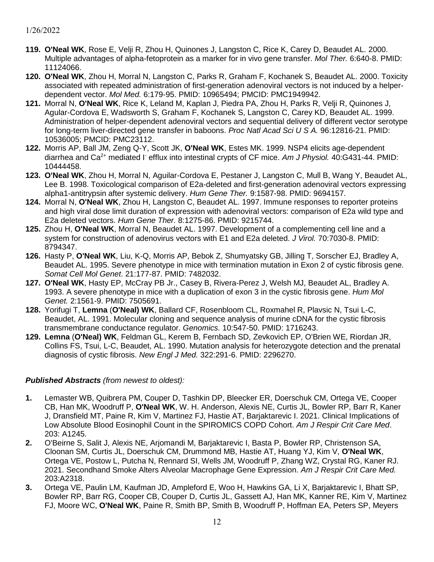- **119. O'Neal WK**, Rose E, Velji R, Zhou H, Quinones J, Langston C, Rice K, Carey D, Beaudet AL. 2000. Multiple advantages of alpha-fetoprotein as a marker for in vivo gene transfer. *Mol Ther.* 6:640-8. PMID: 11124066.
- **120. O'Neal WK**, Zhou H, Morral N, Langston C, Parks R, Graham F, Kochanek S, Beaudet AL. 2000. Toxicity associated with repeated administration of first-generation adenoviral vectors is not induced by a helperdependent vector. *Mol Med.* 6:179-95. PMID: 10965494; PMCID: PMC1949942.
- **121.** Morral N, **O'Neal WK**, Rice K, Leland M, Kaplan J, Piedra PA, Zhou H, Parks R, Velji R, Quinones J, Agular-Cordova E, Wadsworth S, Graham F, Kochanek S, Langston C, Carey KD, Beaudet AL. 1999. Administration of helper-dependent adenoviral vectors and sequential delivery of different vector serotype for long-term liver-directed gene transfer in baboons. *Proc Natl Acad Sci U S A.* 96:12816-21. PMID: 10536005; PMCID: PMC23112.
- **122.** Morris AP, Ball JM, Zeng Q-Y, Scott JK, **O'Neal WK**, Estes MK. 1999. NSP4 elicits age-dependent diarrhea and Ca2+ mediated I- efflux into intestinal crypts of CF mice. *Am J Physiol.* 40:G431-44. PMID: 10444458.
- **123. O'Neal WK**, Zhou H, Morral N, Aguilar-Cordova E, Pestaner J, Langston C, Mull B, Wang Y, Beaudet AL, Lee B. 1998. Toxicological comparison of E2a-deleted and first-generation adenoviral vectors expressing alpha1-antitrypsin after systemic delivery. *Hum Gene Ther.* 9:1587-98. PMID: 9694157.
- **124.** Morral N, **O'Neal WK**, Zhou H, Langston C, Beaudet AL. 1997. Immune responses to reporter proteins and high viral dose limit duration of expression with adenoviral vectors: comparison of E2a wild type and E2a deleted vectors. *Hum Gene Ther.* 8:1275-86. PMID: 9215744.
- **125.** Zhou H, **O'Neal WK**, Morral N, Beaudet AL. 1997. Development of a complementing cell line and a system for construction of adenovirus vectors with E1 and E2a deleted. *J Virol.* 70:7030-8. PMID: 8794347.
- **126.** Hasty P, **O'Neal WK**, Liu, K-Q, Morris AP, Bebok Z, Shumyatsky GB, Jilling T, Sorscher EJ, Bradley A, Beaudet AL. 1995. Severe phenotype in mice with termination mutation in Exon 2 of cystic fibrosis gene. *Somat Cell Mol Genet*. 21:177-87. PMID: 7482032.
- **127. O'Neal WK**, Hasty EP, McCray PB Jr., Casey B, Rivera-Perez J, Welsh MJ, Beaudet AL, Bradley A. 1993. A severe phenotype in mice with a duplication of exon 3 in the cystic fibrosis gene. *Hum Mol Genet.* 2:1561-9. PMID: 7505691.
- **128.** Yorifugi T, **Lemna** (**O'Neal) WK**, Ballard CF, Rosenbloom CL, Roxmahel R, Plavsic N, Tsui L-C, Beaudet, AL. 1991. Molecular cloning and sequence analysis of murine cDNA for the cystic fibrosis transmembrane conductance regulator. *Genomics.* 10:547-50. PMID: 1716243.
- **129. Lemna** (**O'Neal) WK**, Feldman GL, Kerem B, Fernbach SD, Zevkovich EP, O'Brien WE, Riordan JR, Collins FS, Tsui, L-C, Beaudet, AL. 1990. Mutation analysis for heterozygote detection and the prenatal diagnosis of cystic fibrosis. *New Engl J Med.* 322:291-6. PMID: 2296270.

#### *Published Abstracts (from newest to oldest):*

- **1.** Lemaster WB, Quibrera PM, Couper D, Tashkin DP, Bleecker ER, Doerschuk CM, Ortega VE, Cooper CB, Han MK, Woodruff P, **O'Neal WK**, W. H. Anderson, Alexis NE, Curtis JL, Bowler RP, Barr R, Kaner J, Dransfield MT, Paine R, Kim V, Martinez FJ, Hastie AT, Barjaktarevic I. 2021. Clinical Implications of Low Absolute Blood Eosinophil Count in the SPIROMICS COPD Cohort. *Am J Respir Crit Care Med*. 203: A1245.
- **2.** O'Beirne S, Salit J, Alexis NE, Arjomandi M, Barjaktarevic I, Basta P, Bowler RP, Christenson SA, Cloonan SM, Curtis JL, Doerschuk CM, Drummond MB, Hastie AT, Huang YJ, Kim V, **O'Neal WK**, Ortega VE, Postow L, Putcha N, Rennard SI, Wells JM, Woodruff P, Zhang WZ, Crystal RG, Kaner RJ. 2021. Secondhand Smoke Alters Alveolar Macrophage Gene Expression. *Am J Respir Crit Care Med.* 203:A2318.
- **3.** Ortega VE, Paulin LM, Kaufman JD, Ampleford E, Woo H, Hawkins GA, Li X, Barjaktarevic I, Bhatt SP, Bowler RP, Barr RG, Cooper CB, Couper D, Curtis JL, Gassett AJ, Han MK, Kanner RE, Kim V, Martinez FJ, Moore WC, **O'Neal WK**, Paine R, Smith BP, Smith B, Woodruff P, Hoffman EA, Peters SP, Meyers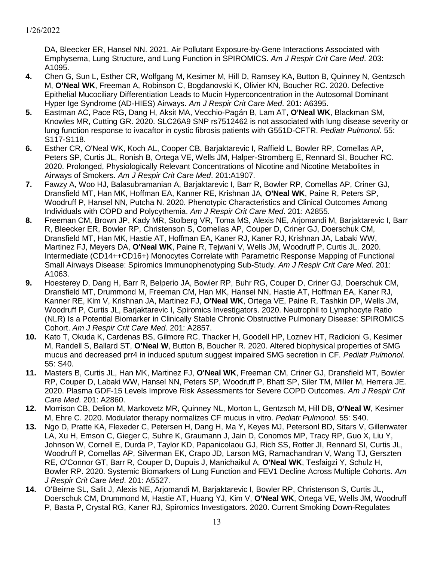DA, Bleecker ER, Hansel NN. 2021. Air Pollutant Exposure-by-Gene Interactions Associated with Emphysema, Lung Structure, and Lung Function in SPIROMICS. *Am J Respir Crit Care Med*. 203: A1095.

- **4.** Chen G, Sun L, Esther CR, Wolfgang M, Kesimer M, Hill D, Ramsey KA, Button B, Quinney N, Gentzsch M, **O'Neal WK**, Freeman A, Robinson C, Bogdanovski K, Olivier KN, Boucher RC. 2020. Defective Epithelial Mucociliary Differentiation Leads to Mucin Hyperconcentration in the Autosomal Dominant Hyper Ige Syndrome (AD-HIES) Airways. *Am J Respir Crit Care Med*. 201: A6395.
- **5.** Eastman AC, Pace RG, Dang H, Aksit MA, Vecchio-Pagán B, Lam AT, **O'Neal WK**, Blackman SM, Knowles MR, Cutting GR. 2020. SLC26A9 SNP rs7512462 is not associated with lung disease severity or lung function response to ivacaftor in cystic fibrosis patients with G551D-CFTR. *Pediatr Pulmonol*. 55: S117-S118.
- **6.** Esther CR, O'Neal WK, Koch AL, Cooper CB, Barjaktarevic I, Raffield L, Bowler RP, Comellas AP, Peters SP, Curtis JL, Ronish B, Ortega VE, Wells JM, Halper-Stromberg E, Rennard SI, Boucher RC. 2020. Prolonged, Physiologically Relevant Concentrations of Nicotine and Nicotine Metabolites in Airways of Smokers. *Am J Respir Crit Care Med*. 201:A1907.
- **7.** Fawzy A, Woo HJ, Balasubramanian A, Barjaktarevic I, Barr R, Bowler RP, Comellas AP, Criner GJ, Dransfield MT, Han MK, Hoffman EA, Kanner RE, Krishnan JA, **O'Neal WK**, Paine R, Peters SP, Woodruff P, Hansel NN, Putcha N. 2020. Phenotypic Characteristics and Clinical Outcomes Among Individuals with COPD and Polycythemia. *Am J Respir Crit Care Med*. 201: A2855.
- **8.** Freeman CM, Brown JP, Kady MR, Stolberg VR, Toma MS, Alexis NE, Arjomandi M, Barjaktarevic I, Barr R, Bleecker ER, Bowler RP, Christenson S, Comellas AP, Couper D, Criner GJ, Doerschuk CM, Dransfield MT, Han MK, Hastie AT, Hoffman EA, Kaner RJ, Kaner RJ, Krishnan JA, Labaki WW, Martinez FJ, Meyers DA, **O'Neal WK**, Paine R, Tejwani V, Wells JM, Woodruff P, Curtis JL. 2020. Intermediate (CD14++CD16+) Monocytes Correlate with Parametric Response Mapping of Functional Small Airways Disease: Spiromics Immunophenotyping Sub-Study. *Am J Respir Crit Care Med*. 201: A1063.
- **9.** Hoesterey D, Dang H, Barr R, Belperio JA, Bowler RP, Buhr RG, Couper D, Criner GJ, Doerschuk CM, Dransfield MT, Drummond M, Freeman CM, Han MK, Hansel NN, Hastie AT, Hoffman EA, Kaner RJ, Kanner RE, Kim V, Krishnan JA, Martinez FJ, **O'Neal WK**, Ortega VE, Paine R, Tashkin DP, Wells JM, Woodruff P, Curtis JL, Barjaktarevic I, Spiromics Investigators. 2020. Neutrophil to Lymphocyte Ratio (NLR) Is a Potential Biomarker in Clinically Stable Chronic Obstructive Pulmonary Disease: SPIROMICS Cohort. *Am J Respir Crit Care Med*. 201: A2857.
- **10.** Kato T, Okuda K, Cardenas BS, Gilmore RC, Thacker H, Goodell HP, Loznev HT, Radicioni G, Kesimer M, Randell S, Ballard ST, **O'Neal W**, Button B, Boucher R. 2020. Altered biophysical properties of SMG mucus and decreased prr4 in induced sputum suggest impaired SMG secretion in CF. *Pediatr Pulmonol*. 55: S40.
- **11.** Masters B, Curtis JL, Han MK, Martinez FJ, **O'Neal WK**, Freeman CM, Criner GJ, Dransfield MT, Bowler RP, Couper D, Labaki WW, Hansel NN, Peters SP, Woodruff P, Bhatt SP, Siler TM, Miller M, Herrera JE. 2020. Plasma GDF-15 Levels Improve Risk Assessments for Severe COPD Outcomes. *Am J Respir Crit Care Med*. 201: A2860.
- **12.** Morrison CB, Delion M, Markovetz MR, Quinney NL, Morton L, Gentzsch M, Hill DB, **O'Neal W**, Kesimer M, Ehre C. 2020. Modulator therapy normalizes CF mucus in vitro. *Pediatr Pulmonol*. 55: S40.
- **13.** Ngo D, Pratte KA, Flexeder C, Petersen H, Dang H, Ma Y, Keyes MJ, Petersonl BD, Sitars V, Gillenwater LA, Xu H, Emson C, Gieger C, Suhre K, Graumann J, Jain D, Conomos MP, Tracy RP, Guo X, Liu Y, Johnson W, Cornell E, Durda P, Taylor KD, Papanicolaou GJ, Rich SS, Rotter JI, Rennard SI, Curtis JL, Woodruff P, Comellas AP, Silverman EK, Crapo JD, Larson MG, Ramachandran V, Wang TJ, Gerszten RE, O'Connor GT, Barr R, Couper D, Dupuis J, Manichaikul A, **O'Neal WK**, Tesfaigzi Y, Schulz H, Bowler RP. 2020. Systemic Biomarkers of Lung Function and FEV1 Decline Across Multiple Cohorts. *Am J Respir Crit Care Med*. 201: A5527.
- **14.** O'Beirne SL, Salit J, Alexis NE, Arjomandi M, Barjaktarevic I, Bowler RP, Christenson S, Curtis JL, Doerschuk CM, Drummond M, Hastie AT, Huang YJ, Kim V, **O'Neal WK**, Ortega VE, Wells JM, Woodruff P, Basta P, Crystal RG, Kaner RJ, Spiromics Investigators. 2020. Current Smoking Down-Regulates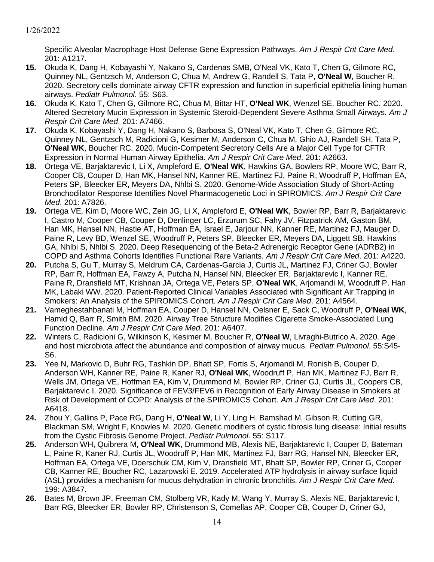Specific Alveolar Macrophage Host Defense Gene Expression Pathways. *Am J Respir Crit Care Med*. 201: A1217.

- **15.** Okuda K, Dang H, Kobayashi Y, Nakano S, Cardenas SMB, O'Neal VK, Kato T, Chen G, Gilmore RC, Quinney NL, Gentzsch M, Anderson C, Chua M, Andrew G, Randell S, Tata P, **O'Neal W**, Boucher R. 2020. Secretory cells dominate airway CFTR expression and function in superficial epithelia lining human airways. *Pediatr Pulmonol*. 55: S63.
- **16.** Okuda K, Kato T, Chen G, Gilmore RC, Chua M, Bittar HT, **O'Neal WK**, Wenzel SE, Boucher RC. 2020. Altered Secretory Mucin Expression in Systemic Steroid-Dependent Severe Asthma Small Airways*. Am J Respir Crit Care Med*. 201: A7466.
- **17.** Okuda K, Kobayashi Y, Dang H, Nakano S, Barbosa S, O'Neal VK, Kato T, Chen G, Gilmore RC, Quinney NL, Gentzsch M, Radicioni G, Kesimer M, Anderson C, Chua M, Ghio AJ, Randell SH, Tata P, **O'Neal WK**, Boucher RC. 2020. Mucin-Competent Secretory Cells Are a Major Cell Type for CFTR Expression in Normal Human Airway Epithelia. *Am J Respir Crit Care Med*. 201: A2663.
- **18.** Ortega VE, Barjaktarevic I, Li X, Ampleford E, **O'Neal WK**, Hawkins GA, Bowlers RP, Moore WC, Barr R, Cooper CB, Couper D, Han MK, Hansel NN, Kanner RE, Martinez FJ, Paine R, Woodruff P, Hoffman EA, Peters SP, Bleecker ER, Meyers DA, Nhlbi S. 2020. Genome-Wide Association Study of Short-Acting Bronchodilator Response Identifies Novel Pharmacogenetic Loci in SPIROMICS. *Am J Respir Crit Care Med*. 201: A7826.
- **19.** Ortega VE, Kim D, Moore WC, Zein JG, Li X, Ampleford E, **O'Neal WK**, Bowler RP, Barr R, Barjaktarevic I, Castro M, Cooper CB, Couper D, Denlinger LC, Erzurum SC, Fahy JV, Fitzpatrick AM, Gaston BM, Han MK, Hansel NN, Hastie AT, Hoffman EA, Israel E, Jarjour NN, Kanner RE, Martinez FJ, Mauger D, Paine R, Levy BD, Wenzel SE, Woodruff P, Peters SP, Bleecker ER, Meyers DA, Liggett SB, Hawkins GA, Nhlbi S, Nhlbi S. 2020. Deep Resequencing of the Beta-2 Adrenergic Receptor Gene (ADRB2) in COPD and Asthma Cohorts Identifies Functional Rare Variants. *Am J Respir Crit Care Med*. 201: A4220.
- **20.** Putcha S, Gu T, Murray S, Meldrum CA, Cardenas-Garcia J, Curtis JL, Martinez FJ, Criner GJ, Bowler RP, Barr R, Hoffman EA, Fawzy A, Putcha N, Hansel NN, Bleecker ER, Barjaktarevic I, Kanner RE, Paine R, Dransfield MT, Krishnan JA, Ortega VE, Peters SP, **O'Neal WK**, Arjomandi M, Woodruff P, Han MK, Labaki WW. 2020. Patient-Reported Clinical Variables Associated with Significant Air Trapping in Smokers: An Analysis of the SPIROMICS Cohort. *Am J Respir Crit Care Med*. 201: A4564.
- **21.** Vameghestahbanati M, Hoffman EA, Couper D, Hansel NN, Oelsner E, Sack C, Woodruff P, **O'Neal WK**, Hamid Q, Barr R, Smith BM. 2020. Airway Tree Structure Modifies Cigarette Smoke-Associated Lung Function Decline. *Am J Respir Crit Care Med*. 201: A6407.
- **22.** Winters C, Radicioni G, Wilkinson K, Kesimer M, Boucher R, **O'Neal W**, Livraghi-Butrico A. 2020. Age and host microbiota affect the abundance and composition of airway mucus. *Pediatr Pulmonol*. 55:S45- S6.
- **23.** Yee N, Markovic D, Buhr RG, Tashkin DP, Bhatt SP, Fortis S, Arjomandi M, Ronish B, Couper D, Anderson WH, Kanner RE, Paine R, Kaner RJ, **O'Neal WK**, Woodruff P, Han MK, Martinez FJ, Barr R, Wells JM, Ortega VE, Hoffman EA, Kim V, Drummond M, Bowler RP, Criner GJ, Curtis JL, Coopers CB, Barjaktarevic I. 2020. Significance of FEV3/FEV6 in Recognition of Early Airway Disease in Smokers at Risk of Development of COPD: Analysis of the SPIROMICS Cohort. *Am J Respir Crit Care Med*. 201: A6418.
- **24.** Zhou Y, Gallins P, Pace RG, Dang H, **O'Neal W**, Li Y, Ling H, Bamshad M, Gibson R, Cutting GR, Blackman SM, Wright F, Knowles M. 2020. Genetic modifiers of cystic fibrosis lung disease: Initial results from the Cystic Fibrosis Genome Project. *Pediatr Pulmonol*. 55: S117.
- **25.** Anderson WH, Quibrera M, **O'Neal WK**, Drummond MB, Alexis NE, Barjaktarevic I, Couper D, Bateman L, Paine R, Kaner RJ, Curtis JL, Woodruff P, Han MK, Martinez FJ, Barr RG, Hansel NN, Bleecker ER, Hoffman EA, Ortega VE, Doerschuk CM, Kim V, Dransfield MT, Bhatt SP, Bowler RP, Criner G, Cooper CB, Kanner RE, Boucher RC, Lazarowski E. 2019. Accelerated ATP hydrolysis in airway surface liquid (ASL) provides a mechanism for mucus dehydration in chronic bronchitis. *Am J Respir Crit Care Med*. 199: A3847.
- **26.** Bates M, Brown JP, Freeman CM, Stolberg VR, Kady M, Wang Y, Murray S, Alexis NE, Barjaktarevic I, Barr RG, Bleecker ER, Bowler RP, Christenson S, Comellas AP, Cooper CB, Couper D, Criner GJ,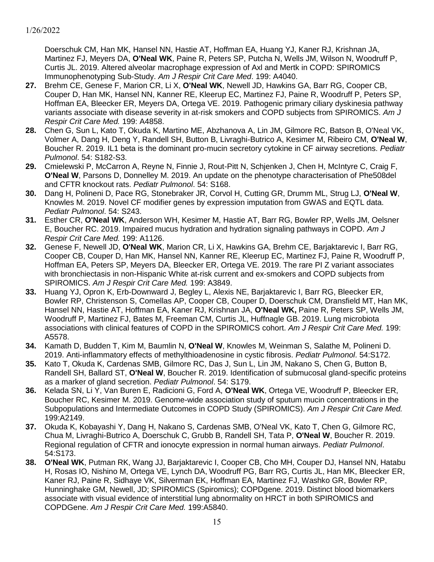Doerschuk CM, Han MK, Hansel NN, Hastie AT, Hoffman EA, Huang YJ, Kaner RJ, Krishnan JA, Martinez FJ, Meyers DA, **O'Neal WK**, Paine R, Peters SP, Putcha N, Wells JM, Wilson N, Woodruff P, Curtis JL. 2019. Altered alveolar macrophage expression of Axl and Mertk in COPD: SPIROMICS Immunophenotyping Sub-Study. *Am J Respir Crit Care Med*. 199: A4040.

- **27.** Brehm CE, Genese F, Marion CR, Li X, **O'Neal WK**, Newell JD, Hawkins GA, Barr RG, Cooper CB, Couper D, Han MK, Hansel NN, Kanner RE, Kleerup EC, Martinez FJ, Paine R, Woodruff P, Peters SP, Hoffman EA, Bleecker ER, Meyers DA, Ortega VE. 2019. Pathogenic primary ciliary dyskinesia pathway variants associate with disease severity in at-risk smokers and COPD subjects from SPIROMICS. *Am J Respir Crit Care Med.* 199: A4858.
- **28.** Chen G, Sun L, Kato T, Okuda K, Martino ME, Abzhanova A, Lin JM, Gilmore RC, Batson B, O'Neal VK, Volmer A, Dang H, Deng Y, Randell SH, Button B, Livraghi-Butrico A, Kesimer M, Ribeiro CM, **O'Neal W**, Boucher R. 2019. IL1 beta is the dominant pro-mucin secretory cytokine in CF airway secretions. *Pediatr Pulmonol*. 54: S182-S3.
- **29.** Cmielewski P, McCarron A, Reyne N, Finnie J, Rout-Pitt N, Schjenken J, Chen H, McIntyre C, Craig F, **O'Neal W**, Parsons D, Donnelley M. 2019. An update on the phenotype characterisation of Phe508del and CFTR knockout rats. *Pediatr Pulmonol*. 54: S168.
- **30.** Dang H, Polineni D, Pace RG, Stonebraker JR, Corvol H, Cutting GR, Drumm ML, Strug LJ, **O'Neal W**, Knowles M. 2019. Novel CF modifier genes by expression imputation from GWAS and EQTL data. *Pediatr Pulmonol*. 54: S243.
- **31.** Esther CR, **O'Neal WK**, Anderson WH, Kesimer M, Hastie AT, Barr RG, Bowler RP, Wells JM, Oelsner E, Boucher RC. 2019. Impaired mucus hydration and hydration signaling pathways in COPD. *Am J Respir Crit Care Med.* 199: A1126.
- **32.** Genese F, Newell JD, **O'Neal WK**, Marion CR, Li X, Hawkins GA, Brehm CE, Barjaktarevic I, Barr RG, Cooper CB, Couper D, Han MK, Hansel NN, Kanner RE, Kleerup EC, Martinez FJ, Paine R, Woodruff P, Hoffman EA, Peters SP, Meyers DA, Bleecker ER, Ortega VE. 2019. The rare PI Z variant associates with bronchiectasis in non-Hispanic White at-risk current and ex-smokers and COPD subjects from SPIROMICS. *Am J Respir Crit Care Med.* 199: A3849.
- **33.** Huang YJ, Opron K, Erb-Downward J, Begley L, Alexis NE, Barjaktarevic I, Barr RG, Bleecker ER, Bowler RP, Christenson S, Comellas AP, Cooper CB, Couper D, Doerschuk CM, Dransfield MT, Han MK, Hansel NN, Hastie AT, Hoffman EA, Kaner RJ, Krishnan JA, **O'Neal WK,** Paine R, Peters SP, Wells JM, Woodruff P, Martinez FJ, Bates M, Freeman CM, Curtis JL, Huffnagle GB. 2019. Lung microbiota associations with clinical features of COPD in the SPIROMICS cohort. *Am J Respir Crit Care Med.* 199: A5578.
- **34.** Kamath D, Budden T, Kim M, Baumlin N, **O'Neal W**, Knowles M, Weinman S, Salathe M, Polineni D. 2019. Anti-inflammatory effects of methylthioadenosine in cystic fibrosis. *Pediatr Pulmonol*. 54:S172.
- **35.** Kato T, Okuda K, Cardenas SMB, Gilmore RC, Das J, Sun L, Lin JM, Nakano S, Chen G, Button B, Randell SH, Ballard ST, **O'Neal W**, Boucher R. 2019. Identification of submucosal gland-specific proteins as a marker of gland secretion. *Pediatr Pulmonol*. 54: S179.
- **36.** Kelada SN, Li Y, Van Buren E, Radicioni G, Ford A, **O'Neal WK**, Ortega VE, Woodruff P, Bleecker ER, Boucher RC, Kesimer M. 2019. Genome-wide association study of sputum mucin concentrations in the Subpopulations and Intermediate Outcomes in COPD Study (SPIROMICS). *Am J Respir Crit Care Med.* 199:A2149.
- **37.** Okuda K, Kobayashi Y, Dang H, Nakano S, Cardenas SMB, O'Neal VK, Kato T, Chen G, Gilmore RC, Chua M, Livraghi-Butrico A, Doerschuk C, Grubb B, Randell SH, Tata P, **O'Neal W**, Boucher R. 2019. Regional regulation of CFTR and ionocyte expression in normal human airways. *Pediatr Pulmonol*. 54:S173.
- **38. O'Neal WK**, Putman RK, Wang JJ, Barjaktarevic I, Cooper CB, Cho MH, Couper DJ, Hansel NN, Hatabu H, Rosas IO, Nishino M, Ortega VE, Lynch DA, Woodruff PG, Barr RG, Curtis JL, Han MK, Bleecker ER, Kaner RJ, Paine R, Sidhaye VK, Silverman EK, Hoffman EA, Martinez FJ, Washko GR, Bowler RP, Hunninghake GM, Newell, JD; SPIROMICS (Spiromics); COPDgene. 2019. Distinct blood biomarkers associate with visual evidence of interstitial lung abnormality on HRCT in both SPIROMICS and COPDGene. *Am J Respir Crit Care Med.* 199:A5840.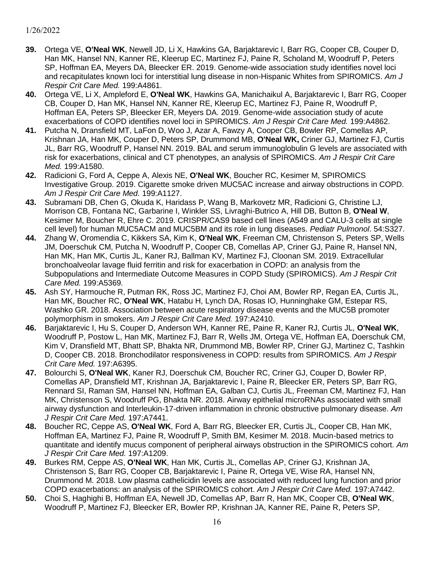- **39.** Ortega VE, **O'Neal WK**, Newell JD, Li X, Hawkins GA, Barjaktarevic I, Barr RG, Cooper CB, Couper D, Han MK, Hansel NN, Kanner RE, Kleerup EC, Martinez FJ, Paine R, Scholand M, Woodruff P, Peters SP, Hoffman EA, Meyers DA, Bleecker ER. 2019. Genome-wide association study identifies novel loci and recapitulates known loci for interstitial lung disease in non-Hispanic Whites from SPIROMICS. *Am J Respir Crit Care Med.* 199:A4861.
- **40.** Ortega VE, Li X, Ampleford E, **O'Neal WK**, Hawkins GA, Manichaikul A, Barjaktarevic I, Barr RG, Cooper CB, Couper D, Han MK, Hansel NN, Kanner RE, Kleerup EC, Martinez FJ, Paine R, Woodruff P, Hoffman EA, Peters SP, Bleecker ER, Meyers DA. 2019. Genome-wide association study of acute exacerbations of COPD identifies novel loci in SPIROMICS. *Am J Respir Crit Care Med.* 199:A4862.
- **41.** Putcha N, Dransfield MT, LaFon D, Woo J, Azar A, Fawzy A, Cooper CB, Bowler RP, Comellas AP, Krishnan JA, Han MK, Couper D, Peters SP, Drummond MB, **O'Neal WK,** Criner GJ, Martinez FJ, Curtis JL, Barr RG, Woodruff P, Hansel NN. 2019. BAL and serum immunoglobulin G levels are associated with risk for exacerbations, clinical and CT phenotypes, an analysis of SPIROMICS. *Am J Respir Crit Care Med.* 199:A1580.
- **42.** Radicioni G, Ford A, Ceppe A, Alexis NE, **O'Neal WK**, Boucher RC, Kesimer M, SPIROMICS Investigative Group. 2019. Cigarette smoke driven MUC5AC increase and airway obstructions in COPD. *Am J Respir Crit Care Med.* 199:A1127.
- **43.** Subramani DB, Chen G, Okuda K, Haridass P, Wang B, Markovetz MR, Radicioni G, Christine LJ, Morrison CB, Fontana NC, Garbarine I, Winkler SS, Livraghi-Butrico A, Hill DB, Button B, **O'Neal W**, Kesimer M, Boucher R, Ehre C. 2019. CRISPR/CAS9 based cell lines (A549 and CALU-3 cells at single cell level) for human MUC5ACM and MUC5BM and its role in lung diseases. *Pediatr Pulmonol*. 54:S327.
- **44.** Zhang W, Oromendia C, Kikkers SA, Kim K, **O'Neal WK**, Freeman CM, Christenson S, Peters SP, Wells JM, Doerschuk CM, Putcha N, Woodruff P, Cooper CB, Comellas AP, Criner GJ, Paine R, Hansel NN, Han MK, Han MK, Curtis JL, Kaner RJ, Ballman KV, Martinez FJ, Cloonan SM. 2019. Extracellular bronchoalveolar lavage fluid ferritin and risk for exacerbation in COPD: an analysis from the Subpopulations and Intermediate Outcome Measures in COPD Study (SPIROMICS). *Am J Respir Crit Care Med.* 199:A5369.
- **45.** Ash SY, Harmouche R, Putman RK, Ross JC, Martinez FJ, Choi AM, Bowler RP, Regan EA, Curtis JL, Han MK, Boucher RC, **O'Neal WK**, Hatabu H, Lynch DA, Rosas IO, Hunninghake GM, Estepar RS, Washko GR. 2018. Association between acute respiratory disease events and the MUC5B promoter polymorphism in smokers. *Am J Respir Crit Care Med.* 197:A2410.
- **46.** Barjaktarevic I, Hu S, Couper D, Anderson WH, Kanner RE, Paine R, Kaner RJ, Curtis JL, **O'Neal WK**, Woodruff P, Postow L, Han MK, Martinez FJ, Barr R, Wells JM, Ortega VE, Hoffman EA, Doerschuk CM, Kim V, Dransfield MT, Bhatt SP, Bhakta NR, Drummond MB, Bowler RP, Criner GJ, Martinez C, Tashkin D, Cooper CB. 2018. Bronchodilator responsiveness in COPD: results from SPIROMICS. *Am J Respir Crit Care Med.* 197:A6395.
- **47.** Bolourchi S, **O'Neal WK**, Kaner RJ, Doerschuk CM, Boucher RC, Criner GJ, Couper D, Bowler RP, Comellas AP, Dransfield MT, Krishnan JA, Barjaktarevic I, Paine R, Bleecker ER, Peters SP, Barr RG, Rennard SI, Raman SM, Hansel NN, Hoffman EA, Galban CJ, Curtis JL, Freeman CM, Martinez FJ, Han MK, Christenson S, Woodruff PG, Bhakta NR. 2018. Airway epithelial microRNAs associated with small airway dysfunction and Interleukin-17-driven inflammation in chronic obstructive pulmonary disease. *Am J Respir Crit Care Med.* 197:A7441.
- **48.** Boucher RC, Ceppe AS, **O'Neal WK**, Ford A, Barr RG, Bleecker ER, Curtis JL, Cooper CB, Han MK, Hoffman EA, Martinez FJ, Paine R, Woodruff P, Smith BM, Kesimer M. 2018. Mucin-based metrics to quantitate and identify mucus component of peripheral airways obstruction in the SPIROMICS cohort. *Am J Respir Crit Care Med.* 197:A1209.
- **49.** Burkes RM, Ceppe AS, **O'Neal WK**, Han MK, Curtis JL, Comellas AP, Criner GJ, Krishnan JA, Christenson S, Barr RG, Cooper CB, Barjaktarevic I, Paine R, Ortega VE, Wise RA, Hansel NN, Drummond M. 2018. Low plasma cathelicidin levels are associated with reduced lung function and prior COPD exacerbations: an analysis of the SPIROMICS cohort. *Am J Respir Crit Care Med.* 197:A7442.
- **50.** Choi S, Haghighi B, Hoffman EA, Newell JD, Comellas AP, Barr R, Han MK, Cooper CB, **O'Neal WK**, Woodruff P, Martinez FJ, Bleecker ER, Bowler RP, Krishnan JA, Kanner RE, Paine R, Peters SP,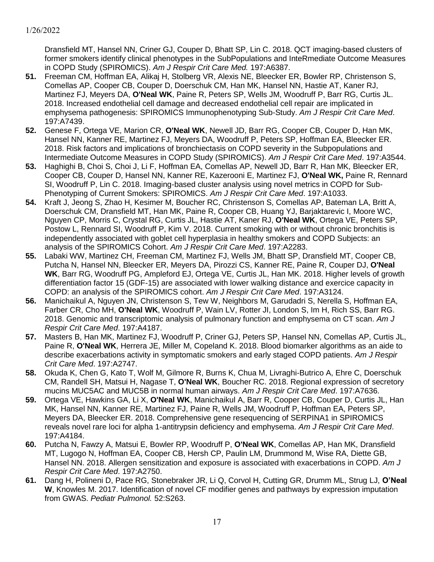Dransfield MT, Hansel NN, Criner GJ, Couper D, Bhatt SP, Lin C. 2018. QCT imaging-based clusters of former smokers identify clinical phenotypes in the SubPopulations and InteRmediate Outcome Measures in COPD Study (SPIROMICS). *Am J Respir Crit Care Med.* 197:A6387.

- **51.** Freeman CM, Hoffman EA, Alikaj H, Stolberg VR, Alexis NE, Bleecker ER, Bowler RP, Christenson S, Comellas AP, Cooper CB, Couper D, Doerschuk CM, Han MK, Hansel NN, Hastie AT, Kaner RJ, Martinez FJ, Meyers DA, **O'Neal WK**, Paine R, Peters SP, Wells JM, Woodruff P, Barr RG, Curtis JL. 2018. Increased endothelial cell damage and decreased endothelial cell repair are implicated in emphysema pathogenesis: SPIROMICS Immunophenotyping Sub-Study. *Am J Respir Crit Care Med*. 197:A7439.
- **52.** Genese F, Ortega VE, Marion CR, **O'Neal WK**, Newell JD, Barr RG, Cooper CB, Couper D, Han MK, Hansel NN, Kanner RE, Martinez FJ, Meyers DA, Woodruff P, Peters SP, Hoffman EA, Bleecker ER. 2018. Risk factors and implications of bronchiectasis on COPD severity in the Subpopulations and Intermediate Outcome Measures in COPD Study (SPIROMICS). *Am J Respir Crit Care Med*. 197:A3544.
- **53.** Haghighi B, Choi S, Choi J, Li F, Hoffman EA, Comellas AP, Newell JD, Barr R, Han MK, Bleecker ER, Cooper CB, Couper D, Hansel NN, Kanner RE, Kazerooni E, Martinez FJ, **O'Neal WK,** Paine R, Rennard SI, Woodruff P, Lin C. 2018. Imaging-based cluster analysis using novel metrics in COPD for Sub-Phenotyping of Current Smokers: SPIROMICS. *Am J Respir Crit Care Med*. 197:A1033.
- **54.** Kraft J, Jeong S, Zhao H, Kesimer M, Boucher RC, Christenson S, Comellas AP, Bateman LA, Britt A, Doerschuk CM, Dransfield MT, Han MK, Paine R, Cooper CB, Huang YJ, Barjaktarevic I, Moore WC, Nguyen CP, Morris C, Crystal RG, Curtis JL, Hastie AT, Kaner RJ, **O'Neal WK**, Ortega VE, Peters SP, Postow L, Rennard SI, Woodruff P, Kim V. 2018. Current smoking with or without chronic bronchitis is independently associated with goblet cell hyperplasia in healthy smokers and COPD Subjects: an analysis of the SPIROMICS Cohort. *Am J Respir Crit Care Med*. 197:A2283.
- **55.** Labaki WW, Martinez CH, Freeman CM, Martinez FJ, Wells JM, Bhatt SP, Dransfield MT, Cooper CB, Putcha N, Hansel NN, Bleecker ER, Meyers DA, Pirozzi CS, Kanner RE, Paine R, Couper DJ, **O'Neal WK**, Barr RG, Woodruff PG, Ampleford EJ, Ortega VE, Curtis JL, Han MK. 2018. Higher levels of growth differentiation factor 15 (GDF-15) are associated with lower walking distance and exercice capacity in COPD: an analysis of the SPIROMICS cohort. *Am J Respir Crit Care Med*. 197:A3124.
- **56.** Manichaikul A, Nguyen JN, Christenson S, Tew W, Neighbors M, Garudadri S, Nerella S, Hoffman EA, Farber CR, Cho MH, **O'Neal WK**, Woodruff P, Wain LV, Rotter JI, London S, Im H, Rich SS, Barr RG. 2018. Genomic and transcriptomic analysis of pulmonary function and emphysema on CT scan. *Am J Respir Crit Care Med*. 197:A4187.
- **57.** Masters B, Han MK, Martinez FJ, Woodruff P, Criner GJ, Peters SP, Hansel NN, Comellas AP, Curtis JL, Paine R, **O'Neal WK**, Herrera JE, Miller M, Copeland K. 2018. Blood biomarker algorithms as an aide to describe exacerbations activity in symptomatic smokers and early staged COPD patients. *Am J Respir Crit Care Med*. 197:A2747.
- **58.** Okuda K, Chen G, Kato T, Wolf M, Gilmore R, Burns K, Chua M, Livraghi-Butrico A, Ehre C, Doerschuk CM, Randell SH, Matsui H, Nagase T, **O'Neal WK**, Boucher RC. 2018. Regional expression of secretory mucins MUC5AC and MUC5B in normal human airways. *Am J Respir Crit Care Med*. 197:A7636.
- **59.** Ortega VE, Hawkins GA, Li X, **O'Neal WK**, Manichaikul A, Barr R, Cooper CB, Couper D, Curtis JL, Han MK, Hansel NN, Kanner RE, Martinez FJ, Paine R, Wells JM, Woodruff P, Hoffman EA, Peters SP, Meyers DA, Bleecker ER. 2018. Comprehensive gene resequencing of SERPINA1 in SPIROMICS reveals novel rare loci for alpha 1-antitrypsin deficiency and emphysema. *Am J Respir Crit Care Med*. 197:A4184.
- **60.** Putcha N, Fawzy A, Matsui E, Bowler RP, Woodruff P, **O'Neal WK**, Comellas AP, Han MK, Dransfield MT, Lugogo N, Hoffman EA, Cooper CB, Hersh CP, Paulin LM, Drummond M, Wise RA, Diette GB, Hansel NN. 2018. Allergen sensitization and exposure is associated with exacerbations in COPD. *Am J Respir Crit Care Med*. 197:A2750.
- **61.** Dang H, Polineni D, Pace RG, Stonebraker JR, Li Q, Corvol H, Cutting GR, Drumm ML, Strug LJ, **O'Neal W**, Knowles M. 2017. Identification of novel CF modifier genes and pathways by expression imputation from GWAS. *Pediatr Pulmonol.* 52:S263.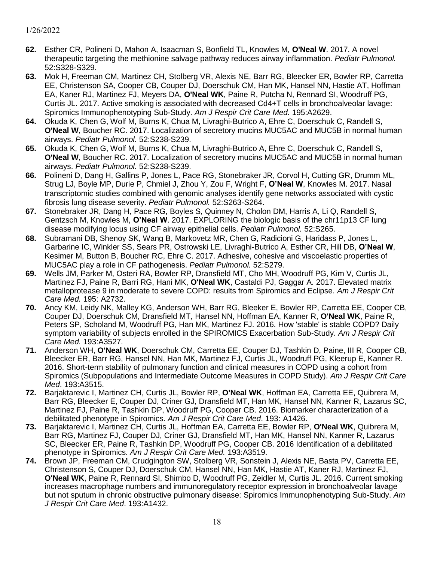- **62.** Esther CR, Polineni D, Mahon A, Isaacman S, Bonfield TL, Knowles M, **O'Neal W**. 2017. A novel therapeutic targeting the methionine salvage pathway reduces airway inflammation. *Pediatr Pulmonol.* 52:S328-S329.
- **63.** Mok H, Freeman CM, Martinez CH, Stolberg VR, Alexis NE, Barr RG, Bleecker ER, Bowler RP, Carretta EE, Christenson SA, Cooper CB, Couper DJ, Doerschuk CM, Han MK, Hansel NN, Hastie AT, Hoffman EA, Kaner RJ, Martinez FJ, Meyers DA, **O'Neal WK**, Paine R, Putcha N, Rennard SI, Woodruff PG, Curtis JL. 2017. Active smoking is associated with decreased Cd4+T cells in bronchoalveolar lavage: Spiromics Immunophenotyping Sub-Study. *Am J Respir Crit Care Med.* 195:A2629.
- **64.** Okuda K, Chen G, Wolf M, Burns K, Chua M, Livraghi-Butrico A, Ehre C, Doerschuk C, Randell S, **O'Neal W**, Boucher RC. 2017. Localization of secretory mucins MUC5AC and MUC5B in normal human airways. *Pediatr Pulmonol.* 52:S238-S239.
- **65.** Okuda K, Chen G, Wolf M, Burns K, Chua M, Livraghi-Butrico A, Ehre C, Doerschuk C, Randell S, **O'Neal W**, Boucher RC. 2017. Localization of secretory mucins MUC5AC and MUC5B in normal human airways. *Pediatr Pulmonol.* 52:S238-S239.
- **66.** Polineni D, Dang H, Gallins P, Jones L, Pace RG, Stonebraker JR, Corvol H, Cutting GR, Drumm ML, Strug LJ, Boyle MP, Durie P, Chmiel J, Zhou Y, Zou F, Wright F, **O'Neal W**, Knowles M. 2017. Nasal transcriptomic studies combined with genomic analyses identify gene networks associated with cystic fibrosis lung disease severity. *Pediatr Pulmonol.* 52:S263-S264.
- **67.** Stonebraker JR, Dang H, Pace RG, Boyles S, Quinney N, Cholon DM, Harris A, Li Q, Randell S, Gentzsch M, Knowles M, **O'Neal W**. 2017. EXPLORING the biologic basis of the chr11p13 CF lung disease modifying locus using CF airway epithelial cells. *Pediatr Pulmonol.* 52:S265.
- **68.** Subramani DB, Shenoy SK, Wang B, Markovetz MR, Chen G, Radicioni G, Haridass P, Jones L, Garbarine IC, Winkler SS, Sears PR, Ostrowski LE, Livraghi-Butrico A, Esther CR, Hill DB, **O'Neal W**, Kesimer M, Button B, Boucher RC, Ehre C. 2017. Adhesive, cohesive and viscoelastic properties of MUC5AC play a role in CF pathogenesis. *Pediatr Pulmonol.* 52:S279.
- **69.** Wells JM, Parker M, Osteri RA, Bowler RP, Dransfield MT, Cho MH, Woodruff PG, Kim V, Curtis JL, Martinez FJ, Paine R, Barri RG, Hani MK, **O'Neal WK**, Castaldi PJ, Gaggar A. 2017. Elevated matrix metalloprotease 9 in moderate to severe COPD: results from Spiromics and Eclipse. *Am J Respir Crit Care Med.* 195: A2732.
- **70.** Ancy KM, Leidy NK, Malley KG, Anderson WH, Barr RG, Bleeker E, Bowler RP, Carretta EE, Cooper CB, Couper DJ, Doerschuk CM, Dransfield MT, Hansel NN, Hoffman EA, Kanner R, **O'Neal WK**, Paine R, Peters SP, Scholand M, Woodruff PG, Han MK, Martinez FJ. 2016. How 'stable' is stable COPD? Daily symptom variability of subjects enrolled in the SPIROMICS Exacerbation Sub-Study. *Am J Respir Crit Care Med.* 193:A3527.
- **71.** Anderson WH, **O'Neal WK**, Doerschuk CM, Carretta EE, Couper DJ, Tashkin D, Paine, III R, Cooper CB, Bleecker ER, Barr RG, Hansel NN, Han MK, Martinez FJ, Curtis JL, Woodruff PG, Kleerup E, Kanner R. 2016. Short-term stability of pulmonary function and clinical measures in COPD using a cohort from Spiromics (Subpopulations and Intermediate Outcome Measures in COPD Study). *Am J Respir Crit Care Med*. 193:A3515.
- **72.** Barjaktarevic I, Martinez CH, Curtis JL, Bowler RP, **O'Neal WK**, Hoffman EA, Carretta EE, Quibrera M, Barr RG, Bleecker E, Couper DJ, Criner GJ, Dransfield MT, Han MK, Hansel NN, Kanner R, Lazarus SC, Martinez FJ, Paine R, Tashkin DP, Woodruff PG, Cooper CB. 2016. Biomarker characterization of a debilitated phenotype in Spiromics. *Am J Respir Crit Care Med*. 193: A1426.
- **73.** Barjaktarevic I, Martinez CH, Curtis JL, Hoffman EA, Carretta EE, Bowler RP, **O'Neal WK**, Quibrera M, Barr RG, Martinez FJ, Couper DJ, Criner GJ, Dransfield MT, Han MK, Hansel NN, Kanner R, Lazarus SC, Bleecker ER, Paine R, Tashkin DP, Woodruff PG, Cooper CB. 2016 Identification of a debilitated phenotype in Spiromics. *Am J Respir Crit Care Med.* 193:A3519.
- **74.** Brown JP, Freeman CM, Crudgington SW, Stolberg VR, Sonstein J, Alexis NE, Basta PV, Carretta EE, Christenson S, Couper DJ, Doerschuk CM, Hansel NN, Han MK, Hastie AT, Kaner RJ, Martinez FJ, **O'Neal WK**, Paine R, Rennard SI, Shimbo D, Woodruff PG, Zeidler M, Curtis JL. 2016. Current smoking increases macrophage numbers and immunoregulatory receptor expression in bronchoalveolar lavage but not sputum in chronic obstructive pulmonary disease: Spiromics Immunophenotyping Sub-Study. *Am J Respir Crit Care Med*. 193:A1432.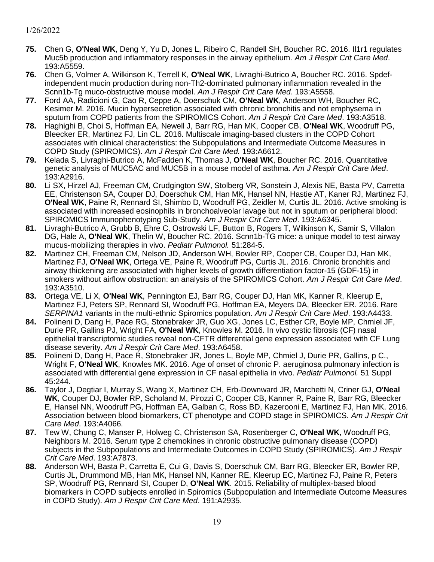- **75.** Chen G, **O'Neal WK**, Deng Y, Yu D, Jones L, Ribeiro C, Randell SH, Boucher RC. 2016. Il1r1 regulates Muc5b production and inflammatory responses in the airway epithelium. *Am J Respir Crit Care Med*. 193:A5559.
- **76.** Chen G, Volmer A, Wilkinson K, Terrell K, **O'Neal WK**, Livraghi-Butrico A, Boucher RC. 2016. Spdefindependent mucin production during non-Th2-dominated pulmonary inflammation revealed in the Scnn1b-Tg muco-obstructive mouse model. *Am J Respir Crit Care Med*. 193:A5558.
- **77.** Ford AA, Radicioni G, Cao R, Ceppe A, Doerschuk CM, **O'Neal WK**, Anderson WH, Boucher RC, Kesimer M. 2016. Mucin hypersecretion associated with chronic bronchitis and not emphysema in sputum from COPD patients from the SPIROMICS Cohort. *Am J Respir Crit Care Med*. 193:A3518.
- **78.** Haghighi B, Choi S, Hoffman EA, Newell J, Barr RG, Han MK, Cooper CB, **O'Neal WK**, Woodruff PG, Bleecker ER, Martinez FJ, Lin CL. 2016. Multiscale imaging-based clusters in the COPD Cohort associates with clinical characteristics: the Subpopulations and Intermediate Outcome Measures in COPD Study (SPIROMICS). *Am J Respir Crit Care Med.* 193:A6612.
- **79.** Kelada S, Livraghi-Butrico A, McFadden K, Thomas J, **O'Neal WK**, Boucher RC. 2016. Quantitative genetic analysis of MUC5AC and MUC5B in a mouse model of asthma. *Am J Respir Crit Care Med*. 193:A2916.
- **80.** Li SX, Hirzel AJ, Freeman CM, Crudgington SW, Stolberg VR, Sonstein J, Alexis NE, Basta PV, Carretta EE, Christenson SA, Couper DJ, Doerschuk CM, Han MK, Hansel NN, Hastie AT, Kaner RJ, Martinez FJ, **O'Neal WK**, Paine R, Rennard SI, Shimbo D, Woodruff PG, Zeidler M, Curtis JL. 2016. Active smoking is associated with increased eosinophils in bronchoalveolar lavage but not in sputum or peripheral blood: SPIROMICS Immunophenotyping Sub-Study. *Am J Respir Crit Care Med*. 193:A6345.
- **81.** Livraghi-Butrico A, Grubb B, Ehre C, Ostrowski LF, Button B, Rogers T, Wilkinson K, Samir S, Villalon DG, Hale A, **O'Neal WK**, Thelin W, Boucher RC. 2016. Scnn1b-TG mice: a unique model to test airway mucus-mobilizing therapies in vivo. *Pediatr Pulmonol.* 51:284-5.
- **82.** Martinez CH, Freeman CM, Nelson JD, Anderson WH, Bowler RP, Cooper CB, Couper DJ, Han MK, Martinez FJ, **O'Neal WK**, Ortega VE, Paine R, Woodruff PG, Curtis JL. 2016. Chronic bronchitis and airway thickening are associated with higher levels of growth differentiation factor-15 (GDF-15) in smokers without airflow obstruction: an analysis of the SPIROMICS Cohort. *Am J Respir Crit Care Med*. 193:A3510.
- **83.** Ortega VE, Li X, **O'Neal WK**, Pennington EJ, Barr RG, Couper DJ, Han MK, Kanner R, Kleerup E, Martinez FJ, Peters SP, Rennard SI, Woodruff PG, Hoffman EA, Meyers DA, Bleecker ER. 2016. Rare *SERPINA1* variants in the multi-ethnic Spiromics population. *Am J Respir Crit Care Med*. 193:A4433.
- **84.** Polineni D, Dang H, Pace RG, Stonebraker JR, Guo XG, Jones LC, Esther CR, Boyle MP, Chmiel JF, Durie PR, Gallins PJ, Wright FA, **O'Neal WK**, Knowles M. 2016. In vivo cystic fibrosis (CF) nasal epithelial transcriptomic studies reveal non-CFTR differential gene expression associated with CF Lung disease severity. *Am J Respir Crit Care Med*. 193:A6458.
- **85.** Polineni D, Dang H, Pace R, Stonebraker JR, Jones L, Boyle MP, Chmiel J, Durie PR, Gallins, p C., Wright F, **O'Neal WK**, Knowles MK. 2016. Age of onset of chronic P. aeruginosa pulmonary infection is associated with differential gene expression in CF nasal epithelia in vivo. *Pediatr Pulmonol.* 51 Suppl 45:244.
- **86.** Taylor J, Degtiar I, Murray S, Wang X, Martinez CH, Erb-Downward JR, Marchetti N, Criner GJ, **O'Neal WK**, Couper DJ, Bowler RP, Scholand M, Pirozzi C, Cooper CB, Kanner R, Paine R, Barr RG, Bleecker E, Hansel NN, Woodruff PG, Hoffman EA, Galban C, Ross BD, Kazerooni E, Martinez FJ, Han MK. 2016. Association between blood biomarkers, CT phenotype and COPD stage in SPIROMICS. *Am J Respir Crit Care Med*. 193:A4066.
- **87.** Tew W, Chung C, Manser P, Holweg C, Christenson SA, Rosenberger C, **O'Neal WK**, Woodruff PG, Neighbors M. 2016. Serum type 2 chemokines in chronic obstructive pulmonary disease (COPD) subjects in the Subpopulations and Intermediate Outcomes in COPD Study (SPIROMICS). *Am J Respir Crit Care Med*. 193:A7873.
- **88.** Anderson WH, Basta P, Carretta E, Cui G, Davis S, Doerschuk CM, Barr RG, Bleecker ER, Bowler RP, Curtis JL, Drummond MB, Han MK, Hansel NN, Kanner RE, Kleerup EC, Martinez FJ, Paine R, Peters SP, Woodruff PG, Rennard SI, Couper D, **O'Neal WK**. 2015. Reliability of multiplex-based blood biomarkers in COPD subjects enrolled in Spiromics (Subpopulation and Intermediate Outcome Measures in COPD Study). *Am J Respir Crit Care Med*. 191:A2935.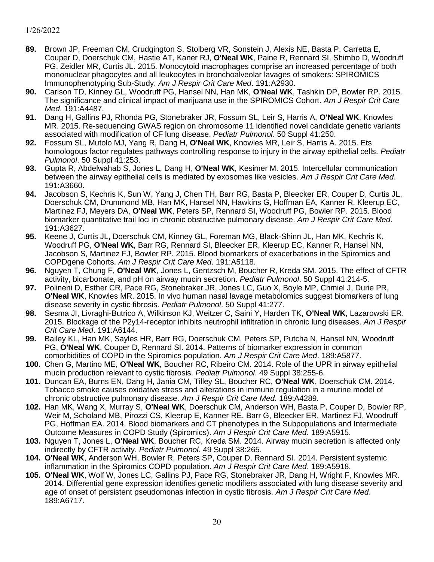- **89.** Brown JP, Freeman CM, Crudgington S, Stolberg VR, Sonstein J, Alexis NE, Basta P, Carretta E, Couper D, Doerschuk CM, Hastie AT, Kaner RJ, **O'Neal WK**, Paine R, Rennard SI, Shimbo D, Woodruff PG, Zeidler MR, Curtis JL. 2015. Monocytoid macrophages comprise an increased percentage of both mononuclear phagocytes and all leukocytes in bronchoalveolar lavages of smokers: SPIROMICS Immunophenotyping Sub-Study. *Am J Respir Crit Care Med*. 191:A2930.
- **90.** Carlson TD, Kinney GL, Woodruff PG, Hansel NN, Han MK, **O'Neal WK**, Tashkin DP, Bowler RP. 2015. The significance and clinical impact of marijuana use in the SPIROMICS Cohort. *Am J Respir Crit Care Med*. 191:A4487.
- **91.** Dang H, Gallins PJ, Rhonda PG, Stonebraker JR, Fossum SL, Leir S, Harris A, **O'Neal WK**, Knowles MR. 2015. Re-sequencing GWAS region on chromosome 11 identified novel candidate genetic variants associated with modification of CF lung disease. *Pediatr Pulmonol*. 50 Suppl 41:250.
- **92.** Fossum SL, Mutolo MJ, Yang R, Dang H, **O'Neal WK**, Knowles MR, Leir S, Harris A. 2015. Ets homologous factor regulates pathways controlling response to injury in the airway epithelial cells. *Pediatr Pulmonol*. 50 Suppl 41:253.
- **93.** Gupta R, Abdelwahab S, Jones L, Dang H, **O'Neal WK**, Kesimer M. 2015. Intercellular communication between the airway epithelial cells is mediated by exosomes like vesicles. *Am J Respir Crit Care Med*. 191:A3660.
- **94.** Jacobson S, Kechris K, Sun W, Yang J, Chen TH, Barr RG, Basta P, Bleecker ER, Couper D, Curtis JL, Doerschuk CM, Drummond MB, Han MK, Hansel NN, Hawkins G, Hoffman EA, Kanner R, Kleerup EC, Martinez FJ, Meyers DA, **O'Neal WK**, Peters SP, Rennard SI, Woodruff PG, Bowler RP. 2015. Blood biomarker quantitative trail loci in chronic obstructive pulmonary disease. *Am J Respir Crit Care Med*. 191:A3627.
- **95.** Keene J, Curtis JL, Doerschuk CM, Kinney GL, Foreman MG, Black-Shinn JL, Han MK, Kechris K, Woodruff PG, **O'Neal WK**, Barr RG, Rennard SI, Bleecker ER, Kleerup EC, Kanner R, Hansel NN, Jacobson S, Martinez FJ, Bowler RP. 2015. Blood biomarkers of exacerbations in the Spiromics and COPDgene Cohorts. *Am J Respir Crit Care Med*. 191:A5118.
- **96.** Nguyen T, Chung F, **O'Neal WK**, Jones L, Gentzsch M, Boucher R, Kreda SM. 2015. The effect of CFTR activity, bicarbonate, and pH on airway mucin secretion. *Pediatr Pulmonol*. 50 Suppl 41:214-5.
- **97.** Polineni D, Esther CR, Pace RG, Stonebraker JR, Jones LC, Guo X, Boyle MP, Chmiel J, Durie PR, **O'Neal WK**, Knowles MR. 2015. In vivo human nasal lavage metabolomics suggest biomarkers of lung disease severity in cystic fibrosis. *Pediatr Pulmonol*. 50 Suppl 41:277.
- **98.** Sesma JI, Livraghi-Butrico A, Wilkinson KJ, Weitzer C, Saini Y, Harden TK, **O'Neal WK**, Lazarowski ER. 2015. Blockage of the P2y14-receptor inhibits neutrophil infiltration in chronic lung diseases. *Am J Respir Crit Care Med*. 191:A6144.
- **99.** Bailey KL, Han MK, Sayles HR, Barr RG, Doerschuk CM, Peters SP, Putcha N, Hansel NN, Woodruff PG, **O'Neal WK**, Couper D, Rennard SI. 2014. Patterns of biomarker expression in common comorbidities of COPD in the Spiromics population. *Am J Respir Crit Care Med*. 189:A5877.
- **100.** Chen G, Martino ME, **O'Neal WK**, Boucher RC, Ribeiro CM. 2014. Role of the UPR in airway epithelial mucin production relevant to cystic fibrosis. *Pediatr Pulmonol*. 49 Suppl 38:255-6.
- **101.** Duncan EA, Burns EN, Dang H, Jania CM, Tilley SL, Boucher RC, **O'Neal WK**, Doerschuk CM. 2014. Tobacco smoke causes oxidative stress and alterations in immune regulation in a murine model of chronic obstructive pulmonary disease. *Am J Respir Crit Care Med*. 189:A4289.
- **102.** Han MK, Wang X, Murray S, **O'Neal WK**, Doerschuk CM, Anderson WH, Basta P, Couper D, Bowler RP, Weir M, Scholand MB, Pirozzi CS, Kleerup E, Kanner RE, Barr G, Bleecker ER, Martinez FJ, Woodruff PG, Hoffman EA. 2014. Blood biomarkers and CT phenotypes in the Subpopulations and Intermediate Outcome Measures in COPD Study (Spiromics). *Am J Respir Crit Care Med*. 189:A5915.
- **103.** Nguyen T, Jones L, **O'Neal WK**, Boucher RC, Kreda SM. 2014. Airway mucin secretion is affected only indirectly by CFTR activity. *Pediatr Pulmonol*. 49 Suppl 38:265.
- **104. O'Neal WK**, Anderson WH, Bowler R, Peters SP, Couper D, Rennard SI. 2014. Persistent systemic inflammation in the Spiromics COPD population. *Am J Respir Crit Care Med*. 189:A5918.
- **105. O'Neal WK**, Wolf W, Jones LC, Gallins PJ, Pace RG, Stonebraker JR, Dang H, Wright F, Knowles MR. 2014. Differential gene expression identifies genetic modifiers associated with lung disease severity and age of onset of persistent pseudomonas infection in cystic fibrosis. *Am J Respir Crit Care Med*. 189:A6717.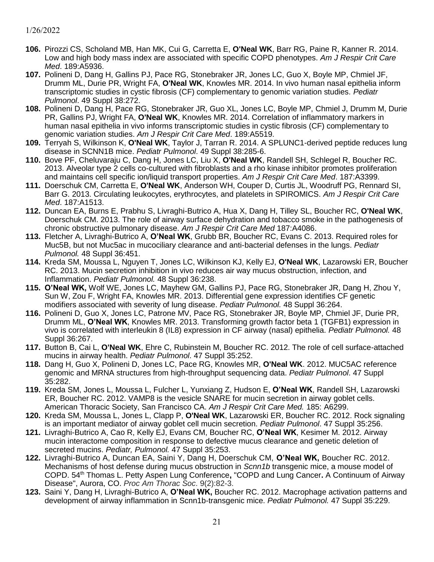- **106.** Pirozzi CS, Scholand MB, Han MK, Cui G, Carretta E, **O'Neal WK**, Barr RG, Paine R, Kanner R. 2014. Low and high body mass index are associated with specific COPD phenotypes. *Am J Respir Crit Care Med*. 189:A5936.
- **107.** Polineni D, Dang H, Gallins PJ, Pace RG, Stonebraker JR, Jones LC, Guo X, Boyle MP, Chmiel JF, Drumm ML, Durie PR, Wright FA, **O'Neal WK**, Knowles MR. 2014. In vivo human nasal epithelia inform transcriptomic studies in cystic fibrosis (CF) complementary to genomic variation studies. *Pediatr Pulmonol*. 49 Suppl 38:272.
- **108.** Polineni D, Dang H, Pace RG, Stonebraker JR, Guo XL, Jones LC, Boyle MP, Chmiel J, Drumm M, Durie PR, Gallins PJ, Wright FA, **O'Neal WK**, Knowles MR. 2014. Correlation of inflammatory markers in human nasal epithelia in vivo informs transcriptomic studies in cystic fibrosis (CF) complementary to genomic variation studies. *Am J Respir Crit Care Med*. 189:A5519.
- **109.** Terryah S, Wilkinson K, **O'Neal WK**, Taylor J, Tarran R. 2014. A SPLUNC1-derived peptide reduces lung disease in SCNN1B mice. *Pediatr Pulmonol*. 49 Suppl 38:285-6.
- **110.** Bove PF, Cheluvaraju C, Dang H, Jones LC, Liu X, **O'Neal WK**, Randell SH, Schlegel R, Boucher RC. 2013. Alveolar type 2 cells co-cultured with fibroblasts and a rho kinase inhibitor promotes proliferation and maintains cell specific ion/liquid transport properties. *Am J Respir Crit Care Med*. 187:A3399.
- **111.** Doerschuk CM, Carretta E, **O'Neal WK**, Anderson WH, Couper D, Curtis JL, Woodruff PG, Rennard SI, Barr G. 2013. Circulating leukocytes, erythrocytes, and platelets in SPIROMICS. *Am J Respir Crit Care Med*. 187:A1513.
- **112.** Duncan EA, Burns E, Prabhu S, Livraghi-Butrico A, Hua X, Dang H, Tilley SL, Boucher RC, **O'Neal WK**, Doerschuk CM. 2013. The role of airway surface dehydration and tobacco smoke in the pathogenesis of chronic obstructive pulmonary disease. *Am J Respir Crit Care Med* 187:A4086.
- **113.** Fletcher A, Livraghi-Butrico A, **O'Neal WK**, Grubb BR, Boucher RC, Evans C. 2013. Required roles for Muc5B, but not Muc5ac in mucociliary clearance and anti-bacterial defenses in the lungs. *Pediatr Pulmonol.* 48 Suppl 36:451.
- **114.** Kreda SM, Moussa L, Nguyen T, Jones LC, Wilkinson KJ, Kelly EJ, **O'Neal WK**, Lazarowski ER, Boucher RC. 2013. Mucin secretion inhibition in vivo reduces air way mucus obstruction, infection, and Inflammation. *Pediatr Pulmonol.* 48 Suppl 36:238.
- **115. O'Neal WK,** Wolf WE, Jones LC, Mayhew GM, Gallins PJ, Pace RG, Stonebraker JR, Dang H, Zhou Y, Sun W, Zou F, Wright FA, Knowles MR. 2013. Differential gene expression identifies CF genetic modifiers associated with severity of lung disease. *Pediatr Pulmonol.* 48 Suppl 36:264.
- **116.** Polineni D, Guo X, Jones LC, Patrone MV, Pace RG, Stonebraker JR, Boyle MP, Chmiel JF, Durie PR, Drumm ML, **O'Neal WK**, Knowles MR. 2013. Transforming growth factor beta 1 (TGFB1) expression in vivo is correlated with interleukin 8 (IL8) expression in CF airway (nasal) epithelia. *Pediatr Pulmonol.* 48 Suppl 36:267.
- **117.** Button B, Cai L, **O'Neal WK**, Ehre C, Rubinstein M, Boucher RC. 2012. The role of cell surface-attached mucins in airway health. *Pediatr Pulmonol*. 47 Suppl 35:252.
- **118.** Dang H, Guo X, Polineni D, Jones LC, Pace RG, Knowles MR, **O'Neal WK**. 2012. MUC5AC reference genomic and MRNA structures from high-throughput sequencing data. *Pediatr Pulmonol*. 47 Suppl 35:282.
- **119.** Kreda SM, Jones L, Moussa L, Fulcher L, Yunxiang Z, Hudson E, **O'Neal WK**, Randell SH, Lazarowski ER, Boucher RC. 2012. VAMP8 is the vesicle SNARE for mucin secretion in airway goblet cells. American Thoracic Society, San Francisco CA. *Am J Respir Crit Care Med.* 185: A6299.
- **120.** Kreda SM, Moussa L, Jones L, Clapp P, **O'Neal WK**, Lazarowski ER, Boucher RC. 2012. Rock signaling is an important mediator of airway goblet cell mucin secretion. *Pediatr Pulmonol*. 47 Suppl 35:256.
- **121.** Livraghi-Butrico A, Cao R, Kelly EJ, Evans CM, Boucher RC, **O'Neal WK**, Kesimer M. 2012. Airway mucin interactome composition in response to defective mucus clearance and genetic deletion of secreted mucins. *Pediatr, Pulmonol.* 47 Suppl 35:253.
- **122.** Livraghi-Butrico A, Duncan EA, Saini Y, Dang H, Doerschuk CM, **O'Neal WK,** Boucher RC. 2012. Mechanisms of host defense during mucus obstruction in *Scnn1b* transgenic mice, a mouse model of COPD. 54th Thomas L. Petty Aspen Lung Conference**,** "COPD and Lung Cancer**.** A Continuum of Airway Disease", Aurora, CO. *Proc Am Thorac Soc*. 9(2):82-3.
- **123.** Saini Y, Dang H, Livraghi-Butrico A, **O'Neal WK,** Boucher RC. 2012. Macrophage activation patterns and development of airway inflammation in Scnn1b-transgenic mice. *Pediatr Pulmonol.* 47 Suppl 35:229.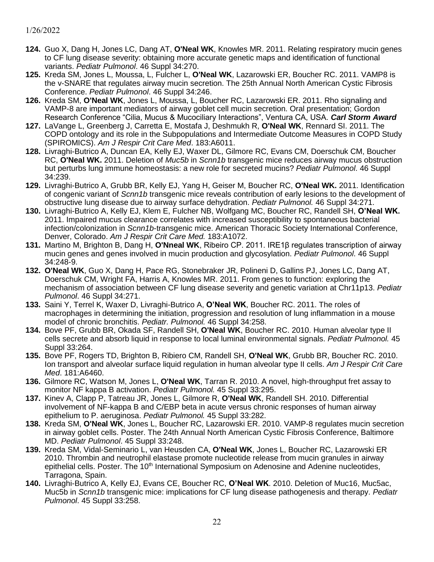- **124.** Guo X, Dang H, Jones LC, Dang AT, **O'Neal WK**, Knowles MR. 2011. Relating respiratory mucin genes to CF lung disease severity: obtaining more accurate genetic maps and identification of functional variants. *Pediatr Pulmonol*. 46 Suppl 34:270.
- **125.** [Kreda SM,](http://www.ncbi.nlm.nih.gov/sites/entrez?Db=pubmed&Cmd=Search&Term=%22Kreda%20SM%22%5BAuthor%5D&itool=EntrezSystem2.PEntrez.Pubmed.Pubmed_ResultsPanel.Pubmed_RVAbstract) Jones L, Moussa, L, Fulcher L, **O'Neal WK**, [Lazarowski ER,](http://www.ncbi.nlm.nih.gov/sites/entrez?Db=pubmed&Cmd=Search&Term=%22Lazarowski%20ER%22%5BAuthor%5D&itool=EntrezSystem2.PEntrez.Pubmed.Pubmed_ResultsPanel.Pubmed_RVAbstract) Boucher RC. 2011. VAMP8 is the v-SNARE that regulates airway mucin secretion. The 25th Annual North American Cystic Fibrosis Conference. *Pediatr Pulmonol*. 46 Suppl 34:246.
- **126.** [Kreda SM,](http://www.ncbi.nlm.nih.gov/sites/entrez?Db=pubmed&Cmd=Search&Term=%22Kreda%20SM%22%5BAuthor%5D&itool=EntrezSystem2.PEntrez.Pubmed.Pubmed_ResultsPanel.Pubmed_RVAbstract) **O'Neal WK**, Jones L, Moussa, L, Boucher RC, [Lazarowski ER.](http://www.ncbi.nlm.nih.gov/sites/entrez?Db=pubmed&Cmd=Search&Term=%22Lazarowski%20ER%22%5BAuthor%5D&itool=EntrezSystem2.PEntrez.Pubmed.Pubmed_ResultsPanel.Pubmed_RVAbstract) 2011. Rho signaling and VAMP-8 are important mediators of airway goblet cell mucin secretion. Oral presentation; Gordon Research Conference "Cilia, Mucus & Mucociliary Interactions", Ventura CA, USA. *Carl Storm Award*
- **127.** LaVange L, Greenberg J, Carretta E, Mostafa J, Deshmukh R, **O'Neal WK**, Rennard SI. 2011. The COPD ontology and its role in the Subpopulations and Intermediate Outcome Measures in COPD Study (SPIROMICS). *Am J Respir Crit Care Med*. 183:A6011.
- **128.** Livraghi-Butrico A, Duncan EA, Kelly EJ, Waxer DL, Gilmore RC, Evans CM, Doerschuk CM, Boucher RC, **O'Neal WK.** 2011. Deletion of *Muc5b* in *Scnn1b* transgenic mice reduces airway mucus obstruction but perturbs lung immune homeostasis: a new role for secreted mucins? *Pediatr Pulmonol*. 46 Suppl 34:239.
- **129.** Livraghi-Butrico A, Grubb BR, Kelly EJ, Yang H, Geiser M, Boucher RC, **O'Neal WK.** 2011. Identification of congenic variant of *Scnn1b* transgenic mice reveals contribution of early lesions to the development of obstructive lung disease due to airway surface dehydration. *Pediatr Pulmonol.* 46 Suppl 34:271.
- **130.** Livraghi-Butrico A, Kelly EJ, Klem E, Fulcher NB, Wolfgang MC, Boucher RC, Randell SH, **O'Neal WK.** 2011. Impaired mucus clearance correlates with increased susceptibility to spontaneous bacterial infection/colonization in *Scnn1b*-transgenic mice. American Thoracic Society International Conference, Denver, Colorado. *Am J Respir Crit Care Med.* 183:A1072.
- **131.** Martino M, Brighton B, Dang H, **O'Nneal WK**, Ribeiro CP. 2011. IRE1β regulates transcription of airway mucin genes and genes involved in mucin production and glycosylation. *Pediatr Pulmonol*. 46 Suppl 34:248-9.
- **132. O'Neal WK**, Guo X, Dang H, Pace RG, Stonebraker JR, Polineni D, Gallins PJ, Jones LC, Dang AT, Doerschuk CM, Wright FA, Harris A, Knowles MR. 2011. From genes to function: exploring the mechanism of association between CF lung disease severity and genetic variation at Chr11p13. *Pediatr Pulmonol*. 46 Suppl 34:271.
- **133.** Saini Y, Terrel K, Waxer D, Livraghi-Butrico A, **O'Neal WK**, Boucher RC. 2011. The roles of macrophages in determining the initiation, progression and resolution of lung inflammation in a mouse model of chronic bronchitis. *Pediatr. Pulmonol.* 46 Suppl 34:258.
- **134.** Bove PF, Grubb BR, Okada SF, Randell SH, **O'Neal WK**, Boucher RC. 2010. Human alveolar type II cells secrete and absorb liquid in response to local luminal environmental signals. *Pediatr Pulmonol.* 45 Suppl 33:264.
- **135.** Bove PF, Rogers TD, Brighton B, Ribiero CM, Randell SH, **O'Neal WK**, Grubb BR, Boucher RC. 2010. Ion transport and alveolar surface liquid regulation in human alveolar type II cells. *Am J Respir Crit Care Med*. 181:A6460.
- **136.** Gilmore RC, Watson M, Jones L, **O'Neal WK**, Tarran R. 2010. A novel, high-throughput fret assay to monitor NF kappa B activation. *Pediatr Pulmonol.* 45 Suppl 33:295.
- **137.** Kinev A, Clapp P, Tatreau JR, Jones L, Gilmore R, **O'Neal WK**, Randell SH. 2010. Differential involvement of NF-kappa B and C/EBP beta in acute versus chronic responses of human airway epithelium to P. aeruginosa. *Pediatr Pulmonol.* 45 Suppl 33:282.
- **138.** [Kreda SM,](http://www.ncbi.nlm.nih.gov/sites/entrez?Db=pubmed&Cmd=Search&Term=%22Kreda%20SM%22%5BAuthor%5D&itool=EntrezSystem2.PEntrez.Pubmed.Pubmed_ResultsPanel.Pubmed_RVAbstract) **O'Neal WK**, Jones L, Boucher RC, [Lazarowski ER.](http://www.ncbi.nlm.nih.gov/sites/entrez?Db=pubmed&Cmd=Search&Term=%22Lazarowski%20ER%22%5BAuthor%5D&itool=EntrezSystem2.PEntrez.Pubmed.Pubmed_ResultsPanel.Pubmed_RVAbstract) 2010. VAMP-8 regulates mucin secretion in airway goblet cells. Poster. The 24th Annual North American Cystic Fibrosis Conference, Baltimore MD. *Pediatr Pulmonol*. 45 Suppl 33:248.
- **139.** [Kreda SM,](http://www.ncbi.nlm.nih.gov/sites/entrez?Db=pubmed&Cmd=Search&Term=%22Kreda%20SM%22%5BAuthor%5D&itool=EntrezSystem2.PEntrez.Pubmed.Pubmed_ResultsPanel.Pubmed_RVAbstract) [Vidal-Seminario](http://www.ncbi.nlm.nih.gov/sites/entrez?Db=pubmed&Cmd=Search&Term=%22Okada%20SF%22%5BAuthor%5D&itool=EntrezSystem2.PEntrez.Pubmed.Pubmed_ResultsPanel.Pubmed_RVAbstract) L, [van Heusden CA,](http://www.ncbi.nlm.nih.gov/sites/entrez?Db=pubmed&Cmd=Search&Term=%22van%20Heusden%20CA%22%5BAuthor%5D&itool=EntrezSystem2.PEntrez.Pubmed.Pubmed_ResultsPanel.Pubmed_RVAbstract) **O'Neal WK**, Jones L, Boucher RC, [Lazarowski ER](http://www.ncbi.nlm.nih.gov/sites/entrez?Db=pubmed&Cmd=Search&Term=%22Lazarowski%20ER%22%5BAuthor%5D&itool=EntrezSystem2.PEntrez.Pubmed.Pubmed_ResultsPanel.Pubmed_RVAbstract) 2010. Thrombin and neutrophil elastase promote nucleotide release from mucin granules in airway epithelial cells. Poster. The 10<sup>th</sup> International Symposium on Adenosine and Adenine nucleotides, Tarragona, Spain.
- **140.** Livraghi-Butrico A, Kelly EJ, Evans CE, Boucher RC, **O'Neal WK**. 2010. Deletion of Muc16, Muc5ac, Muc5b in *Scnn1b* transgenic mice: implications for CF lung disease pathogenesis and therapy. *Pediatr Pulmonol*. 45 Suppl 33:258.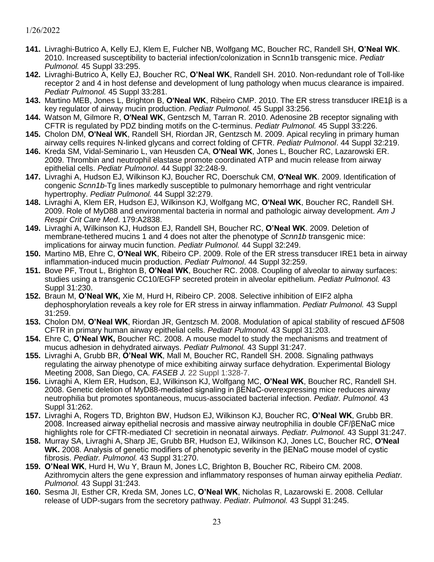- **141.** Livraghi-Butrico A, Kelly EJ, Klem E, Fulcher NB, Wolfgang MC, Boucher RC, Randell SH, **O'Neal WK**. 2010. Increased susceptibility to bacterial infection/colonization in Scnn1b transgenic mice. *Pediatr Pulmonol.* 45 Suppl 33:295.
- **142.** Livraghi-Butrico A, Kelly EJ, Boucher RC, **O'Neal WK**, Randell SH. 2010. Non-redundant role of Toll-like receptor 2 and 4 in host defense and development of lung pathology when mucus clearance is impaired. *Pediatr Pulmonol.* 45 Suppl 33:281.
- **143.** Martino MEB, Jones L, Brighton B, **O'Neal WK**, Ribeiro CMP. 2010. The ER stress transducer IRE1β is a key regulator of airway mucin production. *Pediatr Pulmonol.* 45 Suppl 33:256.
- **144.** Watson M, Gilmore R, **O'Neal WK**, Gentzsch M, Tarran R. 2010. Adenosine 2B receptor signaling with CFTR is regulated by PDZ binding motifs on the C-terminus. *Pediatr Pulmonol.* 45 Suppl 33:226.
- **145.** Cholon DM, **O'Neal WK**, Randell SH, Riordan JR, Gentzsch M. 2009. Apical recyling in primary human airway cells requires N-linked glycans and correct folding of CFTR. *Pediatr Pulmonol*. 44 Suppl 32:219.
- **146.** [Kreda SM,](http://www.ncbi.nlm.nih.gov/sites/entrez?Db=pubmed&Cmd=Search&Term=%22Kreda%20SM%22%5BAuthor%5D&itool=EntrezSystem2.PEntrez.Pubmed.Pubmed_ResultsPanel.Pubmed_RVAbstract) [Vidal-Seminario](http://www.ncbi.nlm.nih.gov/sites/entrez?Db=pubmed&Cmd=Search&Term=%22Okada%20SF%22%5BAuthor%5D&itool=EntrezSystem2.PEntrez.Pubmed.Pubmed_ResultsPanel.Pubmed_RVAbstract) L, [van Heusden CA,](http://www.ncbi.nlm.nih.gov/sites/entrez?Db=pubmed&Cmd=Search&Term=%22van%20Heusden%20CA%22%5BAuthor%5D&itool=EntrezSystem2.PEntrez.Pubmed.Pubmed_ResultsPanel.Pubmed_RVAbstract) **O'Neal WK**, Jones L, Boucher RC, [Lazarowski ER.](http://www.ncbi.nlm.nih.gov/sites/entrez?Db=pubmed&Cmd=Search&Term=%22Lazarowski%20ER%22%5BAuthor%5D&itool=EntrezSystem2.PEntrez.Pubmed.Pubmed_ResultsPanel.Pubmed_RVAbstract) 2009. Thrombin and neutrophil elastase promote coordinated ATP and mucin release from airway epithelial cells. *Pediatr Pulmonol*. 44 Suppl 32:248-9.
- **147.** Livraghi A, Hudson EJ, Wilkinson KJ, Boucher RC, Doerschuk CM, **O'Neal WK**. 2009. Identification of congenic *Scnn1b*-Tg lines markedly susceptible to pulmonary hemorrhage and right ventricular hypertrophy. *Pediatr Pulmonol.* 44 Suppl 32:279.
- **148.** Livraghi A, Klem ER, Hudson EJ, Wilkinson KJ, Wolfgang MC, **O'Neal WK**, Boucher RC, Randell SH. 2009. Role of MyD88 and environmental bacteria in normal and pathologic airway development. *Am J Respir Crit Care Med*. 179:A2838.
- **149.** Livraghi A, Wilkinson KJ, Hudson EJ, Randell SH, Boucher RC, **O'Neal WK**. 2009. Deletion of membrane-tethered mucins 1 and 4 does not alter the phenotype of *Scnn1b* transgenic mice: implications for airway mucin function. *Pediatr Pulmonol.* 44 Suppl 32:249.
- **150.** Martino MB, Ehre C, **O'Neal WK**, Ribeiro CP. 2009. Role of the ER stress transducer IRE1 beta in airway inflammation-induced mucin production. *Pediatr Pulmonol*. 44 Suppl 32:259.
- **151.** Bove PF, Trout L, Brighton B, **O'Neal WK**, Boucher RC. 2008. Coupling of alveolar to airway surfaces: studies using a transgenic CC10/EGFP secreted protein in alveolar epithelium. *Pediatr Pulmonol.* 43 Suppl 31:230.
- **152.** Braun M, **O'Neal WK,** Xie M, Hurd H, Ribeiro CP. 2008. Selective inhibition of EIF2 alpha dephosphorylation reveals a key role for ER stress in airway inflammation. *Pediatr Pulmonol.* 43 Suppl 31:259.
- **153.** Cholon DM, **O'Neal WK**, Riordan JR, Gentzsch M. 2008. Modulation of apical stability of rescued ΔF508 CFTR in primary human airway epithelial cells. *Pediatr Pulmonol.* 43 Suppl 31:203.
- **154.** Ehre C, **O'Neal WK,** Boucher RC. 2008. A mouse model to study the mechanisms and treatment of mucus adhesion in dehydrated airways. *Pediatr Pulmonol.* 43 Suppl 31:247.
- **155.** Livraghi A, Grubb BR, **O'Neal WK**, Mall M, Boucher RC, Randell SH. 2008. Signaling pathways regulating the airway phenotype of mice exhibiting airway surface dehydration. Experimental Biology Meeting 2008, San Diego, CA. *FASEB J.* 22 Suppl 1:328-7.
- **156.** Livraghi A, Klem ER, Hudson, EJ, Wilkinson KJ, Wolfgang MC, **O'Neal WK**, Boucher RC, Randell SH. 2008. Genetic deletion of MyD88-mediated signaling in βENaC-overexpressing mice reduces airway neutrophilia but promotes spontaneous, mucus-associated bacterial infection. *Pediatr. Pulmonol.* 43 Suppl 31:262.
- **157.** Livraghi A, Rogers TD, Brighton BW, Hudson EJ, Wilkinson KJ, Boucher RC, **O'Neal WK**, Grubb BR. 2008. Increased airway epithelial necrosis and massive airway neutrophilia in double CF/βENaC mice highlights role for CFTR-mediated Cl- secretioin in neonatal airways. *Pediatr. Pulmonol.* 43 Suppl 31:247.
- **158.** Murray SA, Livraghi A, Sharp JE, Grubb BR, Hudson EJ, Wilkinson KJ, Jones LC, Boucher RC, **O'Neal WK.** 2008. Analysis of genetic modifiers of phenotypic severity in the βENaC mouse model of cystic fibrosis. *Pediatr. Pulmonol.* 43 Suppl 31:270.
- **159. O'Neal WK**, Hurd H, Wu Y, Braun M, Jones LC, Brighton B, Boucher RC, Ribeiro CM. 2008. Azithromycin alters the gene expression and inflammatory responses of human airway epithelia *Pediatr. Pulmonol.* 43 Suppl 31:243.
- **160.** Sesma JI, Esther CR, Kreda SM, Jones LC, **O'Neal WK**, Nicholas R, Lazarowski E. 2008. Cellular release of UDP-sugars from the secretory pathway. *Pediatr. Pulmonol.* 43 Suppl 31:245.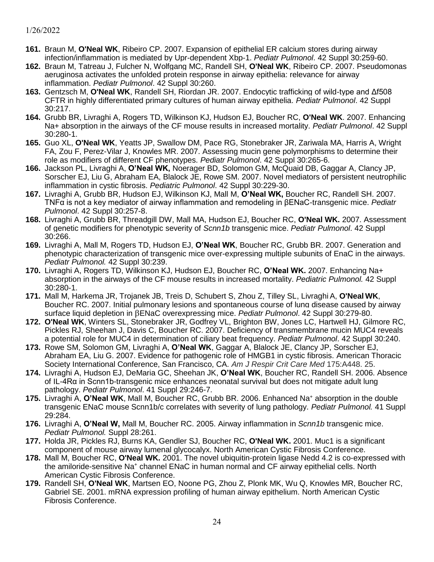- **161.** Braun M, **O'Neal WK**, Ribeiro CP. 2007. Expansion of epithelial ER calcium stores during airway infection/inflammation is mediated by Upr-dependent Xbp-1. *Pediatr Pulmonol*. 42 Suppl 30:259-60.
- **162.** Braun M, Tatreau J, Fulcher N, Wolfgang MC, Randell SH, **O'Neal WK**, Ribeiro CP. 2007. Pseudomonas aeruginosa activates the unfolded protein response in airway epithelia: relevance for airway inflammation. *Pediatr Pulmonol*. 42 Suppl 30:260.
- **163.** Gentzsch M, **O'Neal WK**, Randell SH, Riordan JR. 2007. Endocytic trafficking of wild-type and Δf508 CFTR in highly differentiated primary cultures of human airway epithelia. *Pediatr Pulmonol*. 42 Suppl 30:217.
- **164.** Grubb BR, Livraghi A, Rogers TD, Wilkinson KJ, Hudson EJ, Boucher RC, **O'Neal WK**. 2007. Enhancing Na+ absorption in the airways of the CF mouse results in increased mortality. *Pediatr Pulmonol*. 42 Suppl 30:280-1.
- **165.** Guo XL, **O'Neal WK**, Yeatts JP, Swallow DM, Pace RG, Stonebraker JR, Zariwala MA, Harris A, Wright FA, Zou F, Perez-Vilar J, Knowles MR. 2007. Assessing mucin gene polymorphisms to determine their role as modifiers of different CF phenotypes. *Pediatr Pulmonol*. 42 Suppl 30:265-6.
- **166.** Jackson PL, Livraghi A, **O'Neal WK,** Noerager BD, Solomon GM, McQuaid DB, Gaggar A, Clancy JP, Sorscher EJ, Liu G, Abraham EA, Blalock JE, Rowe SM. 2007. Novel mediators of persistent neutrophilic inflammation in cystic fibrosis. *Pediatric Pulmonol*. 42 Suppl 30:229-30.
- **167.** Livraghi A, Grubb BR, Hudson EJ, Wilkinson KJ, Mall M, **O'Neal WK,** Boucher RC, Randell SH. 2007. TNFα is not a key mediator of airway inflammation and remodeling in βENaC-transgenic mice. *Pediatr Pulmonol*. 42 Suppl 30:257-8.
- **168.** Livraghi A, Grubb BR, Threadgill DW, Mall MA, Hudson EJ, Boucher RC, **O'Neal WK.** 2007. Assessment of genetic modifiers for phenotypic severity of *Scnn1b* transgenic mice. *Pediatr Pulmonol*. 42 Suppl 30:266.
- **169.** Livraghi A, Mall M, Rogers TD, Hudson EJ, **O'Neal WK**, Boucher RC, Grubb BR. 2007. Generation and phenotypic characterization of transgenic mice over-expressing multiple subunits of EnaC in the airways. *Pediatr Pulmonol.* 42 Suppl 30:239.
- **170.** Livraghi A, Rogers TD, Wilkinson KJ, Hudson EJ, Boucher RC, **O'Neal WK.** 2007. Enhancing Na+ absorption in the airways of the CF mouse results in increased mortality. *Pediatric Pulmonol.* 42 Suppl 30:280-1.
- **171.** Mall M, Harkema JR, Trojanek JB, Treis D, Schubert S, Zhou Z, Tilley SL, Livraghi A, **O'Neal WK**, Boucher RC. 2007. Initial pulmonary lesions and spontaneous course of lung disease caused by airway surface liquid depletion in βENaC overexpressing mice. *Pediatr Pulmonol*. 42 Suppl 30:279-80.
- **172. O'Neal WK**, Winters SL, Stonebraker JR, Godfrey VL, Brighton BW, Jones LC, Hartwell HJ, Gilmore RC, Pickles RJ, Sheehan J, Davis C, Boucher RC. 2007. Deficiency of transmembrane mucin MUC4 reveals a potential role for MUC4 in determination of ciliary beat frequency. *Pediatr Pulmonol*. 42 Suppl 30:240.
- **173.** Rowe SM, Solomon GM, Livraghi A, **O'Neal WK**, Gaggar A, Blalock JE, Clancy JP, Sorscher EJ, Abraham EA, Liu G. 2007. Evidence for pathogenic role of HMGB1 in cystic fibrosis. American Thoracic Society International Conference, San Francisco, CA. *Am J Respir Crit Care Med* 175:A448. 25.
- **174.** Livraghi A, Hudson EJ, DeMaria GC, Sheehan JK, **O'Neal WK**, Boucher RC, Randell SH. 2006. Absence of IL-4Rα in Scnn1b-transgenic mice enhances neonatal survival but does not mitigate adult lung pathology. *Pediatr Pulmonol*. 41 Suppl 29:246-7.
- **175.** Livraghi A, **O'Neal WK**, Mall M, Boucher RC, Grubb BR. 2006. Enhanced Na<sup>+</sup> absorption in the double transgenic ENaC mouse Scnn1b/c correlates with severity of lung pathology. *Pediatr Pulmonol.* 41 Suppl 29:284.
- **176.** Livraghi A, **O'Neal W,** Mall M, Boucher RC. 2005. Airway inflammation in *Scnn1b* transgenic mice. *Pediatr Pulmonol.* Suppl 28:261.
- **177.** Holda JR, Pickles RJ, Burns KA, Gendler SJ, Boucher RC, **O'Neal WK.** 2001. Muc1 is a significant component of mouse airway lumenal glycocalyx. North American Cystic Fibrosis Conference.
- **178.** Mall M, Boucher RC, **O'Neal WK.** 2001. The novel ubiquitin-protein ligase Nedd 4.2 is co-expressed with the amiloride-sensitive Na<sup>+</sup> channel ENaC in human normal and CF airway epithelial cells. North American Cystic Fibrosis Conference.
- **179.** Randell SH, **O'Neal WK**, Martsen EO, Noone PG, Zhou Z, Plonk MK, Wu Q, Knowles MR, Boucher RC, Gabriel SE. 2001. mRNA expression profiling of human airway epithelium. North American Cystic Fibrosis Conference.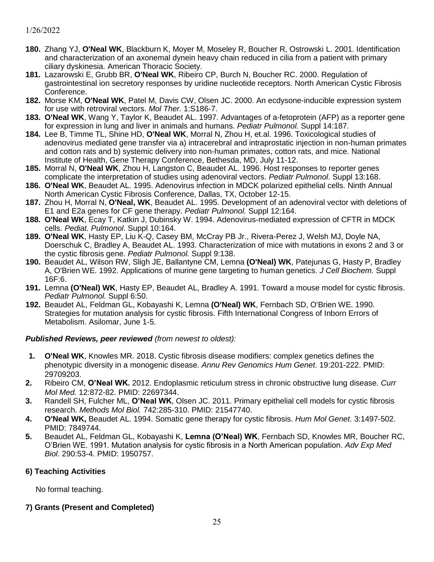- **180.** Zhang YJ, **O'Neal WK**, Blackburn K, Moyer M, Moseley R, Boucher R, Ostrowski L. 2001. Identification and characterization of an axonemal dynein heavy chain reduced in cilia from a patient with primary ciliary dyskinesia. American Thoracic Society.
- **181.** Lazarowski E, Grubb BR, **O'Neal WK**, Ribeiro CP, Burch N, Boucher RC. 2000. Regulation of gastrointestinal ion secretory responses by uridine nucleotide receptors. North American Cystic Fibrosis Conference.
- **182.** Morse KM, **O'Neal WK**, Patel M, Davis CW, Olsen JC. 2000. An ecdysone-inducible expression system for use with retroviral vectors. *Mol Ther.* 1:S186-7.
- **183. O'Neal WK**, Wang Y, Taylor K, Beaudet AL. 1997. Advantages of a-fetoprotein (AFP) as a reporter gene for expression in lung and liver in animals and humans. *Pediatr Pulmonol.* Suppl 14:187.
- **184.** Lee B, Timme TL, Shine HD, **O'Neal WK**, Morral N, Zhou H, et.al. 1996. Toxicological studies of adenovirus mediated gene transfer via a) intracerebral and intraprostatic injection in non-human primates and cotton rats and b) systemic delivery into non-human primates, cotton rats, and mice. National Institute of Health, Gene Therapy Conference, Bethesda, MD, July 11-12.
- **185.** Morral N, **O'Neal WK**, Zhou H, Langston C, Beaudet AL. 1996. Host responses to reporter genes complicate the interpretation of studies using adenoviral vectors. *Pediatr Pulmonol*. Suppl 13:168.
- **186. O'Neal WK**, Beaudet AL. 1995. Adenovirus infection in MDCK polarized epithelial cells. Ninth Annual North American Cystic Fibrosis Conference, Dallas, TX, October 12-15.
- **187.** Zhou H, Morral N, **O'Neal, WK**, Beaudet AL. 1995. Development of an adenoviral vector with deletions of E1 and E2a genes for CF gene therapy. *Pediatr Pulmonol.* Suppl 12:164.
- **188. O'Neal WK**, Ecay T, Katkin J, Dubinsky W. 1994. Adenovirus-mediated expression of CFTR in MDCK cells. *Pediat. Pulmonol*. Suppl 10:164.
- **189. O'Neal WK**, Hasty EP, Liu K-Q, Casey BM, McCray PB Jr., Rivera-Perez J, Welsh MJ, Doyle NA, Doerschuk C, Bradley A, Beaudet AL. 1993. Characterization of mice with mutations in exons 2 and 3 or the cystic fibrosis gene. *Pediatr Pulmonol.* Suppl 9:138.
- **190.** Beaudet AL, Wilson RW, Sligh JE, Ballantyne CM, Lemna **(O'Neal) WK**, Patejunas G, Hasty P, Bradley A, O'Brien WE. 1992. Applications of murine gene targeting to human genetics. *J Cell Biochem.* Suppl 16F:6.
- **191.** Lemna **(O'Neal) WK**, Hasty EP, Beaudet AL, Bradley A. 1991. Toward a mouse model for cystic fibrosis. *Pediatr Pulmonol.* Suppl 6:50.
- **192.** Beaudet AL, Feldman GL, Kobayashi K, Lemna **(O'Neal) WK**, Fernbach SD, O'Brien WE. 1990. Strategies for mutation analysis for cystic fibrosis. Fifth International Congress of Inborn Errors of Metabolism. Asilomar, June 1-5.

### *Published Reviews, peer reviewed (from newest to oldest):*

- **1. O'Neal WK**, Knowles MR. 2018. Cystic fibrosis disease modifiers: complex genetics defines the phenotypic diversity in a monogenic disease. *Annu Rev Genomics Hum Genet*. 19:201-222. PMID: 29709203.
- **2.** Ribeiro CM, **O'Neal WK.** 2012. Endoplasmic reticulum stress in chronic obstructive lung disease. *Curr Mol Med.* 12:872-82. PMID: 22697344.
- **3.** Randell SH, Fulcher ML, **O'Neal WK**, Olsen JC. 2011. Primary epithelial cell models for cystic fibrosis research. *Methods Mol Biol.* 742:285-310. PMID: 21547740.
- **4. O'Neal WK,** Beaudet AL. 1994. Somatic gene therapy for cystic fibrosis. *Hum Mol Genet*. 3:1497-502. PMID: 7849744.
- **5.** Beaudet AL, Feldman GL, Kobayashi K, **Lemna (O'Neal) WK**, Fernbach SD, Knowles MR, Boucher RC, O'Brien WE. 1991. Mutation analysis for cystic fibrosis in a North American population. *Adv Exp Med Biol*. 290:53-4. PMID: 1950757.

### **6) Teaching Activities**

No formal teaching.

### **7) Grants (Present and Completed)**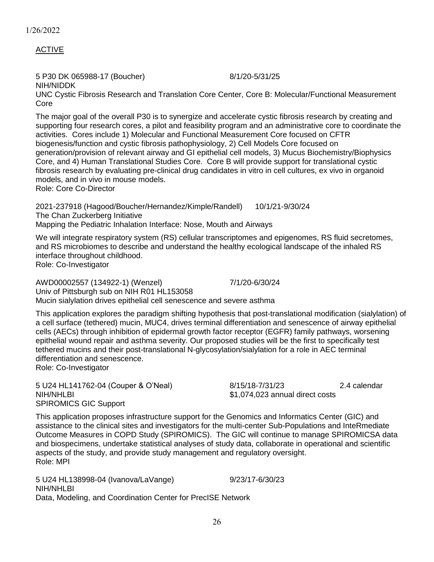ACTIVE

5 P30 DK 065988-17 (Boucher) 8/1/20-5/31/25 NIH/NIDDK

UNC Cystic Fibrosis Research and Translation Core Center, Core B: Molecular/Functional Measurement Core

The major goal of the overall P30 is to synergize and accelerate cystic fibrosis research by creating and supporting four research cores, a pilot and feasibility program and an administrative core to coordinate the activities. Cores include 1) Molecular and Functional Measurement Core focused on CFTR biogenesis/function and cystic fibrosis pathophysiology, 2) Cell Models Core focused on generation/provision of relevant airway and GI epithelial cell models, 3) Mucus Biochemistry/Biophysics Core, and 4) Human Translational Studies Core. Core B will provide support for translational cystic fibrosis research by evaluating pre-clinical drug candidates in vitro in cell cultures, ex vivo in organoid models, and in vivo in mouse models.

Role: Core Co-Director

2021-237918 (Hagood/Boucher/Hernandez/Kimple/Randell) 10/1/21-9/30/24 The Chan Zuckerberg Initiative Mapping the Pediatric Inhalation Interface: Nose, Mouth and Airways

We will integrate respiratory system (RS) cellular transcriptomes and epigenomes, RS fluid secretomes, and RS microbiomes to describe and understand the healthy ecological landscape of the inhaled RS interface throughout childhood. Role: Co-Investigator

AWD00002557 (134922-1) (Wenzel) 7/1/20-6/30/24 Univ of Pittsburgh sub on NIH R01 HL153058 Mucin sialylation drives epithelial cell senescence and severe asthma

This application explores the paradigm shifting hypothesis that post-translational modification (sialylation) of a cell surface (tethered) mucin, MUC4, drives terminal differentiation and senescence of airway epithelial cells (AECs) through inhibition of epidermal growth factor receptor (EGFR) family pathways, worsening epithelial wound repair and asthma severity. Our proposed studies will be the first to specifically test tethered mucins and their post-translational N-glycosylation/sialylation for a role in AEC terminal differentiation and senescence. Role: Co-Investigator

5 U24 HL141762-04 (Couper & O'Neal) 8/15/18-7/31/23 2.4 calendar NIH/NHLBI \$1,074,023 annual direct costs SPIROMICS GIC Support

This application proposes infrastructure support for the Genomics and Informatics Center (GIC) and assistance to the clinical sites and investigators for the multi-center Sub-Populations and InteRmediate Outcome Measures in COPD Study (SPIROMICS). The GIC will continue to manage SPIROMICSA data and biospecimens, undertake statistical analyses of study data, collaborate in operational and scientific aspects of the study, and provide study management and regulatory oversight. Role: MPI

5 U24 HL138998-04 (Ivanova/LaVange) 9/23/17-6/30/23 NIH/NHLBI Data, Modeling, and Coordination Center for PrecISE Network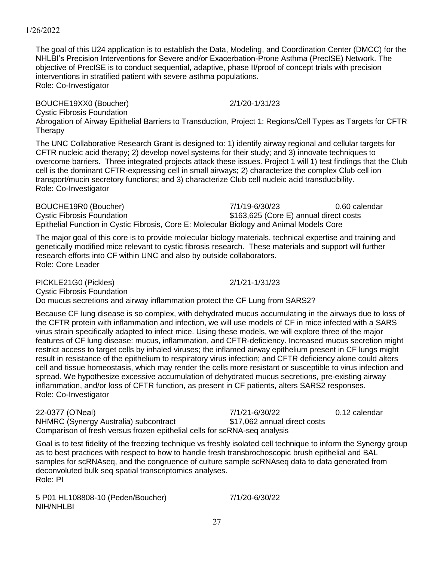The goal of this U24 application is to establish the Data, Modeling, and Coordination Center (DMCC) for the NHLBI's Precision Interventions for Severe and/or Exacerbation-Prone Asthma (PrecISE) Network. The objective of PrecISE is to conduct sequential, adaptive, phase II/proof of concept trials with precision interventions in stratified patient with severe asthma populations. Role: Co-Investigator

BOUCHE19XX0 (Boucher) 2/1/20-1/31/23 Cystic Fibrosis Foundation Abrogation of Airway Epithelial Barriers to Transduction, Project 1: Regions/Cell Types as Targets for CFTR **Therapy** 

The UNC Collaborative Research Grant is designed to: 1) identify airway regional and cellular targets for CFTR nucleic acid therapy; 2) develop novel systems for their study; and 3) innovate techniques to overcome barriers. Three integrated projects attack these issues. Project 1 will 1) test findings that the Club cell is the dominant CFTR-expressing cell in small airways; 2) characterize the complex Club cell ion transport/mucin secretory functions; and 3) characterize Club cell nucleic acid transducibility. Role: Co-Investigator

BOUCHE19R0 (Boucher) 7/1/19-6/30/23 0.60 calendar Cystic Fibrosis Foundation **\$163,625** (Core E) annual direct costs Epithelial Function in Cystic Fibrosis, Core E: Molecular Biology and Animal Models Core

The major goal of this core is to provide molecular biology materials, technical expertise and training and genetically modified mice relevant to cystic fibrosis research. These materials and support will further research efforts into CF within UNC and also by outside collaborators. Role: Core Leader

PICKLE21G0 (Pickles) 2/1/21-1/31/23 Cystic Fibrosis Foundation Do mucus secretions and airway inflammation protect the CF Lung from SARS2?

Because CF lung disease is so complex, with dehydrated mucus accumulating in the airways due to loss of the CFTR protein with inflammation and infection, we will use models of CF in mice infected with a SARS virus strain specifically adapted to infect mice. Using these models, we will explore three of the major features of CF lung disease: mucus, inflammation, and CFTR-deficiency. Increased mucus secretion might restrict access to target cells by inhaled viruses; the inflamed airway epithelium present in CF lungs might result in resistance of the epithelium to respiratory virus infection; and CFTR deficiency alone could alters cell and tissue homeostasis, which may render the cells more resistant or susceptible to virus infection and spread. We hypothesize excessive accumulation of dehydrated mucus secretions, pre-existing airway inflammation, and/or loss of CFTR function, as present in CF patients, alters SARS2 responses. Role: Co-Investigator

22-0377 (O'Neal) 7/1/21-6/30/22 0.12 calendar NHMRC (Synergy Australia) subcontract \$17,062 annual direct costs Comparison of fresh versus frozen epithelial cells for scRNA-seq analysis

Goal is to test fidelity of the freezing technique vs freshly isolated cell technique to inform the Synergy group as to best practices with respect to how to handle fresh transbrochoscopic brush epithelial and BAL samples for scRNAseq, and the congruence of culture sample scRNAseq data to data generated from deconvoluted bulk seq spatial transcriptomics analyses. Role: PI

5 P01 HL108808-10 (Peden/Boucher) 7/1/20-6/30/22 NIH/NHLBI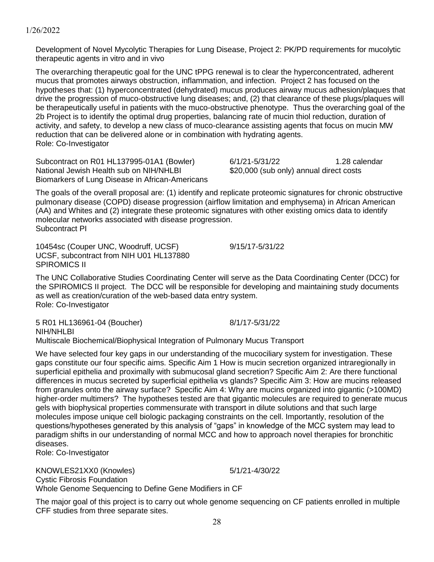#### (AA) and Whites and (2) integrate these proteomic signatures with other existing omics data to identify molecular networks associated with disease progression.

SPIROMICS II

Subcontract PI 10454sc (Couper UNC, Woodruff, UCSF) 9/15/17-5/31/22 UCSF, subcontract from NIH U01 HL137880

The UNC Collaborative Studies Coordinating Center will serve as the Data Coordinating Center (DCC) for the SPIROMICS II project. The DCC will be responsible for developing and maintaining study documents as well as creation/curation of the web-based data entry system. Role: Co-Investigator

5 R01 HL136961-04 (Boucher) 8/1/17-5/31/22 NIH/NHLBI Multiscale Biochemical/Biophysical Integration of Pulmonary Mucus Transport

We have selected four key gaps in our understanding of the mucociliary system for investigation. These gaps constitute our four specific aims. Specific Aim 1 How is mucin secretion organized intraregionally in superficial epithelia and proximally with submucosal gland secretion? Specific Aim 2: Are there functional differences in mucus secreted by superficial epithelia vs glands? Specific Aim 3: How are mucins released from granules onto the airway surface? Specific Aim 4: Why are mucins organized into gigantic (>100MD) higher-order multimers? The hypotheses tested are that gigantic molecules are required to generate mucus gels with biophysical properties commensurate with transport in dilute solutions and that such large molecules impose unique cell biologic packaging constraints on the cell. Importantly, resolution of the questions/hypotheses generated by this analysis of "gaps" in knowledge of the MCC system may lead to paradigm shifts in our understanding of normal MCC and how to approach novel therapies for bronchitic diseases.

Role: Co-Investigator

KNOWLES21XX0 (Knowles) 5/1/21-4/30/22 Cystic Fibrosis Foundation Whole Genome Sequencing to Define Gene Modifiers in CF

The major goal of this project is to carry out whole genome sequencing on CF patients enrolled in multiple CFF studies from three separate sites.

1/26/2022

Development of Novel Mycolytic Therapies for Lung Disease, Project 2: PK/PD requirements for mucolytic therapeutic agents in vitro and in vivo

The overarching therapeutic goal for the UNC tPPG renewal is to clear the hyperconcentrated, adherent mucus that promotes airways obstruction, inflammation, and infection. Project 2 has focused on the hypotheses that: (1) hyperconcentrated (dehydrated) mucus produces airway mucus adhesion/plaques that drive the progression of muco-obstructive lung diseases; and, (2) that clearance of these plugs/plaques will be therapeutically useful in patients with the muco-obstructive phenotype. Thus the overarching goal of the 2b Project is to identify the optimal drug properties, balancing rate of mucin thiol reduction, duration of activity, and safety, to develop a new class of muco-clearance assisting agents that focus on mucin MW reduction that can be delivered alone or in combination with hydrating agents. Role: Co-Investigator

The goals of the overall proposal are: (1) identify and replicate proteomic signatures for chronic obstructive pulmonary disease (COPD) disease progression (airflow limitation and emphysema) in African American

Subcontract on R01 HL137995-01A1 (Bowler) 6/1/21-5/31/22 1.28 calendar National Jewish Health sub on NIH/NHLBI \$20,000 (sub only) annual direct costs Biomarkers of Lung Disease in African-Americans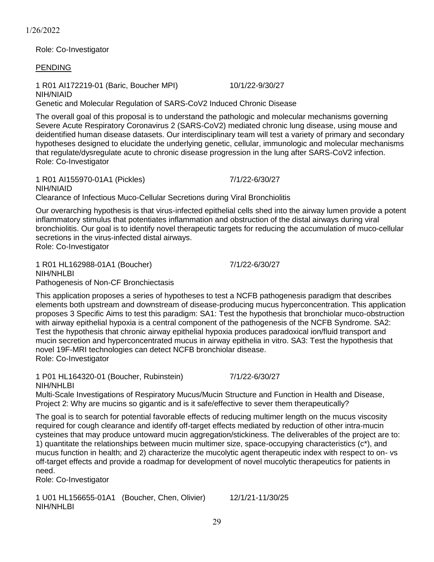Role: Co-Investigator

PENDING

1 R01 AI172219-01 (Baric, Boucher MPI) 10/1/22-9/30/27 NIH/NIAID Genetic and Molecular Regulation of SARS-CoV2 Induced Chronic Disease

The overall goal of this proposal is to understand the pathologic and molecular mechanisms governing Severe Acute Respiratory Coronavirus 2 (SARS-CoV2) mediated chronic lung disease, using mouse and deidentified human disease datasets. Our interdisciplinary team will test a variety of primary and secondary hypotheses designed to elucidate the underlying genetic, cellular, immunologic and molecular mechanisms that regulate/dysregulate acute to chronic disease progression in the lung after SARS-CoV2 infection. Role: Co-Investigator

1 R01 AI155970-01A1 (Pickles) 7/1/22-6/30/27 NIH/NIAID Clearance of Infectious Muco-Cellular Secretions during Viral Bronchiolitis

Our overarching hypothesis is that virus-infected epithelial cells shed into the airway lumen provide a potent inflammatory stimulus that potentiates inflammation and obstruction of the distal airways during viral bronchiolitis. Our goal is to identify novel therapeutic targets for reducing the accumulation of muco-cellular secretions in the virus-infected distal airways. Role: Co-Investigator

1 R01 HL162988-01A1 (Boucher) 7/1/22-6/30/27 NIH/NHLBI Pathogenesis of Non-CF Bronchiectasis

This application proposes a series of hypotheses to test a NCFB pathogenesis paradigm that describes elements both upstream and downstream of disease-producing mucus hyperconcentration. This application proposes 3 Specific Aims to test this paradigm: SA1: Test the hypothesis that bronchiolar muco-obstruction with airway epithelial hypoxia is a central component of the pathogenesis of the NCFB Syndrome. SA2: Test the hypothesis that chronic airway epithelial hypoxia produces paradoxical ion/fluid transport and mucin secretion and hyperconcentrated mucus in airway epithelia in vitro. SA3: Test the hypothesis that novel 19F-MRI technologies can detect NCFB bronchiolar disease. Role: Co-Investigator

1 P01 HL164320-01 (Boucher, Rubinstein) 7/1/22-6/30/27 NIH/NHLBI

Multi-Scale Investigations of Respiratory Mucus/Mucin Structure and Function in Health and Disease, Project 2: Why are mucins so gigantic and is it safe/effective to sever them therapeutically?

The goal is to search for potential favorable effects of reducing multimer length on the mucus viscosity required for cough clearance and identify off-target effects mediated by reduction of other intra-mucin cysteines that may produce untoward mucin aggregation/stickiness. The deliverables of the project are to: 1) quantitate the relationships between mucin multimer size, space-occupying characteristics  $(c^*)$ , and mucus function in health; and 2) characterize the mucolytic agent therapeutic index with respect to on- vs off-target effects and provide a roadmap for development of novel mucolytic therapeutics for patients in need.

Role: Co-Investigator

1 U01 HL156655-01A1 (Boucher, Chen, Olivier) 12/1/21-11/30/25 NIH/NHLBI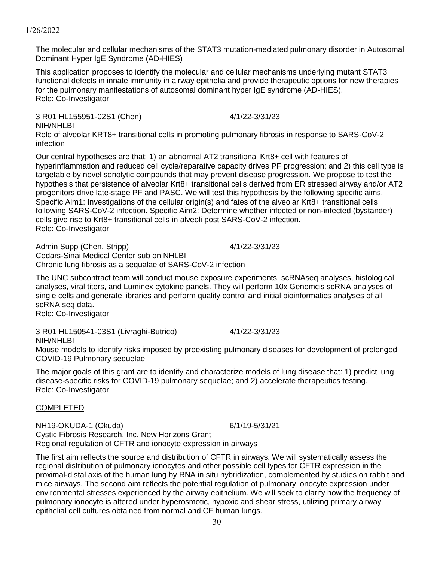The molecular and cellular mechanisms of the STAT3 mutation-mediated pulmonary disorder in Autosomal Dominant Hyper IgE Syndrome (AD-HIES)

This application proposes to identify the molecular and cellular mechanisms underlying mutant STAT3 functional defects in innate immunity in airway epithelia and provide therapeutic options for new therapies for the pulmonary manifestations of autosomal dominant hyper IgE syndrome (AD-HIES). Role: Co-Investigator

3 R01 HL155951-02S1 (Chen) 4/1/22-3/31/23 NIH/NHLBI Role of alveolar KRT8+ transitional cells in promoting pulmonary fibrosis in response to SARS-CoV-2 infection

Our central hypotheses are that: 1) an abnormal AT2 transitional Krt8+ cell with features of hyperinflammation and reduced cell cycle/reparative capacity drives PF progression; and 2) this cell type is targetable by novel senolytic compounds that may prevent disease progression. We propose to test the hypothesis that persistence of alveolar Krt8+ transitional cells derived from ER stressed airway and/or AT2 progenitors drive late-stage PF and PASC. We will test this hypothesis by the following specific aims. Specific Aim1: Investigations of the cellular origin(s) and fates of the alveolar Krt8+ transitional cells following SARS-CoV-2 infection. Specific Aim2: Determine whether infected or non-infected (bystander) cells give rise to Krt8+ transitional cells in alveoli post SARS-CoV-2 infection. Role: Co-Investigator

Admin Supp (Chen, Stripp) 4/1/22-3/31/23 Cedars-Sinai Medical Center sub on NHLBI Chronic lung fibrosis as a sequalae of SARS-CoV-2 infection

The UNC subcontract team will conduct mouse exposure experiments, scRNAseq analyses, histological analyses, viral titers, and Luminex cytokine panels. They will perform 10x Genomcis scRNA analyses of single cells and generate libraries and perform quality control and initial bioinformatics analyses of all scRNA seq data.

Role: Co-Investigator

3 R01 HL150541-03S1 (Livraghi-Butrico) 4/1/22-3/31/23 NIH/NHLBI

Mouse models to identify risks imposed by preexisting pulmonary diseases for development of prolonged COVID-19 Pulmonary sequelae

The major goals of this grant are to identify and characterize models of lung disease that: 1) predict lung disease-specific risks for COVID-19 pulmonary sequelae; and 2) accelerate therapeutics testing. Role: Co-Investigator

#### COMPLETED

NH19-OKUDA-1 (Okuda) 6/1/19-5/31/21 Cystic Fibrosis Research, Inc. New Horizons Grant Regional regulation of CFTR and ionocyte expression in airways

The first aim reflects the source and distribution of CFTR in airways. We will systematically assess the regional distribution of pulmonary ionocytes and other possible cell types for CFTR expression in the proximal-distal axis of the human lung by RNA in situ hybridization, complemented by studies on rabbit and mice airways. The second aim reflects the potential regulation of pulmonary ionocyte expression under environmental stresses experienced by the airway epithelium. We will seek to clarify how the frequency of pulmonary ionocyte is altered under hyperosmotic, hypoxic and shear stress, utilizing primary airway epithelial cell cultures obtained from normal and CF human lungs.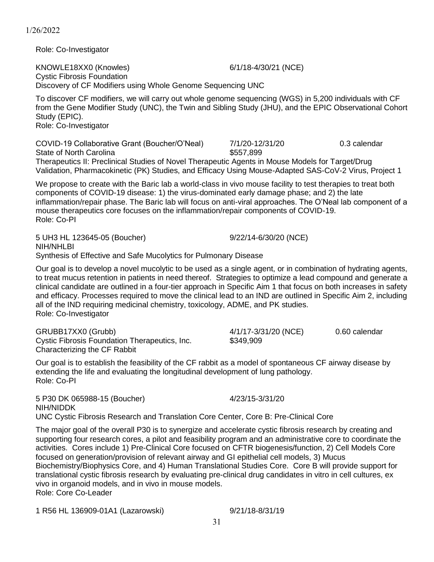Role: Co-Investigator

KNOWLE18XX0 (Knowles) 6/1/18-4/30/21 (NCE) Cystic Fibrosis Foundation Discovery of CF Modifiers using Whole Genome Sequencing UNC

To discover CF modifiers, we will carry out whole genome sequencing (WGS) in 5,200 individuals with CF from the Gene Modifier Study (UNC), the Twin and Sibling Study (JHU), and the EPIC Observational Cohort Study (EPIC). Role: Co-Investigator

COVID-19 Collaborative Grant (Boucher/O'Neal) 7/1/20-12/31/20 0.3 calendar

State of North Carolina  $$557,899$ Therapeutics II: Preclinical Studies of Novel Therapeutic Agents in Mouse Models for Target/Drug Validation, Pharmacokinetic (PK) Studies, and Efficacy Using Mouse-Adapted SAS-CoV-2 Virus, Project 1

We propose to create with the Baric lab a world-class in vivo mouse facility to test therapies to treat both components of COVID-19 disease: 1) the virus-dominated early damage phase; and 2) the late inflammation/repair phase. The Baric lab will focus on anti-viral approaches. The O'Neal lab component of a mouse therapeutics core focuses on the inflammation/repair components of COVID-19. Role: Co-PI

5 UH3 HL 123645-05 (Boucher) 9/22/14-6/30/20 (NCE) NIH/NHLBI Synthesis of Effective and Safe Mucolytics for Pulmonary Disease

Our goal is to develop a novel mucolytic to be used as a single agent, or in combination of hydrating agents, to treat mucus retention in patients in need thereof. Strategies to optimize a lead compound and generate a clinical candidate are outlined in a four-tier approach in Specific Aim 1 that focus on both increases in safety and efficacy. Processes required to move the clinical lead to an IND are outlined in Specific Aim 2, including all of the IND requiring medicinal chemistry, toxicology, ADME, and PK studies. Role: Co-Investigator

GRUBB17XX0 (Grubb) 4/1/17-3/31/20 (NCE) 0.60 calendar Cystic Fibrosis Foundation Therapeutics, Inc. \$349,909 Characterizing the CF Rabbit

Our goal is to establish the feasibility of the CF rabbit as a model of spontaneous CF airway disease by extending the life and evaluating the longitudinal development of lung pathology. Role: Co-PI

5 P30 DK 065988-15 (Boucher) 4/23/15-3/31/20 NIH/NIDDK UNC Cystic Fibrosis Research and Translation Core Center, Core B: Pre-Clinical Core

The major goal of the overall P30 is to synergize and accelerate cystic fibrosis research by creating and supporting four research cores, a pilot and feasibility program and an administrative core to coordinate the activities. Cores include 1) Pre-Clinical Core focused on CFTR biogenesis/function, 2) Cell Models Core focused on generation/provision of relevant airway and GI epithelial cell models, 3) Mucus Biochemistry/Biophysics Core, and 4) Human Translational Studies Core. Core B will provide support for translational cystic fibrosis research by evaluating pre-clinical drug candidates in vitro in cell cultures, ex vivo in organoid models, and in vivo in mouse models. Role: Core Co-Leader

1 R56 HL 136909-01A1 (Lazarowski) 9/21/18-8/31/19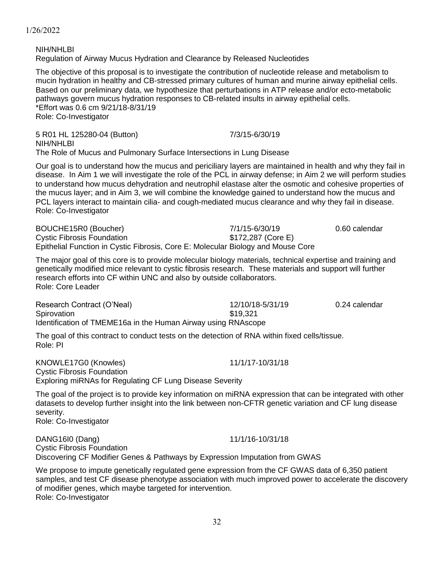**NIH/NHI BI** Regulation of Airway Mucus Hydration and Clearance by Released Nucleotides

The objective of this proposal is to investigate the contribution of nucleotide release and metabolism to mucin hydration in healthy and CB-stressed primary cultures of human and murine airway epithelial cells. Based on our preliminary data, we hypothesize that perturbations in ATP release and/or ecto-metabolic pathways govern mucus hydration responses to CB-related insults in airway epithelial cells. \*Effort was 0.6 cm 9/21/18-8/31/19 Role: Co-Investigator

5 R01 HL 125280-04 (Button) 7/3/15-6/30/19 NIH/NHLBI The Role of Mucus and Pulmonary Surface Intersections in Lung Disease

Our goal is to understand how the mucus and periciliary layers are maintained in health and why they fail in disease. In Aim 1 we will investigate the role of the PCL in airway defense; in Aim 2 we will perform studies to understand how mucus dehydration and neutrophil elastase alter the osmotic and cohesive properties of the mucus layer; and in Aim 3, we will combine the knowledge gained to understand how the mucus and PCL layers interact to maintain cilia- and cough-mediated mucus clearance and why they fail in disease. Role: Co-Investigator

BOUCHE15R0 (Boucher) 7/1/15-6/30/19 0.60 calendar Cystic Fibrosis Foundation  $$172,287$  (Core E) Epithelial Function in Cystic Fibrosis, Core E: Molecular Biology and Mouse Core

The major goal of this core is to provide molecular biology materials, technical expertise and training and genetically modified mice relevant to cystic fibrosis research. These materials and support will further research efforts into CF within UNC and also by outside collaborators. Role: Core Leader

Research Contract (O'Neal) 12/10/18-5/31/19 0.24 calendar Spirovation \$19,321 Identification of TMEME16a in the Human Airway using RNAscope

The goal of this contract to conduct tests on the detection of RNA within fixed cells/tissue. Role: PI

KNOWLE17G0 (Knowles) 11/1/17-10/31/18 Cystic Fibrosis Foundation Exploring miRNAs for Regulating CF Lung Disease Severity

The goal of the project is to provide key information on miRNA expression that can be integrated with other datasets to develop further insight into the link between non-CFTR genetic variation and CF lung disease severity.

Role: Co-Investigator

DANG16I0 (Dang) 11/1/16-10/31/18 Cystic Fibrosis Foundation Discovering CF Modifier Genes & Pathways by Expression Imputation from GWAS

We propose to impute genetically regulated gene expression from the CF GWAS data of 6,350 patient samples, and test CF disease phenotype association with much improved power to accelerate the discovery of modifier genes, which maybe targeted for intervention. Role: Co-Investigator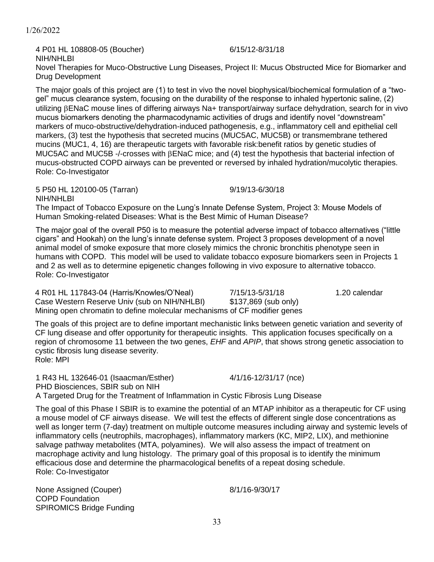utilizing ENaC mouse lines of differing airways Na+ transport/airway surface dehydration, search for in vivo mucus biomarkers denoting the pharmacodynamic activities of drugs and identify novel "downstream" markers of muco-obstructive/dehydration-induced pathogenesis, e.g., inflammatory cell and epithelial cell markers, (3) test the hypothesis that secreted mucins (MUC5AC, MUC5B) or transmembrane tethered mucins (MUC1, 4, 16) are therapeutic targets with favorable risk:benefit ratios by genetic studies of MUC5AC and MUC5B -/-crosses with  $\beta$ ENaC mice; and (4) test the hypothesis that bacterial infection of mucus-obstructed COPD airways can be prevented or reversed by inhaled hydration/mucolytic therapies. Role: Co-Investigator

Novel Therapies for Muco-Obstructive Lung Diseases, Project II: Mucus Obstructed Mice for Biomarker and

The major goals of this project are (1) to test in vivo the novel biophysical/biochemical formulation of a "twogel" mucus clearance system, focusing on the durability of the response to inhaled hypertonic saline, (2)

5 P50 HL 120100-05 (Tarran) 9/19/13-6/30/18 NIH/NHLBI

The Impact of Tobacco Exposure on the Lung's Innate Defense System, Project 3: Mouse Models of Human Smoking-related Diseases: What is the Best Mimic of Human Disease?

The major goal of the overall P50 is to measure the potential adverse impact of tobacco alternatives ("little cigars" and Hookah) on the lung's innate defense system. Project 3 proposes development of a novel animal model of smoke exposure that more closely mimics the chronic bronchitis phenotype seen in humans with COPD. This model will be used to validate tobacco exposure biomarkers seen in Projects 1 and 2 as well as to determine epigenetic changes following in vivo exposure to alternative tobacco. Role: Co-Investigator

4 R01 HL 117843-04 (Harris/Knowles/O'Neal) 7/15/13-5/31/18 1.20 calendar Case Western Reserve Univ (sub on NIH/NHLBI) \$137,869 (sub only) Mining open chromatin to define molecular mechanisms of CF modifier genes

The goals of this project are to define important mechanistic links between genetic variation and severity of CF lung disease and offer opportunity for therapeutic insights. This application focuses specifically on a region of chromosome 11 between the two genes, *EHF* and *APIP*, that shows strong genetic association to cystic fibrosis lung disease severity. Role: MPI

1 R43 HL 132646-01 (Isaacman/Esther) 4/1/16-12/31/17 (nce) PHD Biosciences, SBIR sub on NIH A Targeted Drug for the Treatment of Inflammation in Cystic Fibrosis Lung Disease

The goal of this Phase I SBIR is to examine the potential of an MTAP inhibitor as a therapeutic for CF using a mouse model of CF airways disease. We will test the effects of different single dose concentrations as well as longer term (7-day) treatment on multiple outcome measures including airway and systemic levels of inflammatory cells (neutrophils, macrophages), inflammatory markers (KC, MIP2, LIX), and methionine salvage pathway metabolites (MTA, polyamines). We will also assess the impact of treatment on macrophage activity and lung histology. The primary goal of this proposal is to identify the minimum efficacious dose and determine the pharmacological benefits of a repeat dosing schedule. Role: Co-Investigator

None Assigned (Couper) 8/1/16-9/30/17 COPD Foundation SPIROMICS Bridge Funding

4 P01 HL 108808-05 (Boucher) 6/15/12-8/31/18

1/26/2022

NIH/NHLBI

Drug Development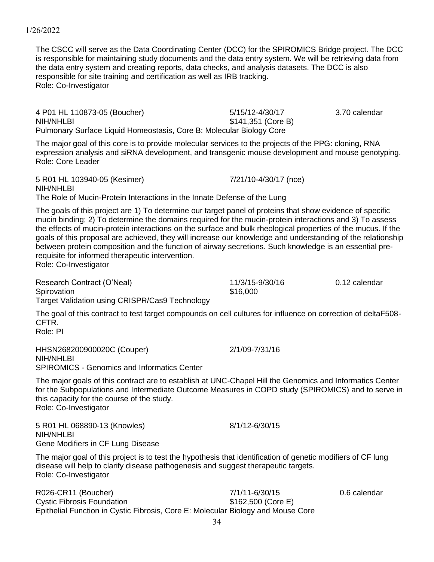The CSCC will serve as the Data Coordinating Center (DCC) for the SPIROMICS Bridge project. The DCC is responsible for maintaining study documents and the data entry system. We will be retrieving data from the data entry system and creating reports, data checks, and analysis datasets. The DCC is also responsible for site training and certification as well as IRB tracking. Role: Co-Investigator

4 P01 HL 110873-05 (Boucher) 5/15/12-4/30/17 3.70 calendar NIH/NHLBI \$141,351 (Core B) Pulmonary Surface Liquid Homeostasis, Core B: Molecular Biology Core

The major goal of this core is to provide molecular services to the projects of the PPG: cloning, RNA expression analysis and siRNA development, and transgenic mouse development and mouse genotyping. Role: Core Leader

5 R01 HL 103940-05 (Kesimer) 7/21/10-4/30/17 (nce) NIH/NHLBI The Role of Mucin-Protein Interactions in the Innate Defense of the Lung

The goals of this project are 1) To determine our target panel of proteins that show evidence of specific mucin binding; 2) To determine the domains required for the mucin-protein interactions and 3) To assess the effects of mucin-protein interactions on the surface and bulk rheological properties of the mucus. If the goals of this proposal are achieved, they will increase our knowledge and understanding of the relationship between protein composition and the function of airway secretions. Such knowledge is an essential prerequisite for informed therapeutic intervention. Role: Co-Investigator

Research Contract (O'Neal)  $11/3/15-9/30/16$  0.12 calendar Spirovation \$16,000 Target Validation using CRISPR/Cas9 Technology

The goal of this contract to test target compounds on cell cultures for influence on correction of deltaF508- CFTR.

Role: PI

HHSN268200900020C (Couper) 2/1/09-7/31/16 NIH/NHI RI SPIROMICS - Genomics and Informatics Center

The major goals of this contract are to establish at UNC-Chapel Hill the Genomics and Informatics Center for the Subpopulations and Intermediate Outcome Measures in COPD study (SPIROMICS) and to serve in this capacity for the course of the study. Role: Co-Investigator

5 R01 HL 068890-13 (Knowles) 8/1/12-6/30/15 NIH/NHLBI Gene Modifiers in CF Lung Disease

The major goal of this project is to test the hypothesis that identification of genetic modifiers of CF lung disease will help to clarify disease pathogenesis and suggest therapeutic targets. Role: Co-Investigator

34

R026-CR11 (Boucher) 7/1/11-6/30/15 0.6 calendar Cystic Fibrosis Foundation  $$162,500$  (Core E) Epithelial Function in Cystic Fibrosis, Core E: Molecular Biology and Mouse Core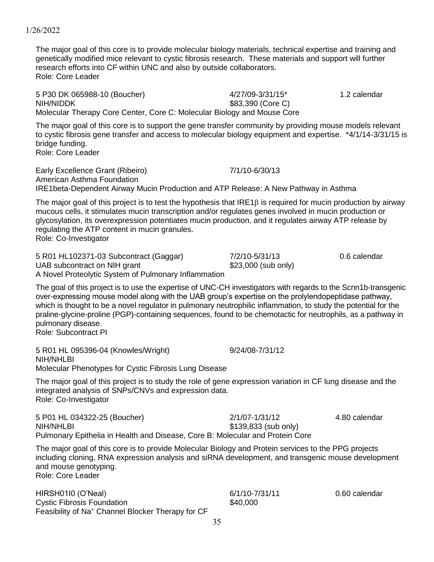The major goal of this core is to provide molecular biology materials, technical expertise and training and genetically modified mice relevant to cystic fibrosis research. These materials and support will further research efforts into CF within UNC and also by outside collaborators.

1/26/2022

5 P30 DK 065988-10 (Boucher) 4/27/09-3/31/15\* 1.2 calendar NIH/NIDDK \$83,390 (Core C) Molecular Therapy Core Center, Core C: Molecular Biology and Mouse Core

The major goal of this core is to support the gene transfer community by providing mouse models relevant to cystic fibrosis gene transfer and access to molecular biology equipment and expertise. \*4/1/14-3/31/15 is bridge funding.

Role: Core Leader

Role: Core Leader

Early Excellence Grant (Ribeiro) 7/1/10-6/30/13 American Asthma Foundation IRE1beta-Dependent Airway Mucin Production and ATP Release: A New Pathway in Asthma

The major goal of this project is to test the hypothesis that  $IRE1\beta$  is required for mucin production by airway mucous cells, it stimulates mucin transcription and/or regulates genes involved in mucin production or glycosylation, its overexpression potentiates mucin production, and it regulates airway ATP release by regulating the ATP content in mucin granules.

Role: Co-Investigator

5 R01 HL102371-03 Subcontract (Gaggar) 7/2/10-5/31/13 0.6 calendar UAB subcontract on NIH grant \$23,000 (sub only) A Novel Proteolytic System of Pulmonary Inflammation

The goal of this project is to use the expertise of UNC-CH investigators with regards to the Scnn1b-transgenic over-expressing mouse model along with the UAB group's expertise on the prolylendopeptidase pathway, which is thought to be a novel regulator in pulmonary neutrophilic inflammation, to study the potential for the praline-glycine-proline (PGP)-containing sequences, found to be chemotactic for neutrophils, as a pathway in pulmonary disease. Role: Subcontract PI

5 R01 HL 095396-04 (Knowles/Wright) 9/24/08-7/31/12 NIH/NHLBI Molecular Phenotypes for Cystic Fibrosis Lung Disease

The major goal of this project is to study the role of gene expression variation in CF lung disease and the integrated analysis of SNPs/CNVs and expression data. Role: Co-Investigator

5 P01 HL 034322-25 (Boucher) 2/1/07-1/31/12 4.80 calendar NIH/NHLBI \$139,833 (sub only) Pulmonary Epithelia in Health and Disease, Core B: Molecular and Protein Core

The major goal of this core is to provide Molecular Biology and Protein services to the PPG projects including cloning, RNA expression analysis and siRNA development, and transgenic mouse development and mouse genotyping. Role: Core Leader

HIRSH01I0 (O'Neal) 6/1/10-7/31/11 0.60 calendar Cystic Fibrosis Foundation  $$40,000$ Feasibility of Na<sup>+</sup> Channel Blocker Therapy for CF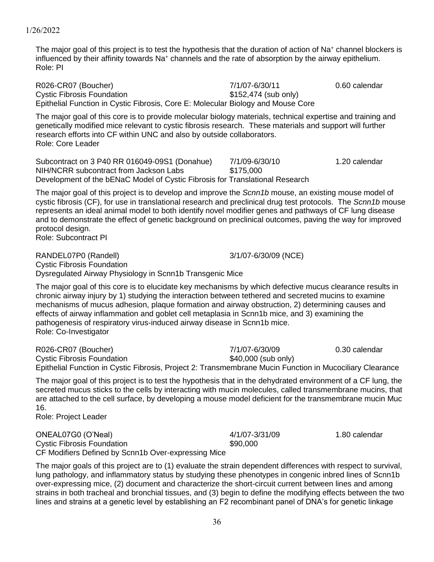The major goal of this project is to test the hypothesis that the duration of action of Na<sup>+</sup> channel blockers is influenced by their affinity towards Na<sup>+</sup> channels and the rate of absorption by the airway epithelium. Role: PI

R026-CR07 (Boucher) 7/1/07-6/30/11 0.60 calendar Cystic Fibrosis Foundation  $$152,474$  (sub only) Epithelial Function in Cystic Fibrosis, Core E: Molecular Biology and Mouse Core

The major goal of this core is to provide molecular biology materials, technical expertise and training and genetically modified mice relevant to cystic fibrosis research. These materials and support will further research efforts into CF within UNC and also by outside collaborators. Role: Core Leader

Subcontract on 3 P40 RR 016049-09S1 (Donahue) 7/1/09-6/30/10 1.20 calendar NIH/NCRR subcontract from Jackson Labs \$175,000 Development of the bENaC Model of Cystic Fibrosis for Translational Research

The major goal of this project is to develop and improve the *Scnn1b* mouse, an existing mouse model of cystic fibrosis (CF), for use in translational research and preclinical drug test protocols. The *Scnn1b* mouse represents an ideal animal model to both identify novel modifier genes and pathways of CF lung disease and to demonstrate the effect of genetic background on preclinical outcomes, paving the way for improved protocol design.

Role: Subcontract PI

RANDEL07P0 (Randell) 3/1/07-6/30/09 (NCE) Cystic Fibrosis Foundation Dysregulated Airway Physiology in Scnn1b Transgenic Mice

The major goal of this core is to elucidate key mechanisms by which defective mucus clearance results in chronic airway injury by 1) studying the interaction between tethered and secreted mucins to examine mechanisms of mucus adhesion, plaque formation and airway obstruction, 2) determining causes and effects of airway inflammation and goblet cell metaplasia in Scnn1b mice, and 3) examining the pathogenesis of respiratory virus-induced airway disease in Scnn1b mice. Role: Co-Investigator

| R026-CR07 (Boucher)               | 7/1/07-6/30/09                                                                                           | 0.30 calendar |
|-----------------------------------|----------------------------------------------------------------------------------------------------------|---------------|
| <b>Cystic Fibrosis Foundation</b> | \$40,000 (sub only)                                                                                      |               |
|                                   | Epithelial Function in Cystic Fibrosis, Project 2: Transmembrane Mucin Function in Mucociliary Clearance |               |

The major goal of this project is to test the hypothesis that in the dehydrated environment of a CF lung, the secreted mucus sticks to the cells by interacting with mucin molecules, called transmembrane mucins, that are attached to the cell surface, by developing a mouse model deficient for the transmembrane mucin Muc 16.

Role: Project Leader

ONEAL07G0 (O'Neal) 4/1/07-3/31/09 1.80 calendar Cystic Fibrosis Foundation **\$90,000** CF Modifiers Defined by Scnn1b Over-expressing Mice

The major goals of this project are to (1) evaluate the strain dependent differences with respect to survival, lung pathology, and inflammatory status by studying these phenotypes in congenic inbred lines of Scnn1b over-expressing mice, (2) document and characterize the short-circuit current between lines and among strains in both tracheal and bronchial tissues, and (3) begin to define the modifying effects between the two lines and strains at a genetic level by establishing an F2 recombinant panel of DNA's for genetic linkage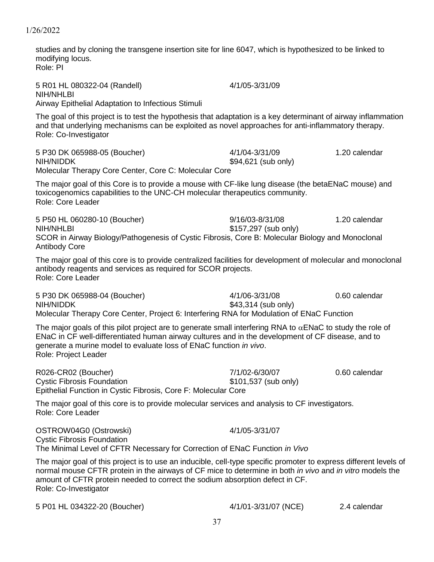studies and by cloning the transgene insertion site for line 6047, which is hypothesized to be linked to modifying locus. Role: PI

5 R01 HL 080322-04 (Randell) 4/1/05-3/31/09 NIH/NHLBI Airway Epithelial Adaptation to Infectious Stimuli

The goal of this project is to test the hypothesis that adaptation is a key determinant of airway inflammation and that underlying mechanisms can be exploited as novel approaches for anti-inflammatory therapy. Role: Co-Investigator

5 P30 DK 065988-05 (Boucher) 4/1/04-3/31/09 1.20 calendar NIH/NIDDK \$94,621 (sub only) Molecular Therapy Core Center, Core C: Molecular Core

The major goal of this Core is to provide a mouse with CF-like lung disease (the betaENaC mouse) and toxicogenomics capabilities to the UNC-CH molecular therapeutics community. Role: Core Leader

5 P50 HL 060280-10 (Boucher) 9/16/03-8/31/08 1.20 calendar NIH/NHLBI \$157,297 (sub only) SCOR in Airway Biology/Pathogenesis of Cystic Fibrosis, Core B: Molecular Biology and Monoclonal Antibody Core

The major goal of this core is to provide centralized facilities for development of molecular and monoclonal antibody reagents and services as required for SCOR projects. Role: Core Leader

5 P30 DK 065988-04 (Boucher) 4/1/06-3/31/08 0.60 calendar NIH/NIDDK \$43,314 (sub only) Molecular Therapy Core Center, Project 6: Interfering RNA for Modulation of ENaC Function

The major goals of this pilot project are to generate small interfering RNA to  $\alpha$ ENaC to study the role of ENaC in CF well-differentiated human airway cultures and in the development of CF disease, and to generate a murine model to evaluate loss of ENaC function *in vivo*. Role: Project Leader

R026-CR02 (Boucher) 7/1/02-6/30/07 0.60 calendar Cystic Fibrosis Foundation  $$101,537$  (sub only) Epithelial Function in Cystic Fibrosis, Core F: Molecular Core

The major goal of this core is to provide molecular services and analysis to CF investigators. Role: Core Leader

OSTROW04G0 (Ostrowski) 4/1/05-3/31/07 Cystic Fibrosis Foundation The Minimal Level of CFTR Necessary for Correction of ENaC Function *in Vivo*

The major goal of this project is to use an inducible, cell-type specific promoter to express different levels of normal mouse CFTR protein in the airways of CF mice to determine in both *in vivo* and *in vitro* models the amount of CFTR protein needed to correct the sodium absorption defect in CF. Role: Co-Investigator

5 P01 HL 034322-20 (Boucher) 4/1/01-3/31/07 (NCE) 2.4 calendar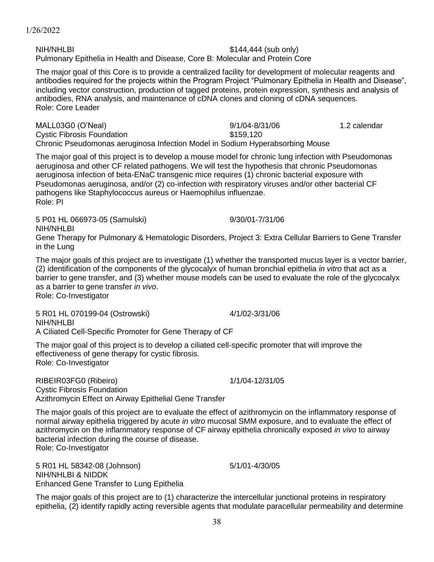38

1/26/2022

NIH/NHLBI  $$144,444$  (sub only) Pulmonary Epithelia in Health and Disease, Core B: Molecular and Protein Core

The major goal of this Core is to provide a centralized facility for development of molecular reagents and antibodies required for the projects within the Program Project "Pulmonary Epithelia in Health and Disease", including vector construction, production of tagged proteins, protein expression, synthesis and analysis of antibodies, RNA analysis, and maintenance of cDNA clones and cloning of cDNA sequences. Role: Core Leader

MALL03G0 (O'Neal) 9/1/04-8/31/06 1.2 calendar Cystic Fibrosis Foundation  $$159.120$ Chronic Pseudomonas aeruginosa Infection Model in Sodium Hyperabsorbing Mouse

The major goal of this project is to develop a mouse model for chronic lung infection with Pseudomonas aeruginosa and other CF related pathogens. We will test the hypothesis that chronic Pseudomonas aeruginosa infection of beta-ENaC transgenic mice requires (1) chronic bacterial exposure with Pseudomonas aeruginosa, and/or (2) co-infection with respiratory viruses and/or other bacterial CF pathogens like Staphylococcus aureus or Haemophilus influenzae. Role: PI

NIH/NHLBI Gene Therapy for Pulmonary & Hematologic Disorders, Project 3: Extra Cellular Barriers to Gene Transfer in the Lung

The major goals of this project are to investigate (1) whether the transported mucus layer is a vector barrier, (2) identification of the components of the glycocalyx of human bronchial epithelia *in vitro* that act as a barrier to gene transfer, and (3) whether mouse models can be used to evaluate the role of the glycocalyx as a barrier to gene transfer *in vivo*.

Role: Co-Investigator

5 R01 HL 070199-04 (Ostrowski) 4/1/02-3/31/06 NIH/NHLBI A Ciliated Cell-Specific Promoter for Gene Therapy of CF

The major goal of this project is to develop a ciliated cell-specific promoter that will improve the effectiveness of gene therapy for cystic fibrosis. Role: Co-Investigator

RIBEIR03FG0 (Ribeiro) 1/1/04-12/31/05 Cystic Fibrosis Foundation Azithromycin Effect on Airway Epithelial Gene Transfer

The major goals of this project are to evaluate the effect of azithromycin on the inflammatory response of normal airway epithelia triggered by acute *in vitro* mucosal SMM exposure, and to evaluate the effect of azithromycin on the inflammatory response of CF airway epithelia chronically exposed *in vivo* to airway bacterial infection during the course of disease. Role: Co-Investigator

5 R01 HL 58342-08 (Johnson) 5/1/01-4/30/05 NIH/NHLBI & NIDDK Enhanced Gene Transfer to Lung Epithelia

The major goals of this project are to (1) characterize the intercellular junctional proteins in respiratory epithelia, (2) identify rapidly acting reversible agents that modulate paracellular permeability and determine

5 P01 HL 066973-05 (Samulski) 9/30/01-7/31/06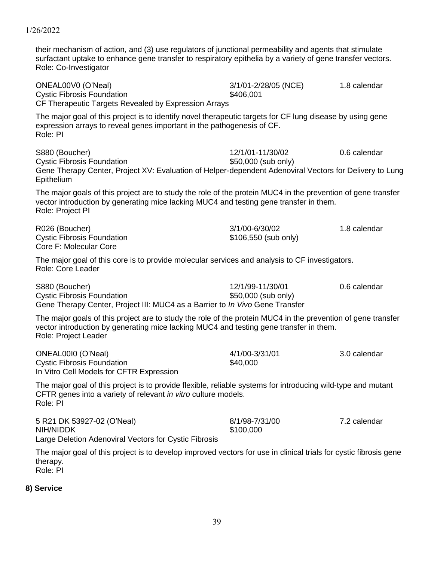| ONEAL00V0 (O'Neal)<br><b>Cystic Fibrosis Foundation</b><br>CF Therapeutic Targets Revealed by Expression Arrays                                                                                                                | 3/1/01-2/28/05 (NCE)<br>\$406,001       | 1.8 calendar |
|--------------------------------------------------------------------------------------------------------------------------------------------------------------------------------------------------------------------------------|-----------------------------------------|--------------|
| The major goal of this project is to identify novel therapeutic targets for CF lung disease by using gene<br>expression arrays to reveal genes important in the pathogenesis of CF.<br>Role: PI                                |                                         |              |
| S880 (Boucher)<br><b>Cystic Fibrosis Foundation</b><br>Gene Therapy Center, Project XV: Evaluation of Helper-dependent Adenoviral Vectors for Delivery to Lung<br>Epithelium                                                   | 12/1/01-11/30/02<br>\$50,000 (sub only) | 0.6 calendar |
| The major goals of this project are to study the role of the protein MUC4 in the prevention of gene transfer<br>vector introduction by generating mice lacking MUC4 and testing gene transfer in them.<br>Role: Project PI     |                                         |              |
| R026 (Boucher)<br><b>Cystic Fibrosis Foundation</b><br>Core F: Molecular Core                                                                                                                                                  | 3/1/00-6/30/02<br>\$106,550 (sub only)  | 1.8 calendar |
| The major goal of this core is to provide molecular services and analysis to CF investigators.<br>Role: Core Leader                                                                                                            |                                         |              |
| S880 (Boucher)<br><b>Cystic Fibrosis Foundation</b><br>Gene Therapy Center, Project III: MUC4 as a Barrier to <i>In Vivo</i> Gene Transfer                                                                                     | 12/1/99-11/30/01<br>\$50,000 (sub only) | 0.6 calendar |
| The major goals of this project are to study the role of the protein MUC4 in the prevention of gene transfer<br>vector introduction by generating mice lacking MUC4 and testing gene transfer in them.<br>Role: Project Leader |                                         |              |
| ONEAL0010 (O'Neal)<br><b>Cystic Fibrosis Foundation</b><br>In Vitro Cell Models for CFTR Expression                                                                                                                            | 4/1/00-3/31/01<br>\$40,000              | 3.0 calendar |
| The major goal of this project is to provide flexible, reliable systems for introducing wild-type and mutant<br>CFTR genes into a variety of relevant <i>in vitro</i> culture models.<br>Role: PI                              |                                         |              |
| 5 R21 DK 53927-02 (O'Neal)<br>NIH/NIDDK<br>Large Deletion Adenoviral Vectors for Cystic Fibrosis                                                                                                                               | 8/1/98-7/31/00<br>\$100,000             | 7.2 calendar |
| The major goal of this project is to develop improved vectors for use in clinical trials for cystic fibrosis gene<br>therapy.<br>Role: PI                                                                                      |                                         |              |

their mechanism of action, and (3) use regulators of junctional permeability and agents that stimulate surfactant uptake to enhance gene transfer to respiratory epithelia by a variety of gene transfer vectors.

# **8) Service**

Role: Co-Investigator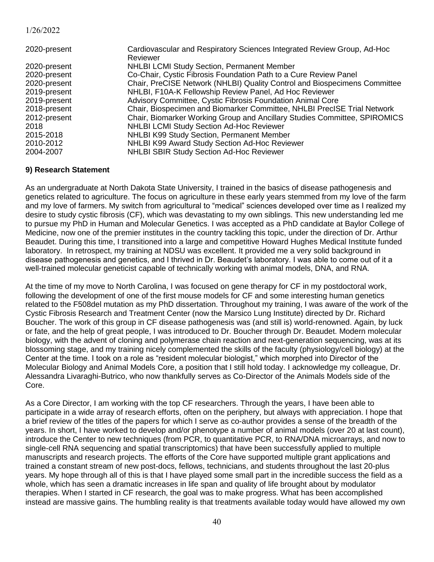| 2020-present | Cardiovascular and Respiratory Sciences Integrated Review Group, Ad-Hoc   |
|--------------|---------------------------------------------------------------------------|
|              | Reviewer                                                                  |
| 2020-present | <b>NHLBI LCMI Study Section, Permanent Member</b>                         |
| 2020-present | Co-Chair, Cystic Fibrosis Foundation Path to a Cure Review Panel          |
| 2020-present | Chair, PreCISE Network (NHLBI) Quality Control and Biospecimens Committee |
| 2019-present | NHLBI, F10A-K Fellowship Review Panel, Ad Hoc Reviewer                    |
| 2019-present | Advisory Committee, Cystic Fibrosis Foundation Animal Core                |
| 2018-present | Chair, Biospecimen and Biomarker Committee, NHLBI PrecISE Trial Network   |
| 2012-present | Chair, Biomarker Working Group and Ancillary Studies Committee, SPIROMICS |
| 2018         | NHLBI LCMI Study Section Ad-Hoc Reviewer                                  |
| 2015-2018    | NHLBI K99 Study Section, Permanent Member                                 |
| 2010-2012    | NHLBI K99 Award Study Section Ad-Hoc Reviewer                             |
| 2004-2007    | <b>NHLBI SBIR Study Section Ad-Hoc Reviewer</b>                           |

#### **9) Research Statement**

As an undergraduate at North Dakota State University, I trained in the basics of disease pathogenesis and genetics related to agriculture. The focus on agriculture in these early years stemmed from my love of the farm and my love of farmers. My switch from agricultural to "medical" sciences developed over time as I realized my desire to study cystic fibrosis (CF), which was devastating to my own siblings. This new understanding led me to pursue my PhD in Human and Molecular Genetics. I was accepted as a PhD candidate at Baylor College of Medicine, now one of the premier institutes in the country tackling this topic, under the direction of Dr. Arthur Beaudet. During this time, I transitioned into a large and competitive Howard Hughes Medical Institute funded laboratory. In retrospect, my training at NDSU was excellent. It provided me a very solid background in disease pathogenesis and genetics, and I thrived in Dr. Beaudet's laboratory. I was able to come out of it a well-trained molecular geneticist capable of technically working with animal models, DNA, and RNA.

At the time of my move to North Carolina, I was focused on gene therapy for CF in my postdoctoral work, following the development of one of the first mouse models for CF and some interesting human genetics related to the F508del mutation as my PhD dissertation. Throughout my training, I was aware of the work of the Cystic Fibrosis Research and Treatment Center (now the Marsico Lung Institute) directed by Dr. Richard Boucher. The work of this group in CF disease pathogenesis was (and still is) world-renowned. Again, by luck or fate, and the help of great people, I was introduced to Dr. Boucher through Dr. Beaudet. Modern molecular biology, with the advent of cloning and polymerase chain reaction and next-generation sequencing, was at its blossoming stage, and my training nicely complemented the skills of the faculty (physiology/cell biology) at the Center at the time. I took on a role as "resident molecular biologist," which morphed into Director of the Molecular Biology and Animal Models Core, a position that I still hold today. I acknowledge my colleague, Dr. Alessandra Livaraghi-Butrico, who now thankfully serves as Co-Director of the Animals Models side of the Core.

As a Core Director, I am working with the top CF researchers. Through the years, I have been able to participate in a wide array of research efforts, often on the periphery, but always with appreciation. I hope that a brief review of the titles of the papers for which I serve as co-author provides a sense of the breadth of the years. In short, I have worked to develop and/or phenotype a number of animal models (over 20 at last count), introduce the Center to new techniques (from PCR, to quantitative PCR, to RNA/DNA microarrays, and now to single-cell RNA sequencing and spatial transcriptomics) that have been successfully applied to multiple manuscripts and research projects. The efforts of the Core have supported multiple grant applications and trained a constant stream of new post-docs, fellows, technicians, and students throughout the last 20-plus years. My hope through all of this is that I have played some small part in the incredible success the field as a whole, which has seen a dramatic increases in life span and quality of life brought about by modulator therapies. When I started in CF research, the goal was to make progress. What has been accomplished instead are massive gains. The humbling reality is that treatments available today would have allowed my own